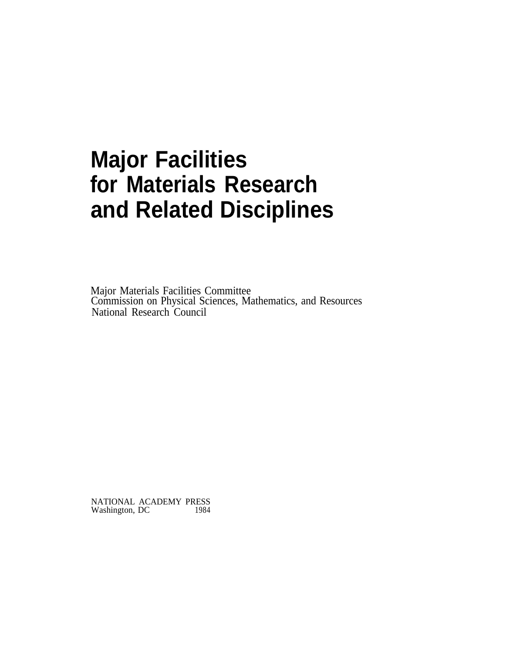# **Major Facilities for Materials Research and Related Disciplines**

Major Materials Facilities Committee Commission on Physical Sciences, Mathematics, and Resources National Research Council

NATIONAL ACADEMY PRESS Washington, DC 1984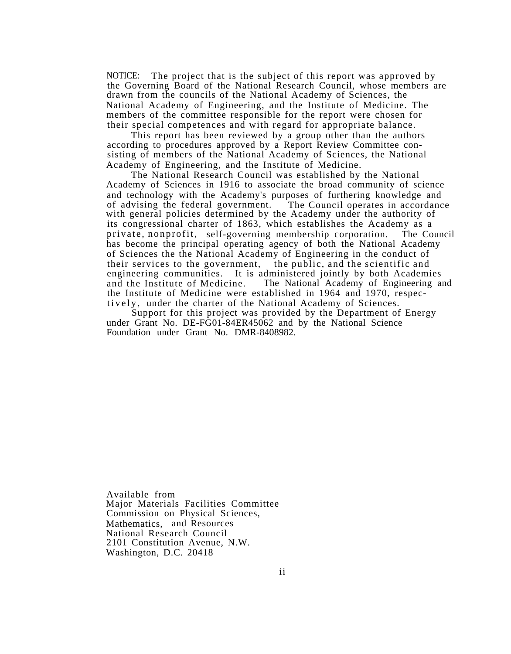NOTICE: The project that is the subject of this report was approved by the Governing Board of the National Research Council, whose members are drawn from the councils of the National Academy of Sciences, the National Academy of Engineering, and the Institute of Medicine. The members of the committee responsible for the report were chosen for their special competences and with regard for appropriate balance.

This report has been reviewed by a group other than the authors according to procedures approved by a Report Review Committee consisting of members of the National Academy of Sciences, the National Academy of Engineering, and the Institute of Medicine.

The National Research Council was established by the National Academy of Sciences in 1916 to associate the broad community of science and technology with the Academy's purposes of furthering knowledge and of advising the federal government. The Council operates in accordance with general policies determined by the Academy under the authority of its congressional charter of 1863, which establishes the Academy as a private, nonprofit, self-governing membership corporation. The Council has become the principal operating agency of both the National Academy of Sciences the the National Academy of Engineering in the conduct of their services to the government, the public, and the scientific and engineering communities. It is administered jointly by both Academies and the Institute of Medicine. The National Academy of Engineering and the Institute of Medicine were established in 1964 and 1970, respectively, under the charter of the National Academy of Sciences.

Support for this project was provided by the Department of Energy under Grant No. DE-FG01-84ER45062 and by the National Science Foundation under Grant No. DMR-8408982.

Available from Major Materials Facilities Committee Commission on Physical Sciences, Mathematics, and Resources National Research Council 2101 Constitution Avenue, N.W. Washington, D.C. 20418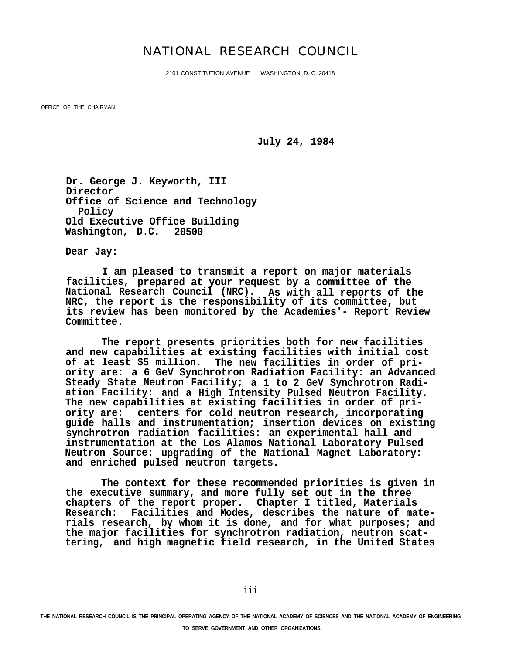# NATIONAL RESEARCH COUNCIL

2101 CONSTITUTION AVENUE WASHINGTON, D. C. 20418

OFFICE OF THE CHAIRMAN

**July 24, 1984**

**Dr. George J. Keyworth, III Director Office of Science and Technology Policy Old Executive Office Building Washington, D.C. 20500**

**Dear Jay:**

**I am pleased to transmit a report on major materials facilities, prepared at your request by a committee of the National Research Council (NRC). As with all reports of the NRC, the report is the responsibility of its committee, but its review has been monitored by the Academies'- Report Review Committee.**

**The report presents priorities both for new facilities and new capabilities at existing facilities with initial cost** The new facilities in order of pri**ority are: a 6 GeV Synchrotron Radiation Facility: an Advanced Steady State Neutron Facility; a 1 to 2 GeV Synchrotron Radiation Facility: and a High Intensity Pulsed Neutron Facility. The new capabilities at existing facilities in order of priority are: centers for cold neutron research, incorporating guide halls and instrumentation; insertion devices on existing synchrotron radiation facilities: an experimental hall and instrumentation at the Los Alamos National Laboratory Pulsed Neutron Source: upgrading of the National Magnet Laboratory: and enriched pulsed neutron targets.**

**The context for these recommended priorities is given in the executive summary, and more fully set out in the three chapters of the report proper. Chapter I titled, Materials Research: Facilities and Modes, describes the nature of materials research, by whom it is done, and for what purposes; and the major facilities for synchrotron radiation, neutron scattering, and high magnetic field research, in the United States**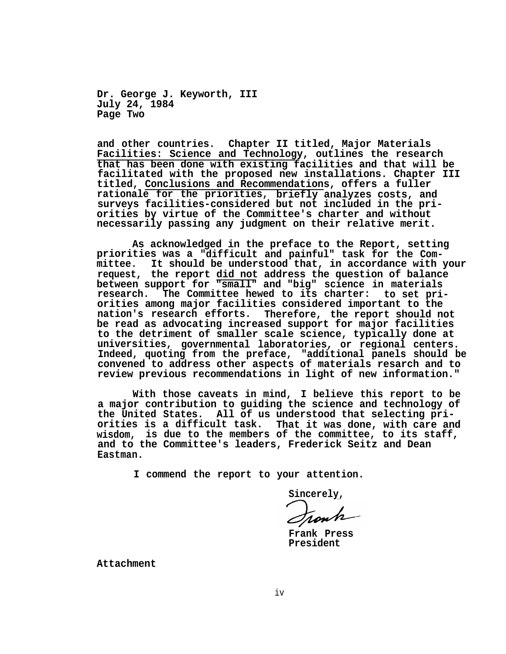**Dr. George J. Keyworth, III July 24, 1984 Page Two**

**and other countries. Chapter II titled, Major Materials Facilities: Science and Technology, outlines the research that has been done with existing facilities and that will be facilitated with the proposed new installations. Chapter III titled, Conclusions and Recommendations, offers a fuller rationale for the priorities, briefly analyzes costs, and surveys facilities-considered but not included in the priorities by virtue of the Committee's charter and without necessarily passing any judgment on their relative merit.**

**As acknowledged in the preface to the Report, setting priorities was a "difficult and painful" task for the Committee. It should be understood that, in accordance with your request, the report did not address the question of balance between support for "small" and "big" science in materials research. The Committee hewed to its charter: to set priorities among major facilities considered important to the nation's research efforts. Therefore, the report should not be read as advocating increased support for major facilities to the detriment of smaller scale science, typically done at universities, governmental laboratories, or regional centers. Indeed, quoting from the preface, "additional panels should be convened to address other aspects of materials resarch and to review previous recommendations in light of new information."**

**With those caveats in mind, I believe this report to be a major contribution to guiding the science and technology of the United States. All of us understood that selecting priorities is a difficult task. That it was done, with care and wisdom, is due to the members of the committee, to its staff, and to the Committee's leaders, Frederick Seitz and Dean Eastman.**

**I commend the report to your attention.**

**Sincerely,**

**Frank Press President**

**Attachment**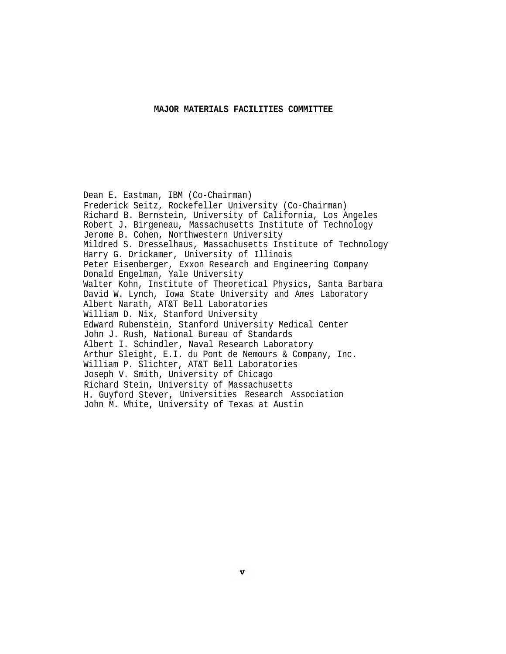#### **MAJOR MATERIALS FACILITIES COMMITTEE**

Dean E. Eastman, IBM (Co-Chairman) Frederick Seitz, Rockefeller University (Co-Chairman) Richard B. Bernstein, University of California, Los Angeles Robert J. Birgeneau, Massachusetts Institute of Technology Jerome B. Cohen, Northwestern University Mildred S. Dresselhaus, Massachusetts Institute of Technology Harry G. Drickamer, University of Illinois Peter Eisenberger, Exxon Research and Engineering Company Donald Engelman, Yale University Walter Kohn, Institute of Theoretical Physics, Santa Barbara David W. Lynch, Iowa State University and Ames Laboratory Albert Narath, AT&T Bell Laboratories William D. Nix, Stanford University Edward Rubenstein, Stanford University Medical Center John J. Rush, National Bureau of Standards Albert I. Schindler, Naval Research Laboratory Arthur Sleight, E.I. du Pont de Nemours & Company, Inc. William P. Slichter, AT&T Bell Laboratories Joseph V. Smith, University of Chicago Richard Stein, University of Massachusetts H. Guyford Stever, Universities Research Association John M. White, University of Texas at Austin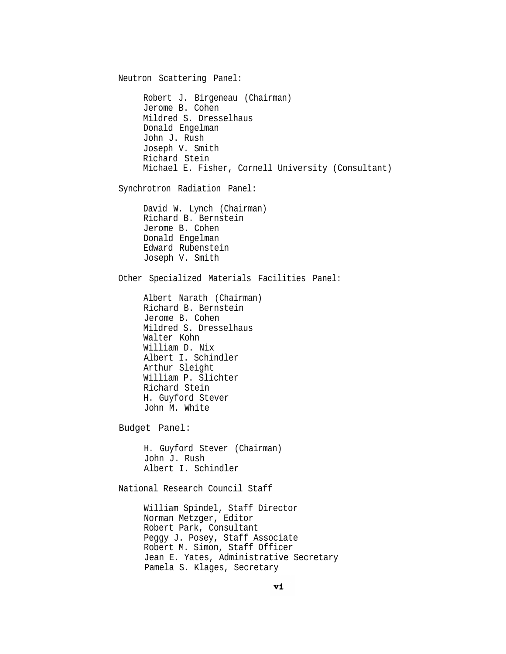Neutron Scattering Panel: Robert J. Birgeneau (Chairman) Jerome B. Cohen Mildred S. Dresselhaus Donald Engelman John J. Rush Joseph V. Smith Richard Stein Michael E. Fisher, Cornell University (Consultant) Synchrotron Radiation Panel: David W. Lynch (Chairman) Richard B. Bernstein Jerome B. Cohen Donald Engelman Edward Rubenstein Joseph V. Smith Other Specialized Materials Facilities Panel: Albert Narath (Chairman) Richard B. Bernstein Jerome B. Cohen Mildred S. Dresselhaus Walter Kohn William D. Nix Albert I. Schindler Arthur Sleight William P. Slichter Richard Stein H. Guyford Stever John M. White Budget Panel: H. Guyford Stever (Chairman) John J. Rush Albert I. Schindler National Research Council Staff William Spindel, Staff Director Norman Metzger, Editor Robert Park, Consultant Peggy J. Posey, Staff Associate Robert M. Simon, Staff Officer Jean E. Yates, Administrative Secretary Pamela S. Klages, Secretary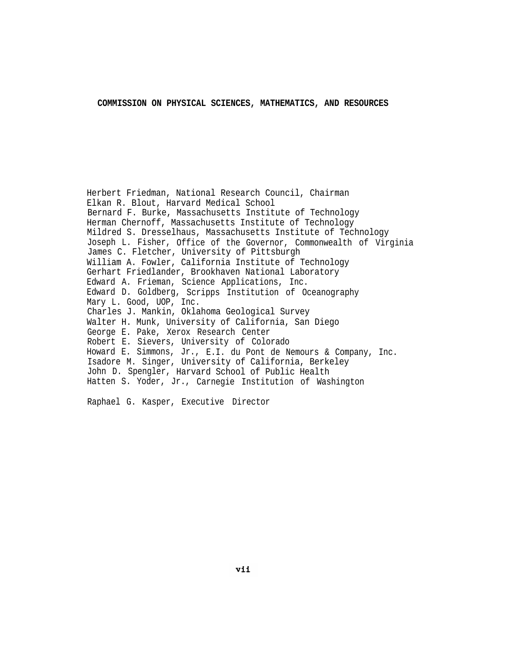#### **COMMISSION ON PHYSICAL SCIENCES, MATHEMATICS, AND RESOURCES**

Herbert Friedman, National Research Council, Chairman Elkan R. Blout, Harvard Medical School Bernard F. Burke, Massachusetts Institute of Technology Herman Chernoff, Massachusetts Institute of Technology Mildred S. Dresselhaus, Massachusetts Institute of Technology Joseph L. Fisher, Office of the Governor, Commonwealth of Virginia James C. Fletcher, University of Pittsburgh William A. Fowler, California Institute of Technology Gerhart Friedlander, Brookhaven National Laboratory Edward A. Frieman, Science Applications, Inc. Edward D. Goldberg, Scripps Institution of Oceanography Mary L. Good, UOP, Inc. Charles J. Mankin, Oklahoma Geological Survey Walter H. Munk, University of California, San Diego George E. Pake, Xerox Research Center Robert E. Sievers, University of Colorado Howard E. Simmons, Jr., E.I. du Pont de Nemours & Company, Inc. Isadore M. Singer, University of California, Berkeley John D. Spengler, Harvard School of Public Health Hatten S. Yoder, Jr., Carnegie Institution of Washington

Raphael G. Kasper, Executive Director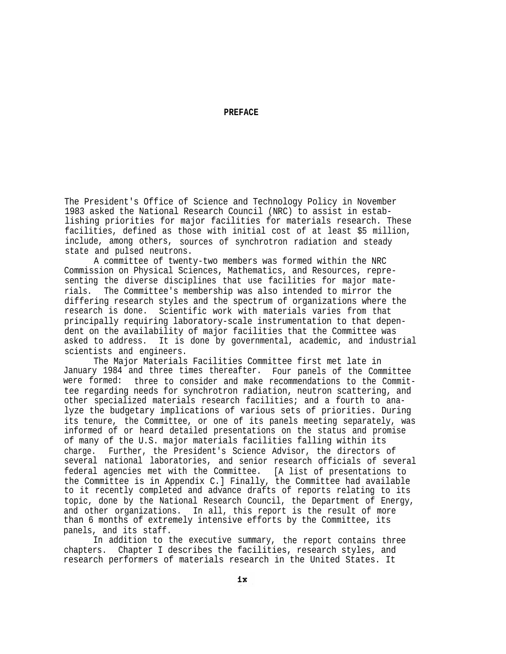#### **PREFACE**

The President's Office of Science and Technology Policy in November 1983 asked the National Research Council (NRC) to assist in establishing priorities for major facilities for materials research. These facilities, defined as those with initial cost of at least \$5 million, include, among others, sources of synchrotron radiation and steady state and pulsed neutrons.

A committee of twenty-two members was formed within the NRC Commission on Physical Sciences, Mathematics, and Resources, representing the diverse disciplines that use facilities for major materials. The Committee's membership was also intended to mirror the differing research styles and the spectrum of organizations where the research is done. Scientific work with materials varies from that principally requiring laboratory-scale instrumentation to that dependent on the availability of major facilities that the Committee was asked to address. It is done by governmental, academic, and industrial scientists and engineers.

The Major Materials Facilities Committee first met late in January 1984 and three times thereafter. Four panels of the Committee were formed: three to consider and make recommendations to the Committee regarding needs for synchrotron radiation, neutron scattering, and other specialized materials research facilities; and a fourth to analyze the budgetary implications of various sets of priorities. During its tenure, the Committee, or one of its panels meeting separately, was informed of or heard detailed presentations on the status and promise of many of the U.S. major materials facilities falling within its charge. Further, the President's Science Advisor, the directors of several national laboratories, and senior research officials of several federal agencies met with the Committee. [A list of presentations to the Committee is in Appendix C.] Finally, the Committee had available to it recently completed and advance drafts of reports relating to its topic, done by the National Research Council, the Department of Energy, and other organizations. In all, this report is the result of more than 6 months of extremely intensive efforts by the Committee, its panels, and its staff.

In addition to the executive summary, the report contains three chapters. Chapter I describes the facilities, research styles, and research performers of materials research in the United States. It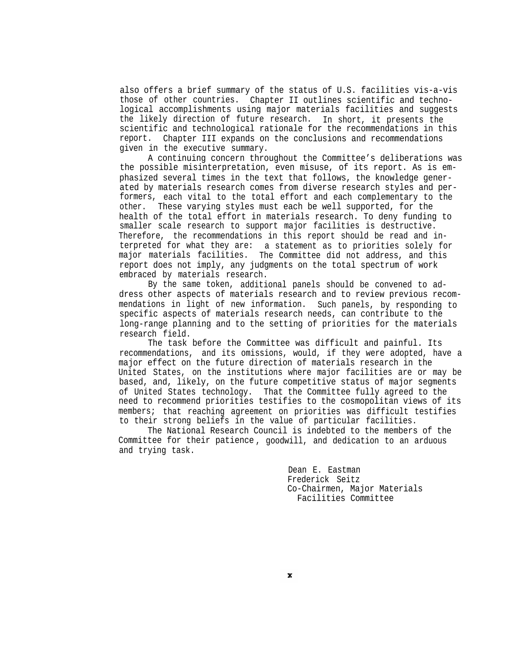also offers a brief summary of the status of U.S. facilities vis-a-vis those of other countries. Chapter II outlines scientific and technological accomplishments using major materials facilities and suggests the likely direction of future research. In short, it presents the scientific and technological rationale for the recommendations in this report. Chapter III expands on the conclusions and recommendations given in the executive summary.

A continuing concern throughout the Committee's deliberations was the possible misinterpretation, even misuse, of its report. As is emphasized several times in the text that follows, the knowledge generated by materials research comes from diverse research styles and performers, each vital to the total effort and each complementary to the other. These varying styles must each be well supported, for the health of the total effort in materials research. To deny funding to smaller scale research to support major facilities is destructive. Therefore, the recommendations in this report should be read and interpreted for what they are: a statement as to priorities solely for major materials facilities. The Committee did not address, and this report does not imply, any judgments on the total spectrum of work embraced by materials research.

By the same token, additional panels should be convened to address other aspects of materials research and to review previous recommendations in light of new information. Such panels, by responding to specific aspects of materials research needs, can contribute to the long-range planning and to the setting of priorities for the materials research field.

The task before the Committee was difficult and painful. Its recommendations, and its omissions, would, if they were adopted, have a major effect on the future direction of materials research in the United States, on the institutions where major facilities are or may be based, and, likely, on the future competitive status of major segments of United States technology. That the Committee fully agreed to the need to recommend priorities testifies to the cosmopolitan views of its members; that reaching agreement on priorities was difficult testifies to their strong beliefs in the value of particular facilities.

The National Research Council is indebted to the members of the Committee for their patience , goodwill, and dedication to an arduous and trying task.

> Dean E. Eastman Frederick Seitz Co-Chairmen, Major Materials Facilities Committee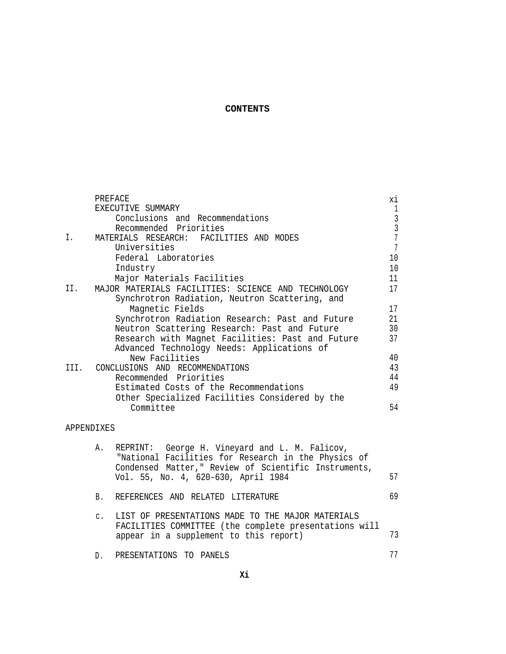# **CONTENTS**

|      | PREFACE                                            | хi |
|------|----------------------------------------------------|----|
|      | EXECUTIVE SUMMARY                                  |    |
|      | Conclusions and Recommendations                    | 3  |
|      | Recommended Priorities                             | 3  |
| Ι.   | MATERIALS RESEARCH: FACILITIES AND MODES           | 7  |
|      | Universities                                       |    |
|      | Federal Laboratories                               | 10 |
|      | Industry                                           | 10 |
|      | Major Materials Facilities                         | 11 |
| II.  | MAJOR MATERIALS FACILITIES: SCIENCE AND TECHNOLOGY | 17 |
|      | Synchrotron Radiation, Neutron Scattering, and     |    |
|      | Magnetic Fields                                    | 17 |
|      | Synchrotron Radiation Research: Past and Future    | 21 |
|      | Neutron Scattering Research: Past and Future       | 30 |
|      | Research with Magnet Facilities: Past and Future   | 37 |
|      | Advanced Technology Needs: Applications of         |    |
|      | New Facilities                                     | 40 |
| TTT. | CONCLUSIONS AND RECOMMENDATIONS                    | 43 |
|      | Recommended Priorities                             | 44 |
|      | Estimated Costs of the Recommendations             | 49 |
|      | Other Specialized Facilities Considered by the     |    |
|      | Committee                                          | 54 |

# APPENDIXES

| Α.             | REPRINT: George H. Vineyard and L. M. Falicov,<br>"National Facilities for Research in the Physics of<br>Condensed Matter," Review of Scientific Instruments, |    |
|----------------|---------------------------------------------------------------------------------------------------------------------------------------------------------------|----|
|                | Vol. 55, No. 4, 620-630, April 1984                                                                                                                           | 57 |
| B.             | REFERENCES AND RELATED LITERATURE                                                                                                                             | 69 |
| $\mathsf{C}$ . | LIST OF PRESENTATIONS MADE TO THE MAJOR MATERIALS<br>FACILITIES COMMITTEE (the complete presentations will<br>appear in a supplement to this report)          | 73 |
|                | PRESENTATIONS TO PANELS                                                                                                                                       |    |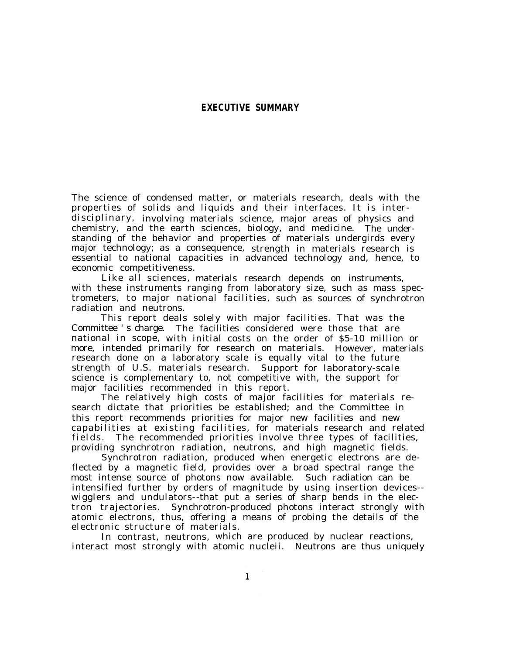# **EXECUTIVE SUMMARY**

The science of condensed matter, or materials research, deals with the properties of solids and liquids and their interfaces. It is interdisciplinary, involving materials science, major areas of physics and chemistry, and the earth sciences, biology, and medicine. The understanding of the behavior and properties of materials undergirds every major technology; as a consequence, strength in materials research is essential to national capacities in advanced technology and, hence, to economic competitiveness.

Like all sciences, materials research depends on instruments, with these instruments ranging from laboratory size, such as mass spectrometers, to major national facilities, such as sources of synchrotron radiation and neutrons.

This report deals solely with major facilities. That was the Committee ' s charge. The facilities considered were those that are national in scope, with initial costs on the order of \$5-10 million or more, intended primarily for research on materials. However, materials research done on a laboratory scale is equally vital to the future strength of U.S. materials research. Support for laboratory-scale science is complementary to, not competitive with, the support for major facilities recommended in this report.

The relatively high costs of major facilities for materials research dictate that priorities be established; and the Committee in this report recommends priorities for major new facilities and new capabilities at existing facilities, for materials research and related fields. The recommended priorities involve three types of facilities, providing synchrotron radiation, neutrons, and high magnetic fields.

Synchrotron radiation, produced when energetic electrons are deflected by a magnetic field, provides over a broad spectral range the most intense source of photons now available. Such radiation can be intensified further by orders of magnitude by using insertion devices- wigglers and undulators--that put a series of sharp bends in the electron trajectories. Synchrotron-produced photons interact strongly with atomic electrons, thus, offering a means of probing the details of the electronic structure of materials.

In contrast, neutrons, which are produced by nuclear reactions, interact most strongly with atomic nucleii. Neutrons are thus uniquely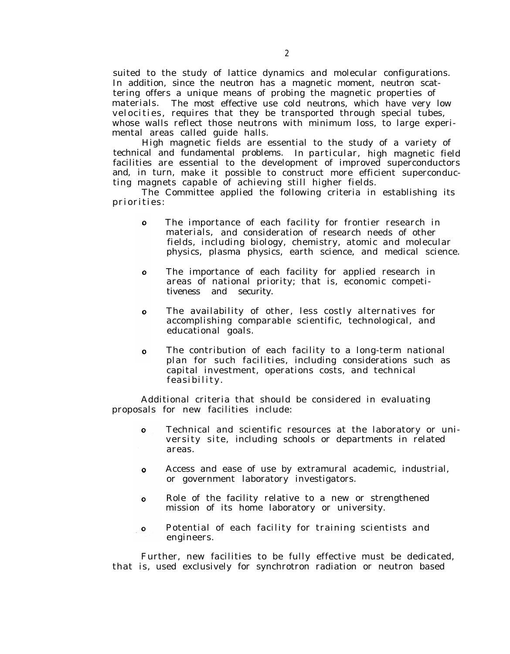suited to the study of lattice dynamics and molecular configurations. In addition, since the neutron has a magnetic moment, neutron scattering offers a unique means of probing the magnetic properties of materials. The most effective use cold neutrons, which have very low velocities, requires that they be transported through special tubes, whose walls reflect those neutrons with minimum loss, to large experimental areas called guide halls.

High magnetic fields are essential to the study of a variety of technical and fundamental problems. In particular, high magnetic field facilities are essential to the development of improved superconductors and, in turn, make it possible to construct more efficient superconducting magnets capable of achieving still higher fields.

The Committee applied the following criteria in establishing its priorities:

- $\mathbf{o}$  The importance of each facility for frontier research in materials, and consideration of research needs of other fields, including biology, chemistry, atomic and molecular physics, plasma physics, earth science, and medical science.
- $\mathbf{o}$ The importance of each facility for applied research in areas of national priority; that is, economic competitiveness and security.
- The availability of other, less costly alternatives for  $\mathbf{o}$ accomplishing comparable scientific, technological, and educational goals.
- The contribution of each facility to a long-term national  $\mathbf{o}$ plan for such facilities, including considerations such as capital investment, operations costs, and technical feasibility.

Additional criteria that should be considered in evaluating proposals for new facilities include:

- $\mathbf{o}$ Technical and scientific resources at the laboratory or university site, including schools or departments in related areas.
- Access and ease of use by extramural academic, industrial,  $\bullet$ or government laboratory investigators.
- Role of the facility relative to a new or strengthened  $\mathbf{o}$ mission of its home laboratory or university.
- Potential of each facility for training scientists and  $\mathbf{o}$ engineers.

Further, new facilities to be fully effective must be dedicated, that is, used exclusively for synchrotron radiation or neutron based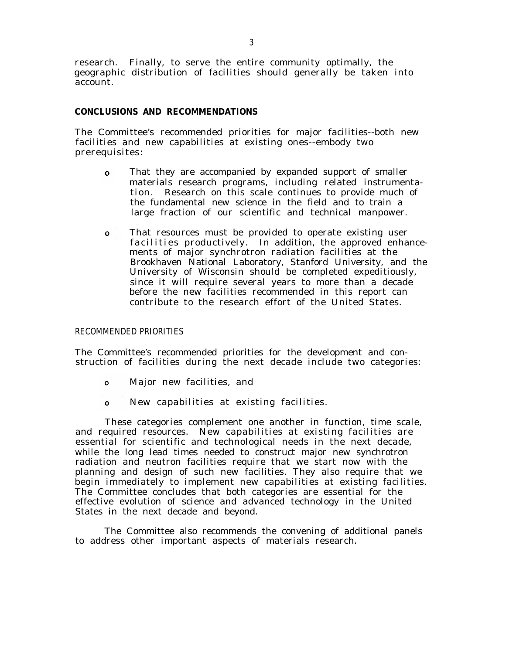research. Finally, to serve the entire community optimally, the geographic distribution of facilities should generally be taken into account.

#### **CONCLUSIONS AND RECOMMENDATIONS**

The Committee's recommended priorities for major facilities--both new facilities and new capabilities at existing ones--embody two prerequisites:

- $\mathbf{o}$ That they are accompanied by expanded support of smaller materials research programs, including related instrumentation. Research on this scale continues to provide much of the fundamental new science in the field and to train a large fraction of our scientific and technical manpower.
- That resources must be provided to operate existing user  $\bullet$ facilities productively. In addition, the approved enhancements of major synchrotron radiation facilities at the Brookhaven National Laboratory, Stanford University, and the University of Wisconsin should be completed expeditiously, since it will require several years to more than a decade before the new facilities recommended in this report can contribute to the research effort of the United States.

#### RECOMMENDED PRIORITIES

The Committee's recommended priorities for the development and construction of facilities during the next decade include two categories:

- Major new facilities, and  $\bullet$
- New capabilities at existing facilities.  $\mathbf{o}$

These categories complement one another in function, time scale, and required resources. New capabilities at existing facilities are essential for scientific and technological needs in the next decade, while the long lead times needed to construct major new synchrotron radiation and neutron facilities require that we start now with the planning and design of such new facilities. They also require that we begin immediately to implement new capabilities at existing facilities. The Committee concludes that both categories are essential for the effective evolution of science and advanced technology in the United States in the next decade and beyond.

The Committee also recommends the convening of additional panels to address other important aspects of materials research.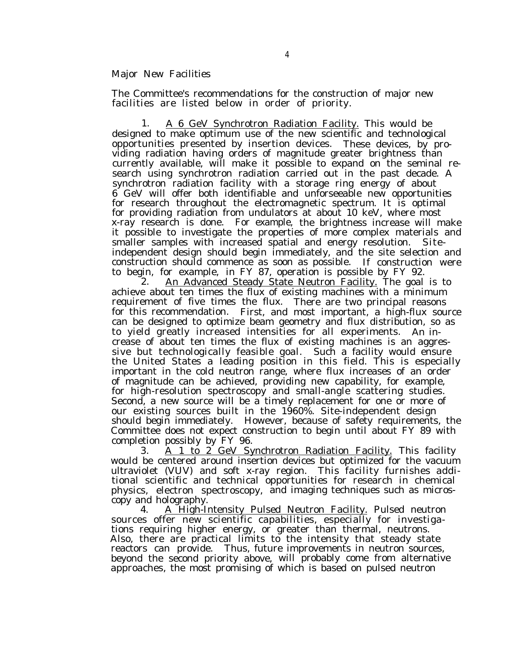#### Major New Facilities

The Committee's recommendations for the construction of major new facilities are listed below in order of priority.

1. A 6 GeV Synchrotron Radiation Facility. This would be designed to make optimum use of the new scientific and technological opportunities presented by insertion devices. These devices, by providing radiation having orders of magnitude greater brightness than currently available, will make it possible to expand on the seminal research using synchrotron radiation carried out in the past decade. A synchrotron radiation facility with a storage ring energy of about 6 GeV will offer both identifiable and unforseeable new opportunities for research throughout the electromagnetic spectrum. It is optimal for providing radiation from undulators at about 10 keV, where most x-ray research is done. For example, the brightness increase will make it possible to investigate the properties of more complex materials and smaller samples with increased spatial and energy resolution. Siteindependent design should begin immediately, and the site selection and construction should commence as soon as possible. If construction were to begin, for example, in FY 87, operation is possible by FY 92.

2. An Advanced Steady State Neutron Facility. The goal is to achieve about ten times the flux of existing machines with a minimum requirement of five times the flux. There are two principal reasons for this recommendation. First, and most important, a high-flux source can be designed to optimize beam geometry and flux distribution, so as to yield greatly increased intensities for all experiments. An increase of about ten times the flux of existing machines is an aggressive but technologically feasible goal. Such a facility would ensure the United States a leading position in this field. This is especially important in the cold neutron range, where flux increases of an order of magnitude can be achieved, providing new capability, for example, for high-resolution spectroscopy and small-angle scattering studies. Second, a new source will be a timely replacement for one or more of our existing sources built in the 1960%. Site-independent design should begin immediately. However, because of safety requirements, the Committee does not expect construction to begin until about FY 89 with completion possibly by FY 96.

3. A 1 to 2 GeV Synchrotron Radiation Facility. This facility would be centered around insertion devices but optimized for the vacuum ultraviolet (VUV) and soft x-ray region. This facility furnishes additional scientific and technical opportunities for research in chemical physics, electron spectroscopy, and imaging techniques such as microscopy and holography.

4. A High-Intensity Pulsed Neutron Facility. Pulsed neutron sources offer new scientific capabilities, especially for investigations requiring higher energy, or greater than thermal, neutrons. Also, there are practical limits to the intensity that steady state reactors can provide. Thus, future improvements in neutron sources, beyond the second priority above, will probably come from alternative approaches, the most promising of which is based on pulsed neutron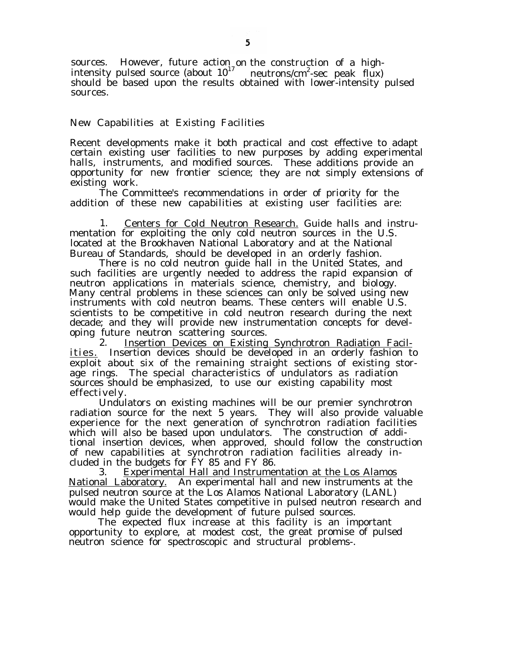sources. However, future action intensity pulsed source (about  $10^{17}$ on the construction of a high $neutrons/cm<sup>2</sup> - sec$  peak flux) should be based upon the results obtained with lower-intensity pulsed sources.

# New Capabilities at Existing Facilities

Recent developments make it both practical and cost effective to adapt certain existing user facilities to new purposes by adding experimental halls, instruments, and modified sources. These additions provide an opportunity for new frontier science; they are not simply extensions of existing work.

The Committee's recommendations in order of priority for the addition of these new capabilities at existing user facilities are:

1. Centers for Cold Neutron Research. Guide halls and instrumentation for exploiting the only cold neutron sources in the U.S. located at the Brookhaven National Laboratory and at the National Bureau of Standards, should be developed in an orderly fashion.

There is no cold neutron guide hall in the United States, and such facilities are urgently needed to address the rapid expansion of neutron applications in materials science, chemistry, and biology. Many central problems in these sciences can only be solved using new instruments with cold neutron beams. These centers will enable U.S. scientists to be competitive in cold neutron research during the next decade; and they will provide new instrumentation concepts for developing future neutron scattering sources.

2. Insertion Devices on Existing Synchrotron Radiation Facilities. Insertion devices should be developed in an orderly fashion to exploit about six of the remaining straight sections of existing storage rings. The special characteristics of undulators as radiation sources should be emphasized, to use our existing capability most effectively.

Undulators on existing machines will be our premier synchrotron radiation source for the next 5 years. They will also provide valuable experience for the next generation of synchrotron radiation facilities which will also be based upon undulators. The construction of additional insertion devices, when approved, should follow the construction of new capabilities at synchrotron radiation facilities already included in the budgets for FY 85 and FY 86.

3. Experimental Hall and Instrumentation at the Los Alamos National Laboratory. An experimental hall and new instruments at the pulsed neutron source at the Los Alamos National Laboratory (LANL) would make the United States competitive in pulsed neutron research and would help guide the development of future pulsed sources.

The expected flux increase at this facility is an important opportunity to explore, at modest cost, the great promise of pulsed neutron science for spectroscopic and structural problems-.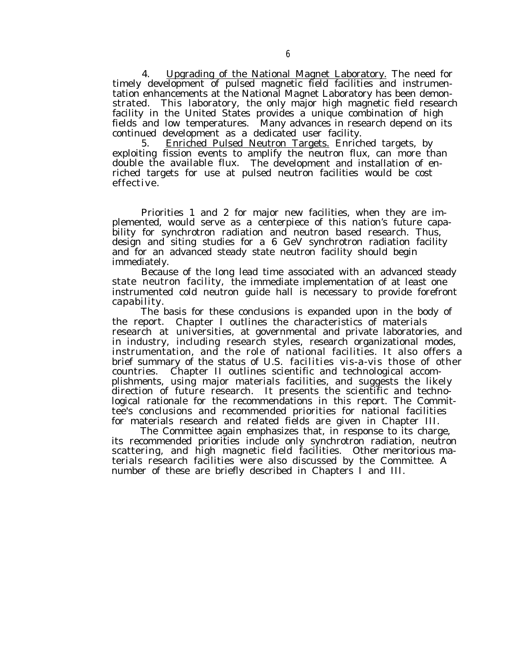4. Upgrading of the National Magnet Laboratory. The need for timely development of pulsed magnetic field facilities and instrumentation enhancements at the National Magnet Laboratory has been demonstrated. This laboratory, the only major high magnetic field research facility in the United States provides a unique combination of high fields and low temperatures. Many advances in research depend on its continued development as a dedicated user facility.

5. Enriched Pulsed Neutron Targets. Enriched targets, by exploiting fission events to amplify the neutron flux, can more than double the available flux. The development and installation of enriched targets for use at pulsed neutron facilities would be cost effective.

Priorities 1 and 2 for major new facilities, when they are implemented, would serve as a centerpiece of this nation's future capability for synchrotron radiation and neutron based research. Thus, design and siting studies for a 6 GeV synchrotron radiation facility and for an advanced steady state neutron facility should begin immediately.

Because of the long lead time associated with an advanced steady state neutron facility, the immediate implementation of at least one instrumented cold neutron guide hall is necessary to provide forefront capability.

The basis for these conclusions is expanded upon in the body of the report. Chapter I outlines the characteristics of materials research at universities, at governmental and private laboratories, and in industry, including research styles, research organizational modes, instrumentation, and the role of national facilities. It also offers a brief summary of the status of U.S. facilities vis-a-vis those of other countries. Chapter II outlines scientific and technological accomplishments, using major materials facilities, and suggests the likely direction of future research. It presents the scientific and technological rationale for the recommendations in this report. The Committee's conclusions and recommended priorities for national facilities for materials research and related fields are given in Chapter III.

The Committee again emphasizes that, in response to its charge, its recommended priorities include only synchrotron radiation, neutron scattering, and high magnetic field facilities. Other meritorious materials research facilities were also discussed by the Committee. A number of these are briefly described in Chapters I and III.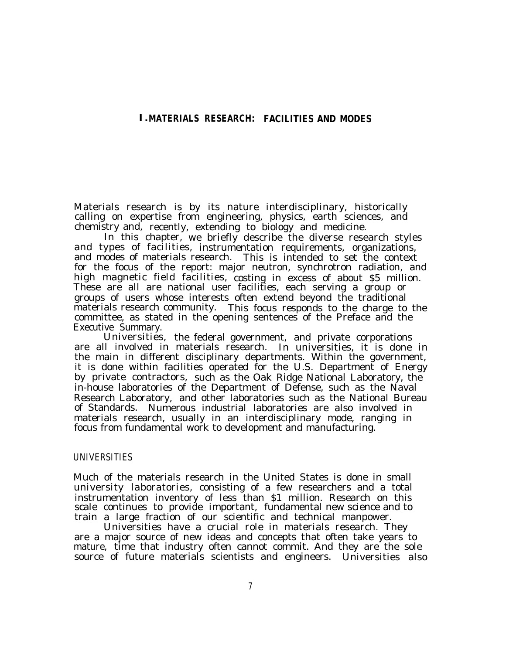# **I. MATERIALS RESEARCH: FACILITIES AND MODES**

Materials research is by its nature interdisciplinary, historically calling on expertise from engineering, physics, earth sciences, and chemistry and, recently, extending to biology and medicine.

In this chapter, we briefly describe the diverse research styles and types of facilities, instrumentation requirements, organizations, and modes of materials research. This is intended to set the context for the focus of the report: major neutron, synchrotron radiation, and high magnetic field facilities, costing in excess of about \$5 million. These are all are national user facilities, each serving a group or groups of users whose interests often extend beyond the traditional materials research community. This focus responds to the charge to the committee, as stated in the opening sentences of the Preface and the Executive Summary.

Universities, the federal government, and private corporations are all involved in materials research. In universities, it is done in the main in different disciplinary departments. Within the government, it is done within facilities operated for the U.S. Department of Energy by private contractors, such as the Oak Ridge National Laboratory, the in-house laboratories of the Department of Defense, such as the Naval Research Laboratory, and other laboratories such as the National Bureau of Standards. Numerous industrial laboratories are also involved in materials research, usually in an interdisciplinary mode, ranging in focus from fundamental work to development and manufacturing.

#### UNIVERSITIES

Much of the materials research in the United States is done in small university laboratories, consisting of a few researchers and a total instrumentation inventory of less than \$1 million. Research on this scale continues to provide important, fundamental new science and to train a large fraction of our scientific and technical manpower.

Universities have a crucial role in materials research. They are a major source of new ideas and concepts that often take years to mature, time that industry often cannot commit. And they are the sole source of future materials scientists and engineers. Universities also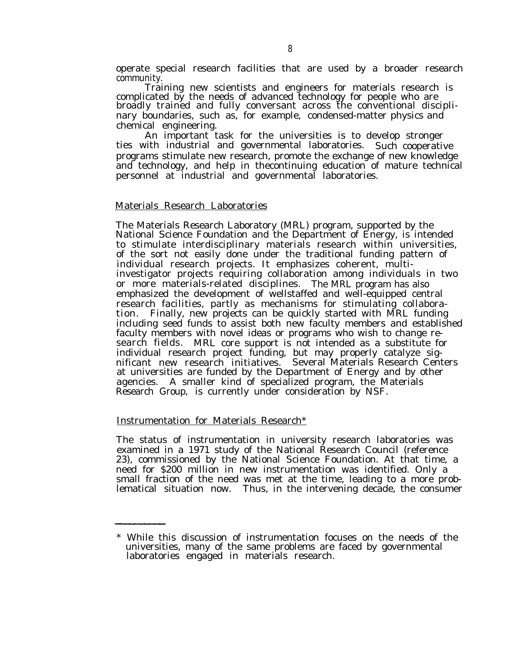operate special research facilities that are used by a broader research community.

Training new scientists and engineers for materials research is complicated by the needs of advanced technology for people who are broadly trained and fully conversant across the conventional disciplinary boundaries, such as, for example, condensed-matter physics and chemical engineering.

An important task for the universities is to develop stronger ties with industrial and governmental laboratories. Such cooperative programs stimulate new research, promote the exchange of new knowledge and technology, and help in thecontinuing education of mature technical personnel at industrial and governmental laboratories.

## Materials Research Laboratories

The Materials Research Laboratory (MRL) program, supported by the National Science Foundation and the Department of Energy, is intended to stimulate interdisciplinary materials research within universities, of the sort not easily done under the traditional funding pattern of individual research projects. It emphasizes coherent, multiinvestigator projects requiring collaboration among individuals in two or more materials-related disciplines. The MRL program has also emphasized the development of wellstaffed and well-equipped central research facilities, partly as mechanisms for stimulating collaboration. Finally, new projects can be quickly started with MRL funding including seed funds to assist both new faculty members and established faculty members with novel ideas or programs who wish to change research fields. MRL core support is not intended as a substitute for individual research project funding, but may properly catalyze significant new research initiatives. Several Materials Research Centers at universities are funded by the Department of Energy and by other agencies. A smaller kind of specialized program, the Materials Research Group, is currently under consideration by NSF.

# Instrumentation for Materials Research\*

The status of instrumentation in university research laboratories was examined in a 1971 study of the National Research Council (reference 23), commissioned by the National Science Foundation. At that time, a need for \$200 million in new instrumentation was identified. Only a small fraction of the need was met at the time, leading to a more problematical situation now. Thus, in the intervening decade, the consumer

<sup>\*</sup> While this discussion of instrumentation focuses on the needs of the universities, many of the same problems are faced by governmental laboratories engaged in materials research.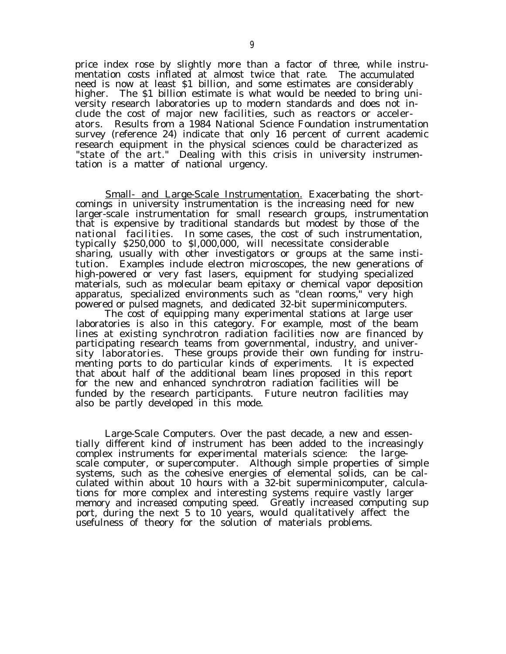price index rose by slightly more than a factor of three, while instrumentation costs inflated at almost twice that rate. The accumulated need is now at least \$1 billion, and some estimates are considerably higher. The \$1 billion estimate is what would be needed to bring university research laboratories up to modern standards and does not include the cost of major new facilities, such as reactors or accelerators. Results from a 1984 National Science Foundation instrumentation survey (reference 24) indicate that only 16 percent of current academic research equipment in the physical sciences could be characterized as "state of the art." Dealing with this crisis in university instrumentation is a matter of national urgency.

Small- and Large-Scale Instrumentation. Exacerbating the shortcomings in university instrumentation is the increasing need for new larger-scale instrumentation for small research groups, instrumentation that is expensive by traditional standards but modest by those of the national facilities. In some cases, the cost of such instrumentation, typically \$250,000 to \$l,000,000, will necessitate considerable sharing, usually with other investigators or groups at the same institution. Examples include electron microscopes, the new generations of high-powered or very fast lasers, equipment for studying specialized materials, such as molecular beam epitaxy or chemical vapor deposition apparatus, specialized environments such as "clean rooms," very high powered or pulsed magnets, and dedicated 32-bit superminicomputers.

The cost of equipping many experimental stations at large user laboratories is also in this category. For example, most of the beam lines at existing synchrotron radiation facilities now are financed by participating research teams from governmental, industry, and university laboratories. These groups provide their own funding for instrumenting ports to do particular kinds of experiments. It is expected that about half of the additional beam lines proposed in this report for the new and enhanced synchrotron radiation facilities will be funded by the research participants. Future neutron facilities may also be partly developed in this mode.

Large-Scale Computers. Over the past decade, a new and essentially different kind of instrument has been added to the increasingly complex instruments for experimental materials science: the largescale computer, or supercomputer. Although simple properties of simple systems, such as the cohesive energies of elemental solids, can be calculated within about 10 hours with a 32-bit superminicomputer, calculations for more complex and interesting systems require vastly larger memory and increased computing speed. Greatly increased computing sup port, during the next 5 to 10 years, would qualitatively affect the usefulness of theory for the solution of materials problems.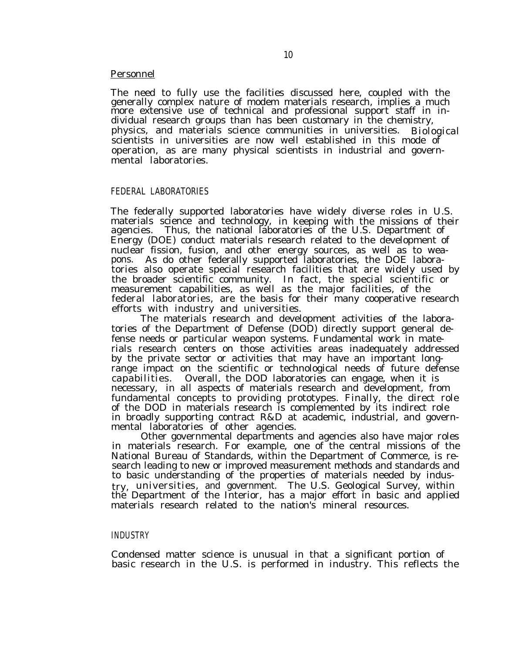#### Personnel

The need to fully use the facilities discussed here, coupled with the generally complex nature of modem materials research, implies a much more extensive use of technical and professional support staff in individual research groups than has been customary in the chemistry, physics, and materials science communities in universities. Biological scientists in universities are now well established in this mode of operation, as are many physical scientists in industrial and governmental laboratories.

#### FEDERAL LABORATORIES

The federally supported laboratories have widely diverse roles in U.S. materials science and technology, in keeping with the missions of their agencies. Thus, the national laboratories of the U.S. Department of Energy (DOE) conduct materials research related to the development of nuclear fission, fusion, and other energy sources, as well as to weapons. As do other federally supported laboratories, the DOE laboratories also operate special research facilities that are widely used by the broader scientific community. In fact, the special scientific or measurement capabilities, as well as the major facilities, of the federal laboratories, are the basis for their many cooperative research efforts with industry and universities.

The materials research and development activities of the laboratories of the Department of Defense (DOD) directly support general defense needs or particular weapon systems. Fundamental work in materials research centers on those activities areas inadequately addressed by the private sector or activities that may have an important longrange impact on the scientific or technological needs of future defense capabilities. Overall, the DOD laboratories can engage, when it is necessary, in all aspects of materials research and development, from fundamental concepts to providing prototypes. Finally, the direct role of the DOD in materials research is complemented by its indirect role in broadly supporting contract R&D at academic, industrial, and governmental laboratories of other agencies.

Other governmental departments and agencies also have major roles in materials research. For example, one of the central missions of the National Bureau of Standards, within the Department of Commerce, is research leading to new or improved measurement methods and standards and to basic understanding of the properties of materials needed by industry, universities, and government. The U.S. Geological Survey, within the Department of the Interior, has a major effort in basic and applied materials research related to the nation's mineral resources.

#### INDUSTRY

Condensed matter science is unusual in that a significant portion of basic research in the U.S. is performed in industry. This reflects the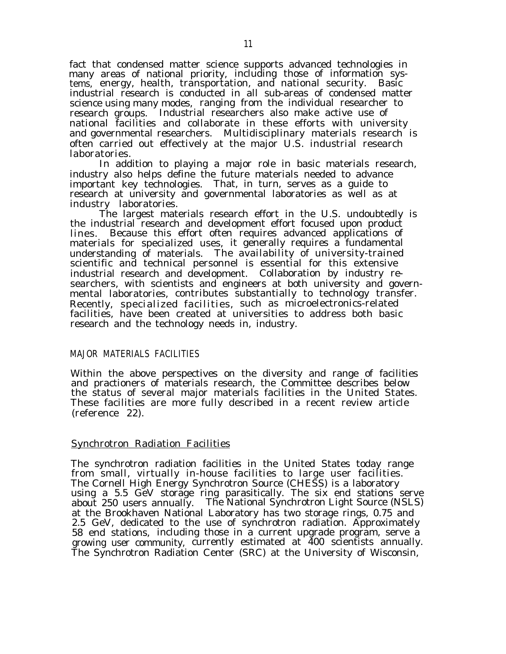fact that condensed matter science supports advanced technologies in many areas of national priority, including those of information systems, energy, health, transportation, and national security. Basic industrial research is conducted in all sub-areas of condensed matter science using many modes, ranging from the individual researcher to research groups. Industrial researchers also make active use of national facilities and collaborate in these efforts with university and governmental researchers. Multidisciplinary materials research is often carried out effectively at the major U.S. industrial research laboratories.

In addition to playing a major role in basic materials research, industry also helps define the future materials needed to advance important key technologies. That, in turn, serves as a guide to research at university and governmental laboratories as well as at industry laboratories.

The largest materials research effort in the U.S. undoubtedly is the industrial research and development effort focused upon product lines. Because this effort often requires advanced applications of materials for specialized uses, it generally requires a fundamental understanding of materials. The availability of university-trained scientific and technical personnel is essential for this extensive industrial research and development. Collaboration by industry researchers, with scientists and engineers at both university and governmental laboratories, contributes substantially to technology transfer. Recently, specialized facilities, such as microelectronics-related facilities, have been created at universities to address both basic research and the technology needs in, industry.

# MAJOR MATERIALS FACILITIES

Within the above perspectives on the diversity and range of facilities and practioners of materials research, the Committee describes below the status of several major materials facilities in the United States. These facilities are more fully described in a recent review article (reference 22).

#### Synchrotron Radiation Facilities

The synchrotron radiation facilities in the United States today range from small, virtually in-house facilities to large user facilities. The Cornell High Energy Synchrotron Source (CHESS) is a laboratory using a 5.5 GeV storage ring parasitically. The six end stations serve about 250 users annually. The National Synchrotron Light Source (NSLS) at the Brookhaven National Laboratory has two storage rings, 0.75 and 2.5 GeV, dedicated to the use of synchrotron radiation. Approximately 58 end stations, including those in a current upgrade program, serve a growing user community, currently estimated at 400 scientists annually. The Synchrotron Radiation Center (SRC) at the University of Wisconsin,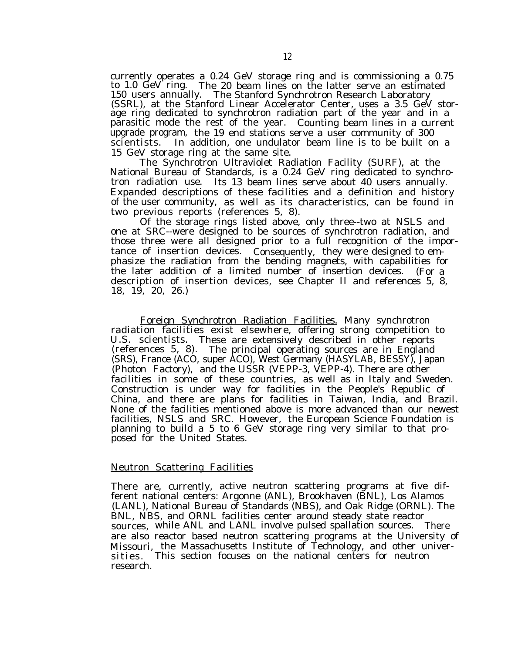currently operates a 0.24 GeV storage ring and is commissioning a 0.75 to 1.0 GeV ring. The 20 beam lines on the latter serve an estimated 150 users annually. The Stanford Synchrotron Research Laboratory (SSRL), at the Stanford Linear Accelerator Center, uses a 3.5 GeV storage ring dedicated to synchrotron radiation part of the year and in a parasitic mode the rest of the year. Counting beam lines in a current upgrade program, the 19 end stations serve a user community of 300 scientists. In addition, one undulator beam line is to be built on a 15 GeV storage ring at the same site.

The Synchrotron Ultraviolet Radiation Facility (SURF), at the National Bureau of Standards, is a 0.24 GeV ring dedicated to synchrotron radiation use. Its 13 beam lines serve about 40 users annually. Expanded descriptions of these facilities and a definition and history of the user community, as well as its characteristics, can be found in two previous reports (references 5, 8).

Of the storage rings listed above, only three--two at NSLS and one at SRC--were designed to be sources of synchrotron radiation, and those three were all designed prior to a full recognition of the importance of insertion devices. Consequently, they were designed to emphasize the radiation from the bending magnets, with capabilities for the later addition of a limited number of insertion devices. (For a description of insertion devices, see Chapter II and references 5, 8, 18, 19, 20, 26.)

Foreign Synchrotron Radiation Facilities. Many synchrotron radiation facilities exist elsewhere, offering strong competition to U.S. scientists. These are extensively described in other reports (references 5, 8). The principal operating sources are in England (SRS), France (ACO, super ACO), West Germany (HASYLAB, BESSY), Japan (Photon Factory), and the USSR (VEPP-3, VEPP-4). There are other facilities in some of these countries, as well as in Italy and Sweden. Construction is under way for facilities in the People's Republic of China, and there are plans for facilities in Taiwan, India, and Brazil. None of the facilities mentioned above is more advanced than our newest facilities, NSLS and SRC. However, the European Science Foundation is planning to build a 5 to 6 GeV storage ring very similar to that proposed for the United States.

#### Neutron Scattering Facilities

There are, currently, active neutron scattering programs at five different national centers: Argonne (ANL), Brookhaven (BNL), Los Alamos (LANL), National Bureau of Standards (NBS), and Oak Ridge (ORNL). The BNL, NBS, and ORNL facilities center around steady state reactor sources. while ANL and LANL involve pulsed spallation sources. There sources, while ANL and LANL involve pulsed spallation sources. are also reactor based neutron scattering programs at the University of Missouri, the Massachusetts Institute of Technology, and other universities. This section focuses on the national centers for neutron research.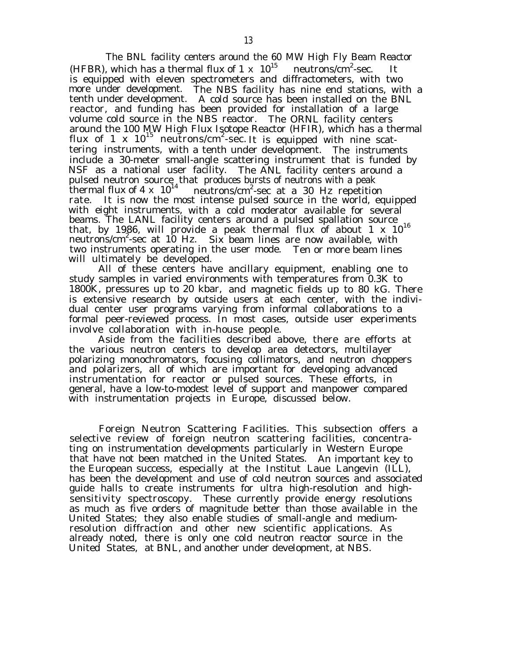The BNL facility centers around the 60 MW High Fly Beam Reactor (HFBR), which has a thermal flux of  $1 \times 10^{15}$  neutrons/cm<sup>2</sup>-sec. It is equipped with eleven spectrometers and diffractometers, with two more under development. The NBS facility has nine end stations, with a tenth under development. A cold source has been installed on the BNL reactor, and funding has been provided for installation of a large<br>volume cold source in the NBS reactor. The ORNL facility centers around the 100 MW High Flux Isotope Reactor (HFIR), which has a thermal flux of 1 x  $10^{15}$  neutrons/cm<sup>2</sup>-sec. It is equipped with nine scattering instruments, with a tenth under development. The instruments include a 30-meter small-angle scattering instrument that is funded by NSF as a national user facility. The ANL facility centers around a pulsed neutron source that produces bursts of neutrons with a peak thermal flux of  $4 \times 10^{14}$  neutrons/cm<sup>2</sup> neutrons/ $\text{cm}^2$ -sec at a 30 Hz repetition rate. It is now the most intense pulsed source in the world, equipped with eight instruments, with a cold moderator available for several beams. The LANL facility centers around a pulsed spallation source that, by 1986, will provide a peak thermal flux of about 1 x  $10^{16}$  $n = \frac{1}{2}$  and  $n = 10$  Hz. Six beam lines are now available, with two instruments operating in the user mode. Ten or more beam lines will ultimately be developed.

All of these centers have ancillary equipment, enabling one to study samples in varied environments with temperatures from 0.3K to 1800K, pressures up to 20 kbar, and magnetic fields up to 80 kG. There is extensive research by outside users at each center, with the individual center user programs varying from informal collaborations to a formal peer-reviewed process. In most cases, outside user experiments involve collaboration with in-house people.

Aside from the facilities described above, there are efforts at the various neutron centers to develop area detectors, multilayer polarizing monochromators, focusing collimators, and neutron choppers and polarizers, all of which are important for developing advanced instrumentation for reactor or pulsed sources. These efforts, in general, have a low-to-modest level of support and manpower compared with instrumentation projects in Europe, discussed below.

Foreign Neutron Scattering Facilities. This subsection offers a selective review of foreign neutron scattering facilities, concentrating on instrumentation developments particularly in Western Europe that have not been matched in the United States. An important key to the European success, especially at the Institut Laue Langevin (ILL), has been the development and use of cold neutron sources and associated guide halls to create instruments for ultra high-resolution and highsensitivity spectroscopy. These currently provide energy resolutions as much as five orders of magnitude better than those available in the United States; they also enable studies of small-angle and mediumresolution diffraction and other new scientific applications. As already noted, there is only one cold neutron reactor source in the United States, at BNL, and another under development, at NBS.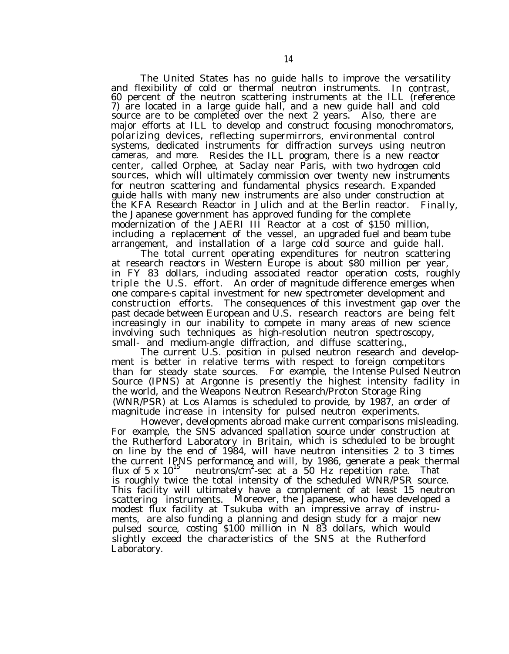The United States has no guide halls to improve the versatility and flexibility of cold or thermal neutron instruments. In contrast, 60 percent of the neutron scattering instruments at the ILL (reference 7) are located in a large guide hall, and a new guide hall and cold source are to be completed over the next 2 years. Also, there are major efforts at ILL to develop and construct focusing monochromators, polarizing devices, reflecting supermirrors, environmental control systems, dedicated instruments for diffraction surveys using neutron cameras, and more. Resides the ILL program, there is a new reactor center, called Orphee, at Saclay near Paris, with two hydrogen cold sources, which will ultimately commission over twenty new instruments for neutron scattering and fundamental physics research. Expanded guide halls with many new instruments are also under construction at the KFA Research Reactor in Julich and at the Berlin reactor. Finally, the Japanese government has approved funding for the complete modernization of the JAERI III Reactor at a cost of \$150 million, including a replacement of the vessel, an upgraded fuel and beam tube arrangement, and installation of a large cold source and guide hall.

The total current operating expenditures for neutron scattering at research reactors in Western Europe is about \$80 million per year, in FY 83 dollars, including associated reactor operation costs, roughly triple the U.S. effort. An order of magnitude difference emerges when one compare-s capital investment for new spectrometer development and construction efforts. The consequences of this investment gap over the past decade between European and U.S. research reactors are being felt increasingly in our inability to compete in many areas of new science involving such techniques as high-resolution neutron spectroscopy, small- and medium-angle diffraction, and diffuse scattering.,

The current U.S. position in pulsed neutron research and development is better in relative terms with respect to foreign competitors than for steady state sources. For example, the Intense Pulsed Neutron Source (IPNS) at Argonne is presently the highest intensity facility in the world, and the Weapons Neutron Research/Proton Storage Ring (WNR/PSR) at Los Alamos is scheduled to provide, by 1987, an order of magnitude increase in intensity for pulsed neutron experiments.

However, developments abroad make current comparisons misleading. For example, the SNS advanced spallation source under construction at the Rutherford Laboratory in Britain, which is scheduled to be brought on line by the end of 1984, will have neutron intensities 2 to 3 times flux of  $5 \times 10^{15}$ the current IPNS performance and will, by 1986, generate a peak thermal neutrons/cm<sup>2</sup> -sec at a 50 Hz repetition rate. That is roughly twice the total intensity of the scheduled WNR/PSR source. This facility will ultimately have a complement of at least 15 neutron scattering instruments. Moreover, the Japanese, who have developed a modest flux facility at Tsukuba with an impressive array of instruments, are also funding a planning and design study for a major new pulsed source, costing \$100 million in N 83 dollars, which would slightly exceed the characteristics of the SNS at the Rutherford Laboratory.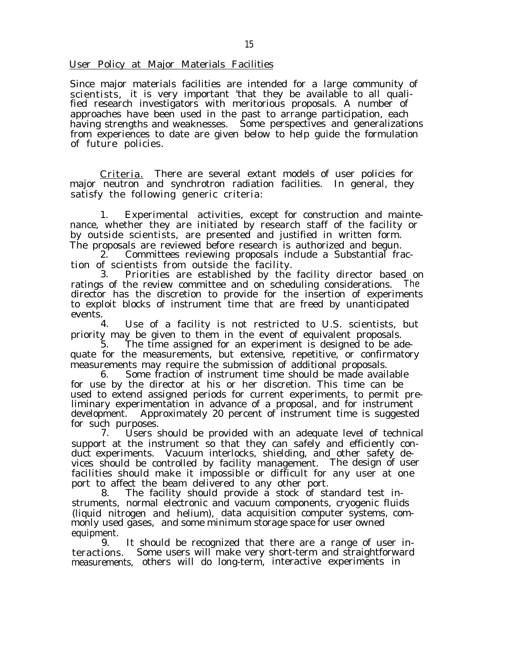User Policy at Major Materials Facilities

Since major materials facilities are intended for a large community of scientists, it is very important 'that they be available to all qualified research investigators with meritorious proposals. A number of approaches have been used in the past to arrange participation, each having strengths and weaknesses. Some perspectives and generalizations from experiences to date are given below to help guide the formulation of future policies.

Criteria. There are several extant models of user policies for major neutron and synchrotron radiation facilities. In general, they satisfy the following generic criteria:

1. Experimental activities, except for construction and maintenance, whether they are initiated by research staff of the facility or by outside scientists, are presented and justified in written form. The proposals are reviewed before research is authorized and begun.

2. Committees reviewing proposals include a Substantial fraction of scientists from outside the facility.

3. Priorities are established by the facility director based on ratings of the review committee and on scheduling considerations. The director has the discretion to provide for the insertion of experiments to exploit blocks of instrument time that are freed by unanticipated events.

4. Use of a facility is not restricted to U.S. scientists, but priority may be given to them in the event of equivalent proposals.

5. The time assigned for an experiment is designed to be adequate for the measurements, but extensive, repetitive, or confirmatory measurements may require the submission of additional proposals.

6. Some fraction of instrument time should be made available for use by the director at his or her discretion. This time can be used to extend assigned periods for current experiments, to permit preliminary experimentation in advance of a proposal, and for instrument development. Approximately 20 percent of instrument time is suggested for such purposes.

7. Users should be provided with an adequate level of technical support at the instrument so that they can safely and efficiently conduct experiments. Vacuum interlocks, shielding, and other safety devices should be controlled by facility management. The design of user facilities should make it impossible or difficult for any user at one port to affect the beam delivered to any other port.

8. The facility should provide a stock of standard test instruments, normal electronic and vacuum components, cryogenic fluids (liquid nitrogen and helium), data acquisition computer systems, commonly used gases, and some minimum storage space for user owned equipment.

9. It should be recognized that there are a range of user interactions. Some users will make very short-term and straightforward measurements, others will do long-term, interactive experiments in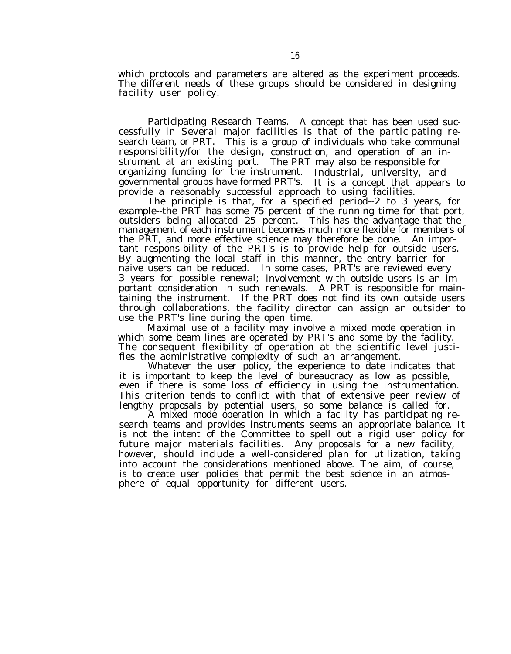which protocols and parameters are altered as the experiment proceeds. The different needs of these groups should be considered in designing facility user policy.

Participating Research Teams. A concept that has been used successfully in Several major facilities is that of the participating research team, or PRT. This is a group of individuals who take communal responsibility/for the design, construction, and operation of an instrument at an existing port. The PRT may also be responsible for organizing funding for the instrument. Industrial, university, and governmental groups have formed PRT's. It is a concept that appears to provide a reasonably successful approach to using facilities.

The principle is that, for a specified period--2 to 3 years, for example--the PRT has some 75 percent of the running time for that port, outsiders being allocated 25 percent. This has the advantage that the management of each instrument becomes much more flexible for members of the PRT, and more effective science may therefore be done. An important responsibility of the PRT's is to provide help for outside users. By augmenting the local staff in this manner, the entry barrier for naive users can be reduced. In some cases, PRT's are reviewed every 3 years for possible renewal; involvement with outside users is an important consideration in such renewals. A PRT is responsible for maintaining the instrument. If the PRT does not find its own outside users through collaborations, the facility director can assign an outsider to use the PRT's line during the open time.

Maximal use of a facility may involve a mixed mode operation in which some beam lines are operated by PRT's and some by the facility. The consequent flexibility of operation at the scientific level justifies the administrative complexity of such an arrangement.

Whatever the user policy, the experience to date indicates that it is important to keep the level of bureaucracy as low as possible, even if there is some loss of efficiency in using the instrumentation. This criterion tends to conflict with that of extensive peer review of lengthy proposals by potential users, so some balance is called for.

A mixed mode operation in which a facility has participating research teams and provides instruments seems an appropriate balance. It is not the intent of the Committee to spell out a rigid user policy for future major materials facilities. Any proposals for a new facility, however, should include a well-considered plan for utilization, taking into account the considerations mentioned above. The aim, of course, is to create user policies that permit the best science in an atmosphere of equal opportunity for different users.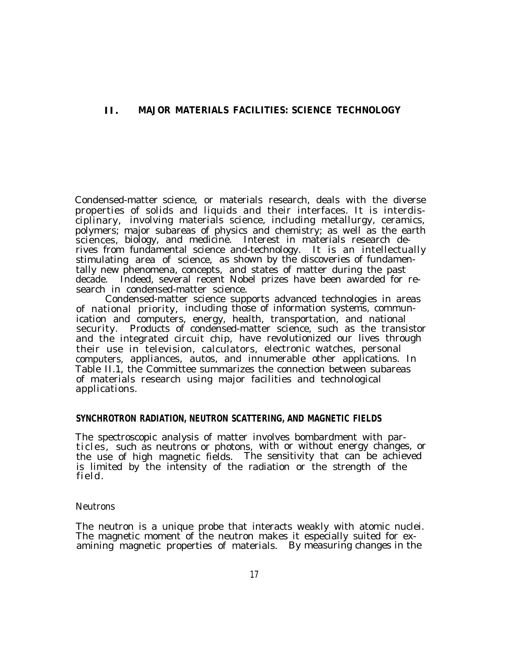### **II. MAJOR MATERIALS FACILITIES: SCIENCE TECHNOLOGY**

Condensed-matter science, or materials research, deals with the diverse properties of solids and liquids and their interfaces. It is interdisciplinary, involving materials science, including metallurgy, ceramics, polymers; major subareas of physics and chemistry; as well as the earth sciences, biology, and medicine. Interest in materials research derives from fundamental science and-technology. It is an intellectually stimulating area of science, as shown by the discoveries of fundamentally new phenomena, concepts, and states of matter during the past decade. Indeed, several recent Nobel prizes have been awarded for research in condensed-matter science.

Condensed-matter science supports advanced technologies in areas of national priority, including those of information systems, communication and computers, energy, health, transportation, and national security. Products of condensed-matter science, such as the transistor and the integrated circuit chip, have revolutionized our lives through their use in television, calculators, electronic watches, personal computers, appliances, autos, and innumerable other applications. In Table II.1, the Committee summarizes the connection between subareas of materials research using major facilities and technological applications.

#### **SYNCHROTRON RADIATION, NEUTRON SCATTERING, AND MAGNETIC FIELDS**

The spectroscopic analysis of matter involves bombardment with particles, such as neutrons or photons, with or without energy changes, or the use of high magnetic fields. The sensitivity that can be achieved is limited by the intensity of the radiation or the strength of the field.

#### Neutrons

The neutron is a unique probe that interacts weakly with atomic nuclei. The magnetic moment of the neutron makes it especially suited for examining magnetic properties of materials. By measuring changes in the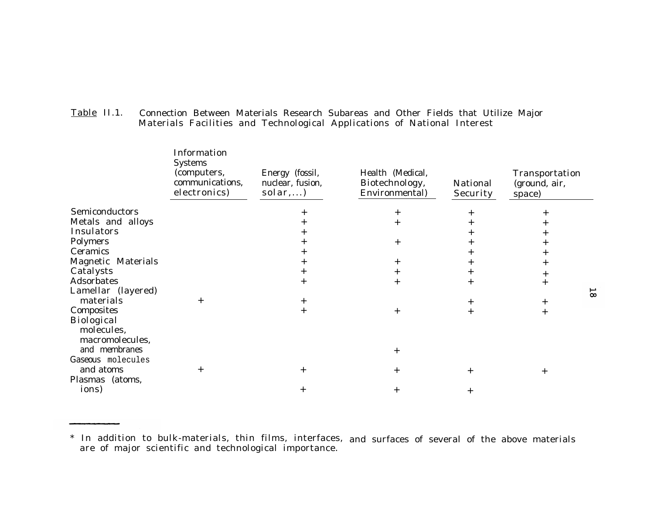|                    | Information<br><b>Systems</b><br>(computers,<br>communications,<br>electronics) | Energy (fossil,<br>nuclear, fusion,<br>solar,) | Health (Medical,<br>Biotechnology,<br>Environmental) | National<br>Security | Transportation<br>(ground, air,<br>space) |                |
|--------------------|---------------------------------------------------------------------------------|------------------------------------------------|------------------------------------------------------|----------------------|-------------------------------------------|----------------|
| Semiconductors     |                                                                                 | $\,{}^+$                                       | $^{+}$                                               | $^{+}$               | $^{+}$                                    |                |
| Metals and alloys  |                                                                                 |                                                | $^{+}$                                               | $\,^+$               | $^{+}$                                    |                |
| Insulators         |                                                                                 |                                                |                                                      | $^+$                 | $^{+}$                                    |                |
| Polymers           |                                                                                 | $\mathrm{+}$                                   | $^{+}$                                               | $\,{}^+$             | $^+$                                      |                |
| Ceramics           |                                                                                 |                                                |                                                      | $\pm$                | $^+$                                      |                |
| Magnetic Materials |                                                                                 | $\mathrm{+}$                                   | $\ddot{}$                                            | $\pm$                | $^{+}$                                    |                |
| Catalysts          |                                                                                 | $^+$                                           | $\mathrm{+}$                                         | $^{+}$               | $\overline{+}$                            |                |
| <b>Adsorbates</b>  |                                                                                 | $\mathrm{+}$                                   | $^{+}$                                               | $^{+}$               | $\ddot{}$                                 |                |
| Lamellar (layered) |                                                                                 |                                                |                                                      |                      |                                           | $\overline{8}$ |
| materials          | $^+$                                                                            | $^{+}$                                         |                                                      | $^{+}$               | $\overline{+}$                            |                |
| Composites         |                                                                                 | $^{+}$                                         | $\mathrm{+}$                                         | $^{+}$               | $\overline{+}$                            |                |
| Biological         |                                                                                 |                                                |                                                      |                      |                                           |                |
| molecules,         |                                                                                 |                                                |                                                      |                      |                                           |                |
| macromolecules,    |                                                                                 |                                                |                                                      |                      |                                           |                |
| and membranes      |                                                                                 |                                                | $^{+}$                                               |                      |                                           |                |
| Gaseous molecules  |                                                                                 |                                                |                                                      |                      |                                           |                |
| and atoms          | $^{+}$                                                                          | $^{+}$                                         | $^+$                                                 | $^{+}$               | $^{+}$                                    |                |
| Plasmas (atoms,    |                                                                                 |                                                |                                                      |                      |                                           |                |
| ions)              |                                                                                 | $^{+}$                                         | $^{+}$                                               | $^{+}$               |                                           |                |

Table II.1. Connection Between Materials Research Subareas and Other Fields that Utilize Major Materials Facilities and Technological Applications of National Interest

<sup>\*</sup> In addition to bulk-materials, thin films, interfaces, and surfaces of several of the above materials are of major scientific and technological importance.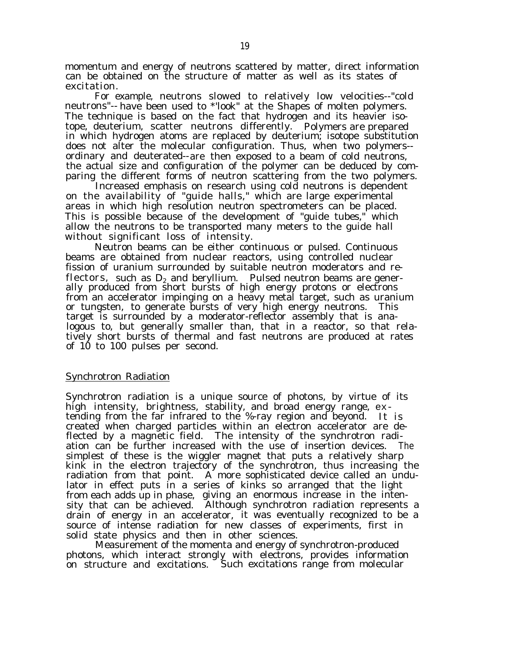momentum and energy of neutrons scattered by matter, direct information can be obtained on the structure of matter as well as its states of excitation.

For example, neutrons slowed to relatively low velocities--"cold neutrons"-- have been used to \*'look" at the Shapes of molten polymers. The technique is based on the fact that hydrogen and its heavier isotope, deuterium, scatter neutrons differently. Polymers are prepared in which hydrogen atoms are replaced by deuterium; isotope substitution does not alter the molecular configuration. Thus, when two polymers- ordinary and deuterated--are then exposed to a beam of cold neutrons, the actual size and configuration of the polymer can be deduced by comparing the different forms of neutron scattering from the two polymers.

Increased emphasis on research using cold neutrons is dependent on the availability of "guide halls," which are large experimental areas in which high resolution neutron spectrometers can be placed. This is possible because of the development of "guide tubes," which allow the neutrons to be transported many meters to the guide hall without significant loss of intensity.

Neutron beams can be either continuous or pulsed. Continuous beams are obtained from nuclear reactors, using controlled nuclear fission of uranium surrounded by suitable neutron moderators and reflectors, such as  $D_2$  and beryllium. Pulsed neutron beams are generally produced from short bursts of high energy protons or electrons from an accelerator impinging on a heavy metal target, such as uranium or tungsten, to generate bursts of very high energy neutrons. This target is surrounded by a moderator-reflector assembly that is analogous to, but generally smaller than, that in a reactor, so that relatively short bursts of thermal and fast neutrons are produced at rates of 10 to 100 pulses per second.

#### Synchrotron Radiation

Synchrotron radiation is a unique source of photons, by virtue of its high intensity, brightness, stability, and broad energy range, extending from the far infrared to the %-ray region and beyond. It is created when charged particles within an electron accelerator are deflected by a magnetic field. The intensity of the synchrotron radiation can be further increased with the use of insertion devices. The simplest of these is the wiggler magnet that puts a relatively sharp kink in the electron trajectory of the synchrotron, thus increasing the radiation from that point. A more sophisticated device called an undulator in effect puts in a series of kinks so arranged that the light from each adds up in phase, giving an enormous increase in the intensity that can be achieved. Although synchrotron radiation represents a drain of energy in an accelerator, it was eventually recognized to be a source of intense radiation for new classes of experiments, first in solid state physics and then in other sciences.

Measurement of the momenta and energy of synchrotron-produced photons, which interact strongly with electrons, provides information on structure and excitations. Such excitations range from molecular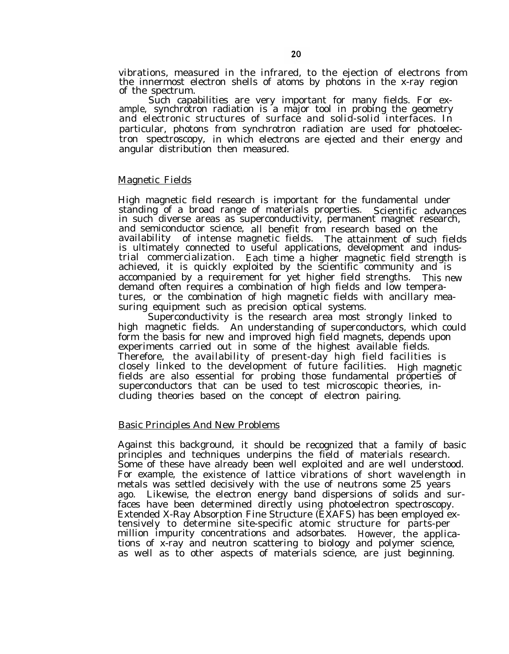vibrations, measured in the infrared, to the ejection of electrons from the innermost electron shells of atoms by photons in the x-ray region of the spectrum.

ample, synchrotron radiation is a major tool in probing the geometry Such capabilities are very important for many fields. For exand electronic structures of surface and solid-solid interfaces. In particular, photons from synchrotron radiation are used for photoelectron spectroscopy, in which electrons are ejected and their energy and angular distribution then measured.

#### Magnetic Fields

High magnetic field research is important for the fundamental under standing of a broad range of materials properties. Scientific advances in such diverse areas as superconductivity, permanent magnet research, and semiconductor science, all benefit from research based on the availability of intense magnetic fields. The attainment of such fields is ultimately connected to useful applications, development and industrial commercialization. Each time a higher magnetic field strength is achieved, it is quickly exploited by the scientific community and is accompanied by a requirement for yet higher field strengths. This new demand often requires a combination of high fields and low temperatures, or the combination of high magnetic fields with ancillary measuring equipment such as precision optical systems.

Superconductivity is the research area most strongly linked to high magnetic fields. An understanding of superconductors, which could form the basis for new and improved high field magnets, depends upon experiments carried out in some of the highest available fields. Therefore, the availability of present-day high field facilities is closely linked to the development of future facilities. High magnetic fields are also essential for probing those fundamental properties of superconductors that can be used to test microscopic theories, including theories based on the concept of electron pairing.

#### Basic Principles And New Problems

Against this background, it should be recognized that a family of basic principles and techniques underpins the field of materials research. Some of these have already been well exploited and are well understood. For example, the existence of lattice vibrations of short wavelength in metals was settled decisively with the use of neutrons some 25 years ago. Likewise, the electron energy band dispersions of solids and surfaces have been determined directly using photoelectron spectroscopy. Extended X-Ray Absorption Fine Structure (EXAFS) has been employed extensively to determine site-specific atomic structure for parts-per million impurity concentrations and adsorbates. However, the applications of x-ray and neutron scattering to biology and polymer science, as well as to other aspects of materials science, are just beginning.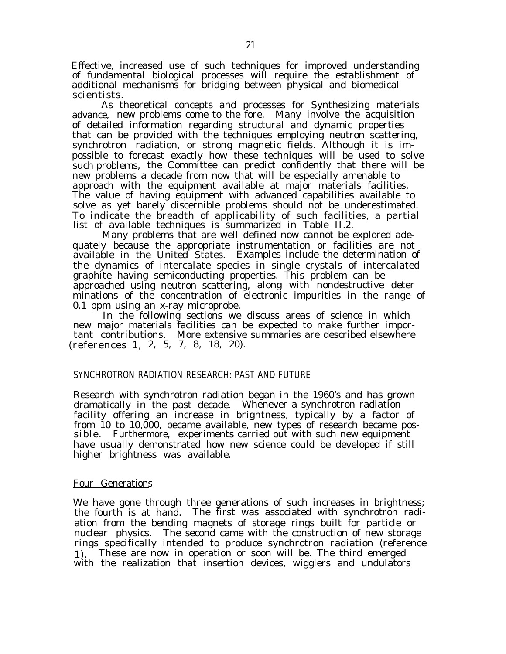Effective, increased use of such techniques for improved understanding of fundamental biological processes will require the establishment of additional mechanisms for bridging between physical and biomedical scientists.

As theoretical concepts and processes for Synthesizing materials advance, new problems come to the fore. Many involve the acquisition of detailed information regarding structural and dynamic properties that can be provided with the techniques employing neutron scattering, synchrotron radiation, or strong magnetic fields. Although it is impossible to forecast exactly how these techniques will be used to solve such problems, the Committee can predict confidently that there will be new problems a decade from now that will be especially amenable to approach with the equipment available at major materials facilities. The value of having equipment with advanced capabilities available to solve as yet barely discernible problems should not be underestimated. To indicate the breadth of applicability of such facilities, a partial list of available techniques is summarized in Table II.2.

Many problems that are well defined now cannot be explored adequately because the appropriate instrumentation or facilities are not available in the United States. Examples include the determination of the dynamics of intercalate species in single crystals of intercalated graphite having semiconducting properties. This problem can be approached using neutron scattering, along with nondestructive deter minations of the concentration of electronic impurities in the range of 0.1 ppm using an x-ray microprobe.

In the following sections we discuss areas of science in which new major materials facilities can be expected to make further important contributions. More extensive summaries are described elsewhere (references 1, 2, 5, 7, 8, 18, 20).

#### SYNCHROTRON RADIATION RESEARCH: PAST AND FUTURE

Research with synchrotron radiation began in the 1960's and has grown dramatically in the past decade. Whenever a synchrotron radiation facility offering an increase in brightness, typically by a factor of from 10 to 10,000, became available, new types of research became possible. Furthermore, experiments carried out with such new equipment have usually demonstrated how new science could be developed if still higher brightness was available.

#### Four Generations

We have gone through three generations of such increases in brightness; the fourth is at hand. The first was associated with synchrotron radiation from the bending magnets of storage rings built for particle or nuclear physics. The second came with the construction of new storage rings specifically intended to produce synchrotron radiation (reference 1). These are now in operation or soon will be. The third emerged with the realization that insertion devices, wigglers and undulators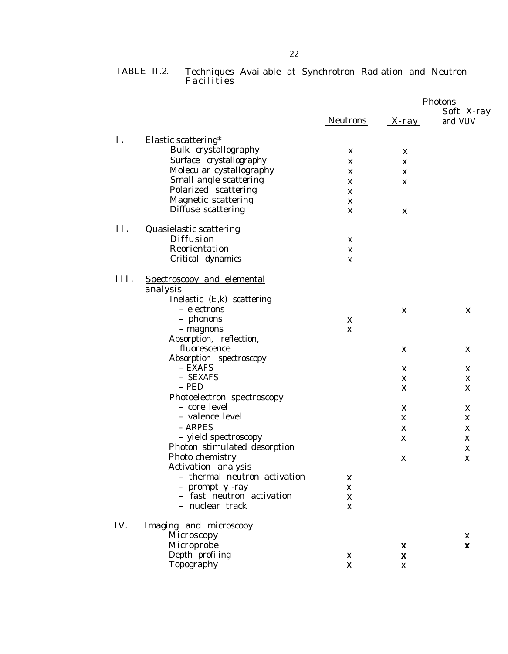TABLE II.2. Techniques Available at Synchrotron Radiation and Neutron Facilities

|      |                              |                 | Photons                        |                           |
|------|------------------------------|-----------------|--------------------------------|---------------------------|
|      |                              |                 |                                | Soft X-ray                |
|      |                              | <b>Neutrons</b> | $X$ -ray                       | and VUV                   |
|      |                              |                 |                                |                           |
| Ι.   | Elastic scattering*          |                 |                                |                           |
|      | Bulk crystallography         | X               | X                              |                           |
|      | Surface crystallography      | X               | X                              |                           |
|      | Molecular cystallography     | X               | X                              |                           |
|      | Small angle scattering       | X               | X                              |                           |
|      | Polarized scattering         | X               |                                |                           |
|      | Magnetic scattering          | X               |                                |                           |
|      | Diffuse scattering           | X               | X                              |                           |
| II.  | Quasielastic scattering      |                 |                                |                           |
|      | Diffusion                    | Х               |                                |                           |
|      | Reorientation                | X               |                                |                           |
|      | Critical dynamics            | Х               |                                |                           |
|      |                              |                 |                                |                           |
| III. | Spectroscopy and elemental   |                 |                                |                           |
|      | <u>analysis</u>              |                 |                                |                           |
|      | Inelastic (E,k) scattering   |                 |                                |                           |
|      | - electrons                  |                 | X                              | X                         |
|      | - phonons                    | X               |                                |                           |
|      | - magnons                    | X               |                                |                           |
|      | Absorption, reflection,      |                 |                                |                           |
|      | fluorescence                 |                 | X                              | X                         |
|      | Absorption spectroscopy      |                 |                                |                           |
|      | - EXAFS                      |                 | X                              | X                         |
|      | - SEXAFS                     |                 | X                              | $\mathbf X$               |
|      | $-$ PED                      |                 | X                              | X                         |
|      | Photoelectron spectroscopy   |                 |                                |                           |
|      | - core level                 |                 | X                              | X                         |
|      | - valence level              |                 | X                              | X                         |
|      | - ARPES                      |                 | X                              | X                         |
|      | - yield spectroscopy         |                 | X                              | X                         |
|      | Photon stimulated desorption |                 |                                | X                         |
|      | Photo chemistry              |                 | X                              | X                         |
|      | Activation analysis          |                 |                                |                           |
|      | - thermal neutron activation | X               |                                |                           |
|      | $-$ prompt $\gamma$ -ray     | X               |                                |                           |
|      | - fast neutron activation    | $\mathbf X$     |                                |                           |
|      | - nuclear track              | X               |                                |                           |
| IV.  | Imaging and microscopy       |                 |                                |                           |
|      | Microscopy                   |                 |                                | X                         |
|      | Microprobe                   |                 |                                | $\boldsymbol{\mathrm{X}}$ |
|      | Depth profiling              | X               | X<br>$\boldsymbol{\mathrm{X}}$ |                           |
|      | Topography                   | X               | X                              |                           |
|      |                              |                 |                                |                           |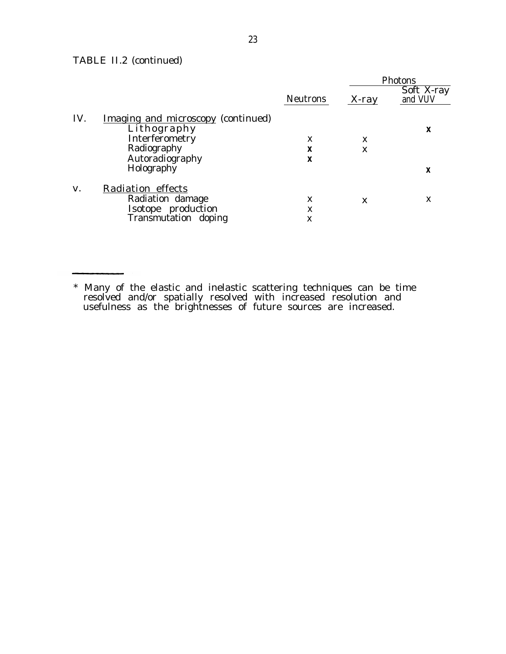TABLE II.2 (continued)

|             |                                                          |                 |         | Photons               |  |
|-------------|----------------------------------------------------------|-----------------|---------|-----------------------|--|
|             |                                                          | <b>Neutrons</b> | $X-ray$ | Soft X-ray<br>and VUV |  |
| IV.         | <u>Imaging and microscopy</u> (continued)<br>Lithography |                 |         | X                     |  |
|             | Interferometry                                           | X               | X       |                       |  |
|             | Radiography                                              | X               | X       |                       |  |
|             | Autoradiography                                          | X               |         |                       |  |
|             | Holography                                               |                 |         | X                     |  |
| $V_{\cdot}$ | Radiation effects                                        |                 |         |                       |  |
|             | Radiation damage                                         | X               | X       | X                     |  |
|             | Isotope production                                       | X               |         |                       |  |
|             | Transmutation doping                                     | X               |         |                       |  |

<sup>\*</sup> Many of the elastic and inelastic scattering techniques can be time resolved and/or spatially resolved with increased resolution and usefulness as the brightnesses of future sources are increased.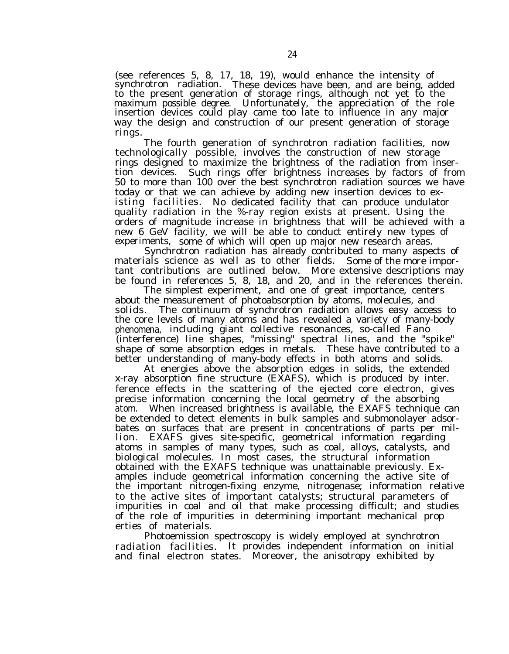(see references 5, 8, 17, 18, 19), would enhance the intensity of synchrotron radiation. These devices have been, and are being, added to the present generation of storage rings, although not yet to the maximum possible degree. Unfortunately, the appreciation of the role insertion devices could play came too late to influence in any major way the design and construction of our present generation of storage rings.

The fourth generation of synchrotron radiation facilities, now technologically possible, involves the construction of new storage rings designed to maximize the brightness of the radiation from insertion devices. Such rings offer brightness increases by factors of from 50 to more than 100 over the best synchrotron radiation sources we have today or that we can achieve by adding new insertion devices to existing facilities. No dedicated facility that can produce undulator quality radiation in the %-ray region exists at present. Using the orders of magnitude increase in brightness that will be achieved with a new 6 GeV facility, we will be able to conduct entirely new types of experiments, some of which will open up major new research areas.

Synchrotron radiation has already contributed to many aspects of materials science as well as to other fields. Some of the more important contributions are outlined below. More extensive descriptions may be found in references 5, 8, 18, and 20, and in the references therein.

The simplest experiment, and one of great importance, centers about the measurement of photoabsorption by atoms, molecules, and solids. The continuum of synchrotron radiation allows easy access to the core levels of many atoms and has revealed a variety of many-body phenomena, including giant collective resonances, so-called Fano (interference) line shapes, "missing" spectral lines, and the "spike" shape of some absorption edges in metals. These have contributed to a better understanding of many-body effects in both atoms and solids.

At energies above the absorption edges in solids, the extended x-ray absorption fine structure (EXAFS), which is produced by inter. ference effects in the scattering of the ejected core electron, gives precise information concerning the local geometry of the absorbing atom. When increased brightness is available, the EXAFS technique can be extended to detect elements in bulk samples and submonolayer adsorbates on surfaces that are present in concentrations of parts per million. EXAFS gives site-specific, geometrical information regarding atoms in samples of many types, such as coal, alloys, catalysts, and biological molecules. In most cases, the structural information obtained with the EXAFS technique was unattainable previously. Examples include geometrical information concerning the active site of the important nitrogen-fixing enzyme, nitrogenase; information relative to the active sites of important catalysts; structural parameters of impurities in coal and oil that make processing difficult; and studies of the role of impurities in determining important mechanical prop erties of materials.

Photoemission spectroscopy is widely employed at synchrotron radiation facilities. It provides independent information on initial and final electron states. Moreover, the anisotropy exhibited by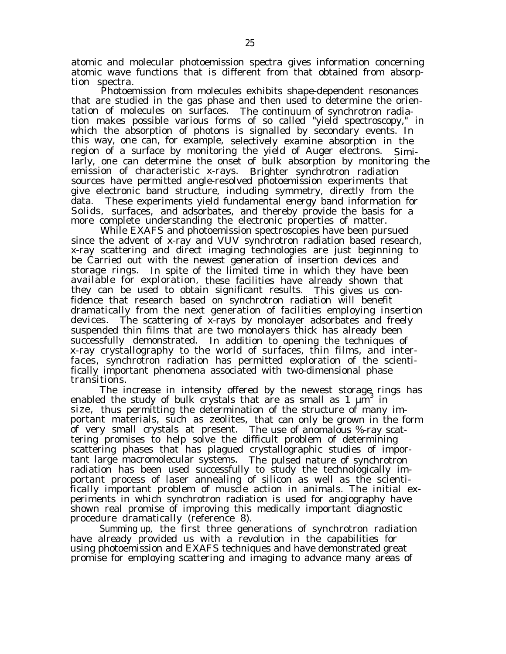atomic and molecular photoemission spectra gives information concerning atomic wave functions that is different from that obtained from absorption spectra.

Photoemission from molecules exhibits shape-dependent resonances that are studied in the gas phase and then used to determine the orientation of molecules on surfaces. The continuum of synchrotron radiation makes possible various forms of so called "yield spectroscopy," in which the absorption of photons is signalled by secondary events. In this way, one can, for example, selectively examine absorption in the region of a surface by monitoring the yield of Auger electrons. Similarly, one can determine the onset of bulk absorption by monitoring the emission of characteristic x-rays. Brighter synchrotron radiation sources have permitted angle-resolved photoemission experiments that give electronic band structure, including symmetry, directly from the data. These experiments yield fundamental energy band information for Solids, surfaces, and adsorbates, and thereby provide the basis for a more complete understanding the electronic properties of matter.

While EXAFS and photoemission spectroscopies have been pursued since the advent of x-ray and VUV synchrotron radiation based research, x-ray scattering and direct imaging technologies are just beginning to be Carried out with the newest generation of insertion devices and storage rings. In spite of the limited time in which they have been available for exploration, these facilities have already shown that they can be used to obtain significant results. This gives us confidence that research based on synchrotron radiation will benefit dramatically from the next generation of facilities employing insertion devices. The scattering of x-rays by monolayer adsorbates and freely suspended thin films that are two monolayers thick has already been successfully demonstrated. In addition to opening the techniques of x-ray crystallography to the world of surfaces, thin films, and interfaces, synchrotron radiation has permitted exploration of the scientifically important phenomena associated with two-dimensional phase transitions.

The increase in intensity offered by the newest storage rings has enabled the study of bulk crystals that are as small as  $1 \mu m^3$  in size, thus permitting the determination of the structure of many important materials, such as zeolites, that can only be grown in the form of very small crystals at present. The use of anomalous %-ray scattering promises to help solve the difficult problem of determining scattering phases that has plagued crystallographic studies of important large macromolecular systems. The pulsed nature of synchrotron radiation has been used successfully to study the technologically important process of laser annealing of silicon as well as the scientifically important problem of muscle action in animals. The initial experiments in which synchrotron radiation is used for angiography have shown real promise of improving this medically important diagnostic procedure dramatically (reference 8).

Summing up, the first three generations of synchrotron radiation have already provided us with a revolution in the capabilities for using photoemission and EXAFS techniques and have demonstrated great promise for employing scattering and imaging to advance many areas of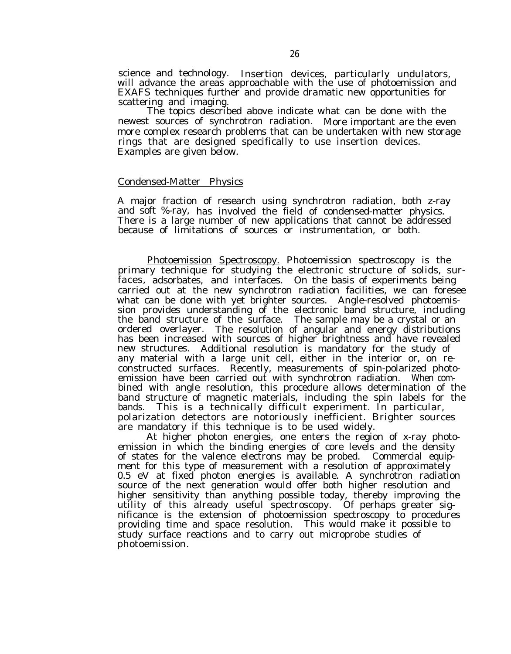science and technology. Insertion devices, particularly undulators, will advance the areas approachable with the use of photoemission and EXAFS techniques further and provide dramatic new opportunities for scattering and imaging.

The topics described above indicate what can be done with the newest sources of synchrotron radiation. More important are the even more complex research problems that can be undertaken with new storage rings that are designed specifically to use insertion devices. Examples are given below.

#### Condensed-Matter Physics

A major fraction of research using synchrotron radiation, both z-ray and soft %-ray, has involved the field of condensed-matter physics. There is a large number of new applications that cannot be addressed because of limitations of sources or instrumentation, or both.

Photoemission Spectroscopy. Photoemission spectroscopy is the primary technique for studying the electronic structure of solids, surfaces, adsorbates, and interfaces. On the basis of experiments being carried out at the new synchrotron radiation facilities, we can foresee what can be done with yet brighter sources. Angle-resolved photoemission provides understanding of the electronic band structure, including the band structure of the surface. The sample may be a crystal or an ordered overlayer. The resolution of angular and energy distributions has been increased with sources of higher brightness and have revealed new structures. Additional resolution is mandatory for the study of any material with a large unit cell, either in the interior or, on reconstructed surfaces. Recently, measurements of spin-polarized photoemission have been carried out with synchrotron radiation. When combined with angle resolution, this procedure allows determination of the band structure of magnetic materials, including the spin labels for the bands. This is a technically difficult experiment. In particular, polarization detectors are notoriously inefficient. Brighter sources are mandatory if this technique is to be used widely.

At higher photon energies, one enters the region of x-ray photoemission in which the binding energies of core levels and the density of states for the valence electrons may be probed. Commercial equipment for this type of measurement with a resolution of approximately 0.5 eV at fixed photon energies is available. A synchrotron radiation source of the next generation would offer both higher resolution and higher sensitivity than anything possible today, thereby improving the utility of this already useful spectroscopy. Of perhaps greater significance is the extension of photoemission spectroscopy to procedures providing time and space resolution. This would make it possible to study surface reactions and to carry out microprobe studies of photoemission.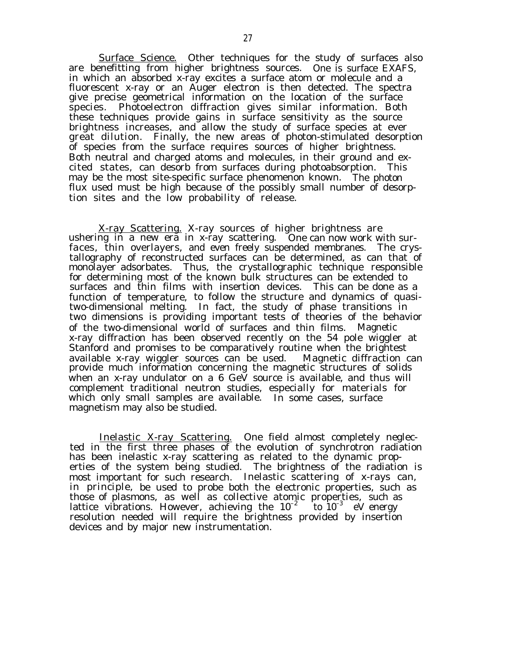Surface Science. Other techniques for the study of surfaces also are benefitting from higher brightness sources. One is surface EXAFS, in which an absorbed x-ray excites a surface atom or molecule and a fluorescent x-ray or an Auger electron is then detected. The spectra give precise geometrical information on the location of the surface species. Photoelectron diffraction gives similar information. Both these techniques provide gains in surface sensitivity as the source brightness increases, and allow the study of surface species at ever great dilution. Finally, the new areas of photon-stimulated desorption of species from the surface requires sources of higher brightness. Both neutral and charged atoms and molecules, in their ground and excited states, can desorb from surfaces during photoabsorption. This may be the most site-specific surface phenomenon known. The photon flux used must be high because of the possibly small number of desorption sites and the low probability of release.

X-ray Scattering. X-ray sources of higher brightness are ushering in a new era in x-ray scattering. One can now work with surfaces, thin overlayers, and even freely suspended membranes. The crystallography of reconstructed surfaces can be determined, as can that of monolayer adsorbates. Thus, the crystallographic technique responsible for determining most of the known bulk structures can be extended to surfaces and thin films with insertion devices. This can be done as a function of temperature, to follow the structure and dynamics of quasitwo-dimensional melting. In fact, the study of phase transitions in two dimensions is providing important tests of theories of the behavior of the two-dimensional world of surfaces and thin films. Magnetic x-ray diffraction has been observed recently on the 54 pole wiggler at Stanford and promises to be comparatively routine when the brightest available x-ray wiggler sources can be used. Magnetic diffraction can provide much information concerning the magnetic structures of solids when an x-ray undulator on a  $6 \text{ GeV}$  source is available, and thus will complement traditional neutron studies, especially for materials for which only small samples are available. In some cases, surface magnetism may also be studied.

Inelastic X-ray Scattering. One field almost completely neglected in the first three phases of the evolution of synchrotron radiation has been inelastic x-ray scattering as related to the dynamic properties of the system being studied. The brightness of the radiation is most important for such research. Inelastic scattering of x-rays can, in principle, be used to probe both the electronic properties, such as those of plasmons, as well as collective atomic properties, such as lattice vibrations. However, achieving the  $10^{-2}$  to  $10^{-3}$  eV energy resolution needed will require the brightness provided by insertion devices and by major new instrumentation.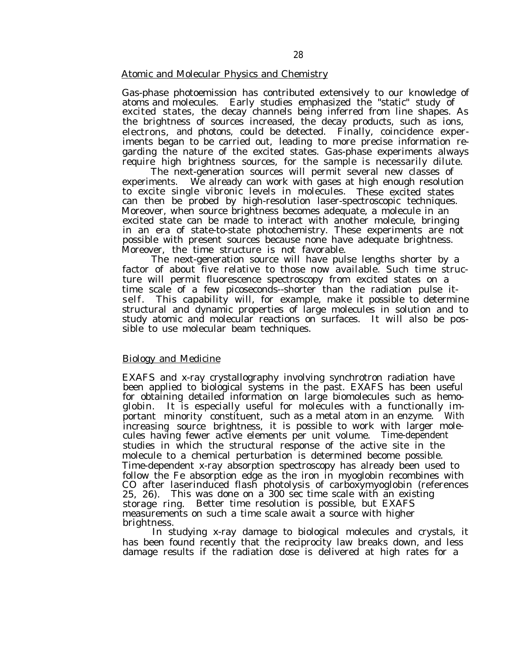# Atomic and Molecular Physics and Chemistry

Gas-phase photoemission has contributed extensively to our knowledge of atoms and molecules. Early studies emphasized the "static" study of excited states, the decay channels being inferred from line shapes. As the brightness of sources increased, the decay products, such as ions, electrons, and photons, could be detected. Finally, coincidence experiments began to be carried out, leading to more precise information regarding the nature of the excited states. Gas-phase experiments always require high brightness sources, for the sample is necessarily dilute.

The next-generation sources will permit several new classes of experiments. We already can work with gases at high enough resolution to excite single vibronic levels in molecules. These excited states can then be probed by high-resolution laser-spectroscopic techniques. Moreover, when source brightness becomes adequate, a molecule in an excited state can be made to interact with another molecule, bringing in an era of state-to-state photochemistry. These experiments are not possible with present sources because none have adequate brightness. Moreover, the time structure is not favorable.

The next-generation source will have pulse lengths shorter by a factor of about five relative to those now available. Such time structure will permit fluorescence spectroscopy from excited states on a time scale of a few picoseconds--shorter than the radiation pulse itself. This capability will, for example, make it possible to determine structural and dynamic properties of large molecules in solution and to study atomic and molecular reactions on surfaces. It will also be possible to use molecular beam techniques.

# Biology and Medicine

EXAFS and x-ray crystallography involving synchrotron radiation have been applied to biological systems in the past. EXAFS has been useful for obtaining detailed information on large biomolecules such as hemoglobin. It is especially useful for molecules with a functionally important minority constituent, such as a metal atom in an enzyme. With increasing source brightness, it is possible to work with larger molecules having fewer active elements per unit volume. Time-dependent studies in which the structural response of the active site in the molecule to a chemical perturbation is determined become possible. Time-dependent x-ray absorption spectroscopy has already been used to follow the Fe absorption edge as the iron in myoglobin recombines with CO after laserinduced flash photolysis of carboxymyoglobin (references 25, 26). This was done on a 300 sec time scale with an existing storage ring. Better time resolution is possible, but EXAFS measurements on such a time scale await a source with higher brightness.

In studying x-ray damage to biological molecules and crystals, it has been found recently that the reciprocity law breaks down, and less damage results if the radiation dose is delivered at high rates for a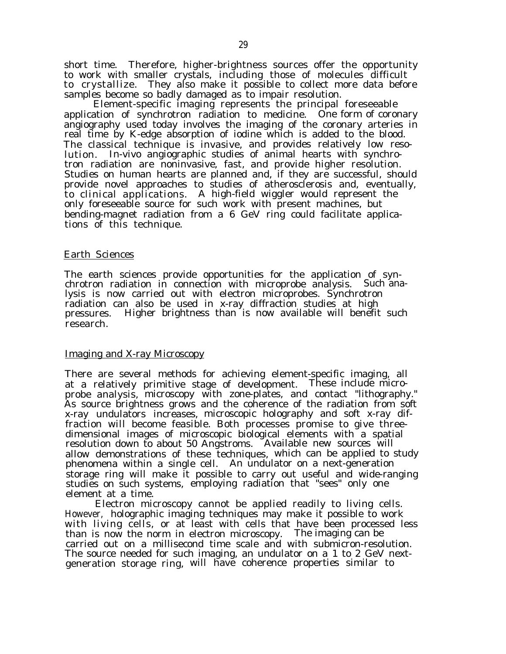short time. Therefore, higher-brightness sources offer the opportunity to work with smaller crystals, including those of molecules difficult to crystallize. They also make it possible to collect more data before samples become so badly damaged as to impair resolution.

Element-specific imaging represents the principal foreseeable application of synchrotron radiation to medicine. One form of coronary angiography used today involves the imaging of the coronary arteries in real time by K-edge absorption of iodine which is added to the blood. The classical technique is invasive, and provides relatively low resolution. In-vivo angiographic studies of animal hearts with synchrotron radiation are noninvasive, fast, and provide higher resolution. Studies on human hearts are planned and, if they are successful, should provide novel approaches to studies of atherosclerosis and, eventually, to clinical applications. A high-field wiggler would represent the only foreseeable source for such work with present machines, but bending-magnet radiation from a 6 GeV ring could facilitate applications of this technique.

## Earth Sciences

The earth sciences provide opportunities for the application of synchrotron radiation in connection with microprobe analysis. Such analysis is now carried out with electron microprobes. Synchrotron radiation can also be used in x-ray diffraction studies at high pressures. Higher brightness than is now available will benefit such research.

## Imaging and X-ray Microscopy

There are several methods for achieving element-specific imaging, all at a relatively primitive stage of development. These include microprobe analysis, microscopy with zone-plates, and contact "lithography." As source brightness grows and the coherence of the radiation from soft x-ray undulators increases, microscopic holography and soft x-ray diffraction will become feasible. Both processes promise to give threedimensional images of microscopic biological elements with a spatial resolution down to about 50 Angstroms. Available new sources will allow demonstrations of these techniques, which can be applied to study phenomena within a single cell. An undulator on a next-generation storage ring will make it possible to carry out useful and wide-ranging studies on such systems, employing radiation that "sees" only one element at a time.

Electron microscopy cannot be applied readily to living cells. However, holographic imaging techniques may make it possible to work with living cells, or at least with cells that have been processed less than is now the norm in electron microscopy. The imaging can be carried out on a millisecond time scale and with submicron-resolution. The source needed for such imaging, an undulator on a 1 to 2 GeV nextgeneration storage ring, will have coherence properties similar to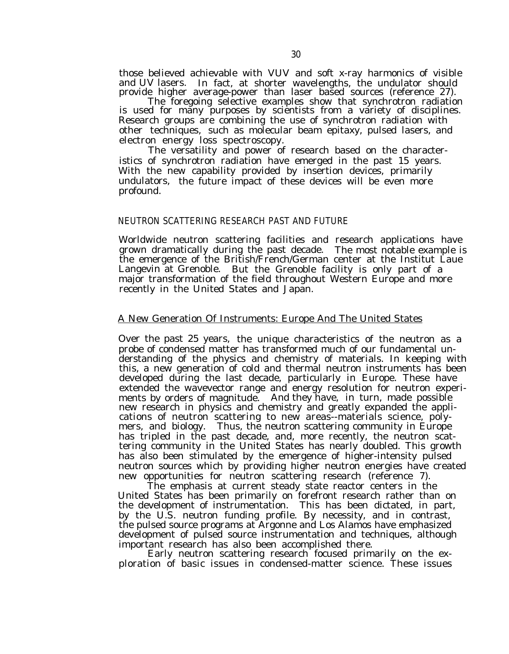those believed achievable with VUV and soft x-ray harmonics of visible and UV lasers. In fact, at shorter wavelengths, the undulator should provide higher average-power than laser based sources (reference 27).

The foregoing selective examples show that synchrotron radiation is used for many purposes by scientists from a variety of disciplines. Research groups are combining the use of synchrotron radiation with other techniques, such as molecular beam epitaxy, pulsed lasers, and electron energy loss spectroscopy.

The versatility and power of research based on the characteristics of synchrotron radiation have emerged in the past 15 years. With the new capability provided by insertion devices, primarily undulators, the future impact of these devices will be even more profound.

# NEUTRON SCATTERING RESEARCH PAST AND FUTURE

Worldwide neutron scattering facilities and research applications have grown dramatically during the past decade. The most notable example is the emergence of the British/French/German center at the Institut Laue Langevin at Grenoble. But the Grenoble facility is only part of a major transformation of the field throughout Western Europe and more recently in the United States and Japan.

# A New Generation Of Instruments: Europe And The United States

Over the past 25 years, the unique characteristics of the neutron as a probe of condensed matter has transformed much of our fundamental understanding of the physics and chemistry of materials. In keeping with this, a new generation of cold and thermal neutron instruments has been developed during the last decade, particularly in Europe. These have extended the wavevector range and energy resolution for neutron experiments by orders of magnitude. And they have, in turn, made possible new research in physics and chemistry and greatly expanded the applications of neutron scattering to new areas--materials science, polymers, and biology. Thus, the neutron scattering community in Europe has tripled in the past decade, and, more recently, the neutron scattering community in the United States has nearly doubled. This growth has also been stimulated by the emergence of higher-intensity pulsed neutron sources which by providing higher neutron energies have created new opportunities for neutron scattering research (reference 7).

The emphasis at current steady state reactor centers in the United States has been primarily on forefront research rather than on the development of instrumentation. This has been dictated, in part, by the U.S. neutron funding profile. By necessity, and in contrast, the pulsed source programs at Argonne and Los Alamos have emphasized development of pulsed source instrumentation and techniques, although important research has also been accomplished there.

Early neutron scattering research focused primarily on the exploration of basic issues in condensed-matter science. These issues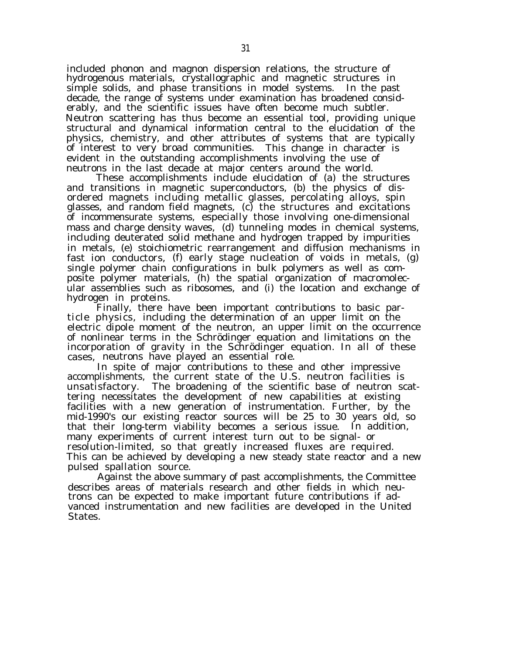included phonon and magnon dispersion relations, the structure of hydrogenous materials, crystallographic and magnetic structures in simple solids, and phase transitions in model systems. In the past decade, the range of systems under examination has broadened considerably, and the scientific issues have often become much subtler. Neutron scattering has thus become an essential tool, providing unique structural and dynamical information central to the elucidation of the physics, chemistry, and other attributes of systems that are typically of interest to very broad communities. This change in character is evident in the outstanding accomplishments involving the use of neutrons in the last decade at major centers around the world.

These accomplishments include elucidation of (a) the structures and transitions in magnetic superconductors, (b) the physics of disordered magnets including metallic glasses, percolating alloys, spin glasses, and random field magnets, (c) the structures and excitations of incommensurate systems, especially those involving one-dimensional mass and charge density waves, (d) tunneling modes in chemical systems, including deuterated solid methane and hydrogen trapped by impurities in metals, (e) stoichiometric rearrangement and diffusion mechanisms in fast ion conductors, (f) early stage nucleation of voids in metals, (g) single polymer chain configurations in bulk polymers as well as composite polymer materials, (h) the spatial organization of macromolecular assemblies such as ribosomes, and (i) the location and exchange of hydrogen in proteins.

Finally, there have been important contributions to basic particle physics, including the determination of an upper limit on the electric dipole moment of the neutron, an upper limit on the occurrence of nonlinear terms in the Schrödinger equation and limitations on the incorporation of gravity in the Schrödinger equation. In all of these cases, neutrons have played an essential role.

In spite of major contributions to these and other impressive accomplishments, the current state of the U.S. neutron facilities is unsatisfactory. The broadening of the scientific base of neutron scattering necessitates the development of new capabilities at existing facilities with a new generation of instrumentation. Further, by the mid-1990's our existing reactor sources will be 25 to 30 years old, so that their long-term viability becomes a serious issue. In addition, many experiments of current interest turn out to be signal- or resolution-limited, so that greatly increased fluxes are required. This can be achieved by developing a new steady state reactor and a new pulsed spallation source.

Against the above summary of past accomplishments, the Committee describes areas of materials research and other fields in which neutrons can be expected to make important future contributions if advanced instrumentation and new facilities are developed in the United States.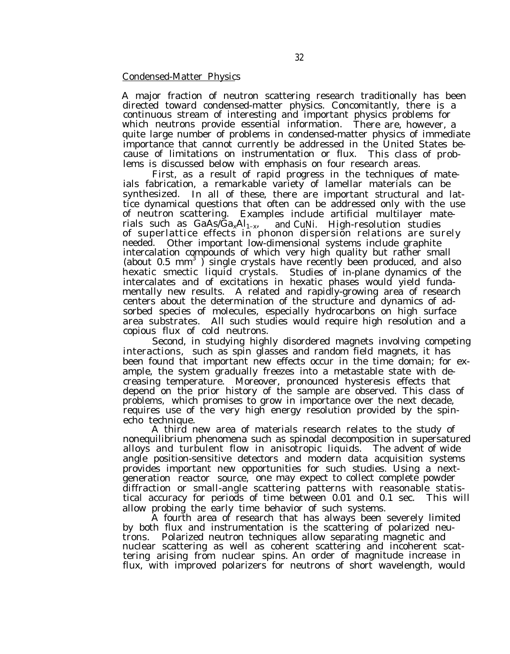# Condensed-Matter Physics

A major fraction of neutron scattering research traditionally has been directed toward condensed-matter physics. Concomitantly, there is a continuous stream of interesting and important physics problems for which neutrons provide essential information. There are, however, a quite large number of problems in condensed-matter physics of immediate importance that cannot currently be addressed in the United States because of limitations on instrumentation or flux. This class of problems is discussed below with emphasis on four research areas.

First, as a result of rapid progress in the techniques of mateials fabrication, a remarkable variety of lamellar materials can be synthesized. In all of these, there are important structural and lattice dynamical questions that often can be addressed only with the use of neutron scattering. Examples include artificial multilayer mate-<br>rials such as  $GaAs/Ga_xAl_{1-x}$ , and CuNi. High-resolution studies and CuNi. High-resolution studies of superlattice effects in phonon dispersion relations are surely needed. Other important low-dimensional systems include graphite intercalation compounds of which very high quality but rather small (about 0.5 mm<sup>3</sup>) single crystals have recently been produced, and also hexatic smectic liquid crystals. Studies of in-plane dynamics of the intercalates and of excitations in hexatic phases would yield fundamentally new results. A related and rapidly-growing area of research centers about the determination of the structure and dynamics of adsorbed species of molecules, especially hydrocarbons on high surface area substrates. All such studies would require high resolution and a copious flux of cold neutrons.

Second, in studying highly disordered magnets involving competing interactions, such as spin glasses and random field magnets, it has been found that important new effects occur in the time domain; for example, the system gradually freezes into a metastable state with decreasing temperature. Moreover, pronounced hysteresis effects that depend on the prior history of the sample are observed. This class of problems, which promises to grow in importance over the next decade, requires use of the very high energy resolution provided by the spinecho technique.

A third new area of materials research relates to the study of nonequilibrium phenomena such as spinodal decomposition in supersatured alloys and turbulent flow in anisotropic liquids. The advent of wide angle position-sensitive detectors and modern data acquisition systems provides important new opportunities for such studies. Using a nextgeneration reactor source, one may expect to collect complete powder diffraction or small-angle scattering patterns with reasonable statistical accuracy for periods of time between 0.01 and 0.1 sec. This will allow probing the early time behavior of such systems.

A fourth area of research that has always been severely limited by both flux and instrumentation is the scattering of polarized neutrons. Polarized neutron techniques allow separating magnetic and nuclear scattering as well as coherent scattering and incoherent scattering arising from nuclear spins. An order of magnitude increase in flux, with improved polarizers for neutrons of short wavelength, would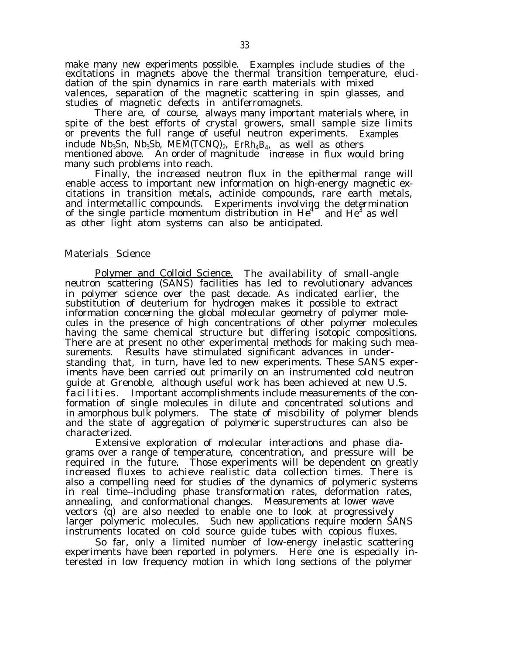make many new experiments possible. Examples include studies of the excitations in magnets above the thermal transition temperature, elucidation of the spin dynamics in rare earth materials with mixed valences, separation of the magnetic scattering in spin glasses, and studies of magnetic defects in antiferromagnets.

There are, of course, always many important materials where, in spite of the best efforts of crystal growers, small sample size limits or prevents the full range of useful neutron experiments. Examples include  $Nb_3Sn, Nb_3Sb, MEM(TCNQ)_2, ErRh_4B_4,$  as well as others mentioned above. An order of magnitude increase in flux would bring many such problems into reach.

Finally, the increased neutron flux in the epithermal range will enable access to important new information on high-energy magnetic excitations in transition metals, actinide compounds, rare earth metals, and intermetallic compounds. Experiments involving the determination of the single particle momentum distribution in  $He<sup>4</sup>$  and  $He<sup>3</sup>$  as well as other light atom systems can also be anticipated.

# Materials Science

Polymer and Colloid Science. The availability of small-angle neutron scattering (SANS) facilities has led to revolutionary advances in polymer science over the past decade. As indicated earlier, the substitution of deuterium for hydrogen makes it possible to extract information concerning the global molecular geometry of polymer molecules in the presence of high concentrations of other polymer molecules having the same chemical structure but differing isotopic compositions. There are at present no other experimental methods for making such measurements. Results have stimulated significant advances in understanding that, in turn, have led to new experiments. These SANS experiments have been carried out primarily on an instrumented cold neutron guide at Grenoble, although useful work has been achieved at new U.S. facilities. Important accomplishments include measurements of the conformation of single molecules in dilute and concentrated solutions and in amorphous bulk polymers. The state of miscibility of polymer blends and the state of aggregation of polymeric superstructures can also be characterized.

Extensive exploration of molecular interactions and phase diagrams over a range of temperature, concentration, and pressure will be required in the future. Those experiments will be dependent on greatly increased fluxes to achieve realistic data collection times. There is also a compelling need for studies of the dynamics of polymeric systems in real time--including phase transformation rates, deformation rates, annealing, and conformational changes. Measurements at lower wave vectors (q) are also needed to enable one to look at progressively larger polymeric molecules. Such new applications require modern SANS instruments located on cold source guide tubes with copious fluxes.

So far, only a limited number of low-energy inelastic scattering experiments have been reported in polymers. Here one is especially interested in low frequency motion in which long sections of the polymer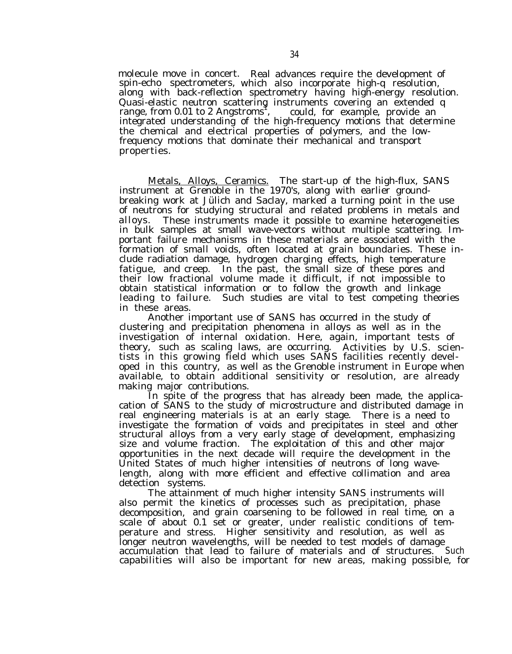molecule move in concert. Real advances require the development of spin-echo spectrometers, which also incorporate high-q resolution, along with back-reflection spectrometry having high-energy resolution. Quasi-elastic neutron scattering instruments covering an extended q range, from  $0.01$  to 2 Angstroms<sup>1</sup>, , could, for example, provide an integrated understanding of the high-frequency motions that determine the chemical and electrical properties of polymers, and the lowfrequency motions that dominate their mechanical and transport properties.

Metals, Alloys, Ceramics. The start-up of the high-flux, SANS instrument at Grenoble in the 1970's, along with earlier groundbreaking work at Jülich and Saclay, marked a turning point in the use of neutrons for studying structural and related problems in metals and alloys. These instruments made it possible to examine heterogeneities in bulk samples at small wave-vectors without multiple scattering. Important failure mechanisms in these materials are associated with the formation of small voids, often located at grain boundaries. These include radiation damage, hydrogen charging effects, high temperature fatigue, and creep. In the past, the small size of these pores and their low fractional volume made it difficult, if not impossible to obtain statistical information or to follow the growth and linkage leading to failure. Such studies are vital to test competing theories in these areas.

Another important use of SANS has occurred in the study of clustering and precipitation phenomena in alloys as well as in the investigation of internal oxidation. Here, again, important tests of theory, such as scaling laws, are occurring. Activities by U.S. scientists in this growing field which uses SANS facilities recently developed in this country, as well as the Grenoble instrument in Europe when available, to obtain additional sensitivity or resolution, are already making major contributions.

In spite of the progress that has already been made, the applicacation of SANS to the study of microstructure and distributed damage in real engineering materials is at an early stage. There is a need to investigate the formation of voids and precipitates in steel and other structural alloys from a very early stage of development, emphasizing size and volume fraction. The exploitation of this and other major opportunities in the next decade will require the development in the United States of much higher intensities of neutrons of long wavelength, along with more efficient and effective collimation and area detection systems.

The attainment of much higher intensity SANS instruments will also permit the kinetics of processes such as precipitation, phase decomposition, and grain coarsening to be followed in real time, on a scale of about 0.1 set or greater, under realistic conditions of temperature and stress. Higher sensitivity and resolution, as well as longer neutron wavelengths, will be needed to test models of damage accumulation that lead to failure of materials and of structures. Such capabilities will also be important for new areas, making possible, for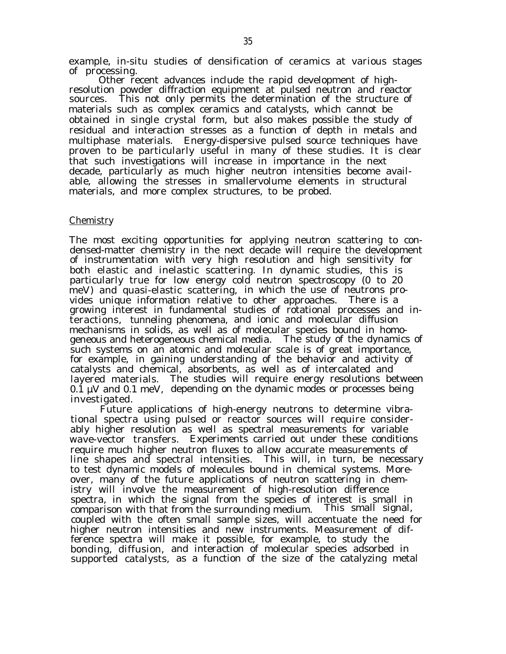example, in-situ studies of densification of ceramics at various stages of processing.

Other recent advances include the rapid development of highresolution powder diffraction equipment at pulsed neutron and reactor sources. This not only permits the determination of the structure of materials such as complex ceramics and catalysts, which cannot be obtained in single crystal form, but also makes possible the study of residual and interaction stresses as a function of depth in metals and multiphase materials. Energy-dispersive pulsed source techniques have proven to be particularly useful in many of these studies. It is clear that such investigations will increase in importance in the next decade, particularly as much higher neutron intensities become available, allowing the stresses in smallervolume elements in structural materials, and more complex structures, to be probed.

## **Chemistry**

The most exciting opportunities for applying neutron scattering to condensed-matter chemistry in the next decade will require the development of instrumentation with very high resolution and high sensitivity for both elastic and inelastic scattering. In dynamic studies, this is particularly true for low energy cold neutron spectroscopy (0 to 20 meV) and quasi-elastic scattering, in which the use of neutrons provides unique information relative to other approaches. There is a growing interest in fundamental studies of rotational processes and interactions, tunneling phenomena, and ionic and molecular diffusion mechanisms in solids, as well as of molecular species bound in homogeneous and heterogeneous chemical media. The study of the dynamics of such systems on an atomic and molecular scale is of great importance, for example, in gaining understanding of the behavior and activity of catalysts and chemical, absorbents, as well as of intercalated and layered materials. The studies will require energy resolutions between  $0.\dot{1}$   $\mu$ V and  $0.1$  meV, depending on the dynamic modes or processes being investigated.

Future applications of high-energy neutrons to determine vibrational spectra using pulsed or reactor sources will require considerably higher resolution as well as spectral measurements for variable wave-vector transfers. Experiments carried out under these conditions require much higher neutron fluxes to allow accurate measurements of line shapes and spectral intensities. This will, in turn, be necessary to test dynamic models of molecules bound in chemical systems. Moreover, many of the future applications of neutron scattering in chemistry will involve the measurement of high-resolution difference spectra, in which the signal from the species of interest is small in comparison with that from the surrounding medium. This small signal, coupled with the often small sample sizes, will accentuate the need for higher neutron intensities and new instruments. Measurement of difference spectra will make it possible, for example, to study the bonding, diffusion, and interaction of molecular species adsorbed in supported catalysts, as a function of the size of the catalyzing metal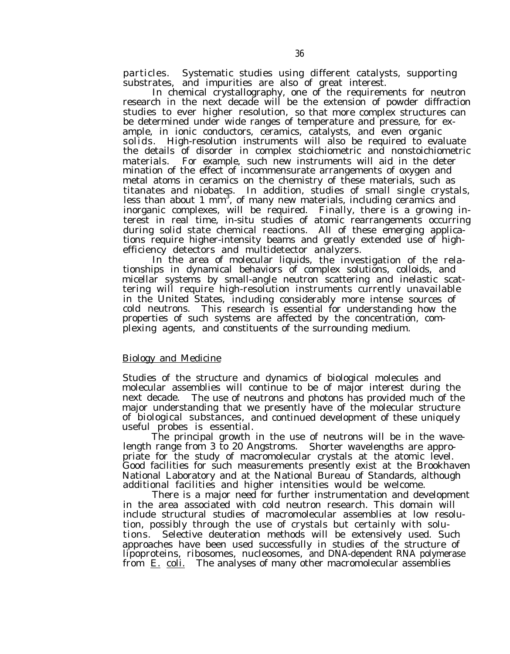particles. Systematic studies using different catalysts, supporting substrates, and impurities are also of great interest.

In chemical crystallography, one of the requirements for neutron research in the next decade will be the extension of powder diffraction studies to ever higher resolution, so that more complex structures can be determined under wide ranges of temperature and pressure, for example, in ionic conductors, ceramics, catalysts, and even organic solids. High-resolution instruments will also be required to evaluate the details of disorder in complex stoichiometric and nonstoichiometric materials. For example, such new instruments will aid in the deter mination of the effect of incommensurate arrangements of oxygen and metal atoms in ceramics on the chemistry of these materials, such as titanates and niobates. In addition, studies of small single crystals, less than about 1 mm<sup>3</sup>, of many new materials, including ceramics and inorganic complexes, will be required. Finally, there is a growing interest in real time, in-situ studies of atomic rearrangements occurring during solid state chemical reactions. All of these emerging applications require higher-intensity beams and greatly extended use of highefficiency detectors and multidetector analyzers.

In the area of molecular liquids, the investigation of the relationships in dynamical behaviors of complex solutions, colloids, and micellar systems by small-angle neutron scattering and inelastic scattering will require high-resolution instruments currently unavailable in the United States, including considerably more intense sources of cold neutrons. This research is essential for understanding how the properties of such systems are affected by the concentration, complexing agents, and constituents of the surrounding medium.

# Biology and Medicine

Studies of the structure and dynamics of biological molecules and molecular assemblies will continue to be of major interest during the next decade. The use of neutrons and photons has provided much of the major understanding that we presently have of the molecular structure of biological substances, and continued development of these uniquely useful probes is essential.

The principal growth in the use of neutrons will be in the wavelength range from 3 to 20 Angstroms. Shorter wavelengths are appropriate for the study of macromolecular crystals at the atomic level. Good facilities for such measurements presently exist at the Brookhaven National Laboratory and at the National Bureau of Standards, although additional facilities and higher intensities would be welcome.

There is a major need for further instrumentation and development in the area associated with cold neutron research. This domain will include structural studies of macromolecular assemblies at low resolution, possibly through the use of crystals but certainly with solutions. Selective deuteration methods will be extensively used. Such approaches have been used successfully in studies of the structure of lipoproteins, ribosomes, nucleosomes, and DNA-dependent RNA polymerase from E. coli. The analyses of many other macromolecular assemblies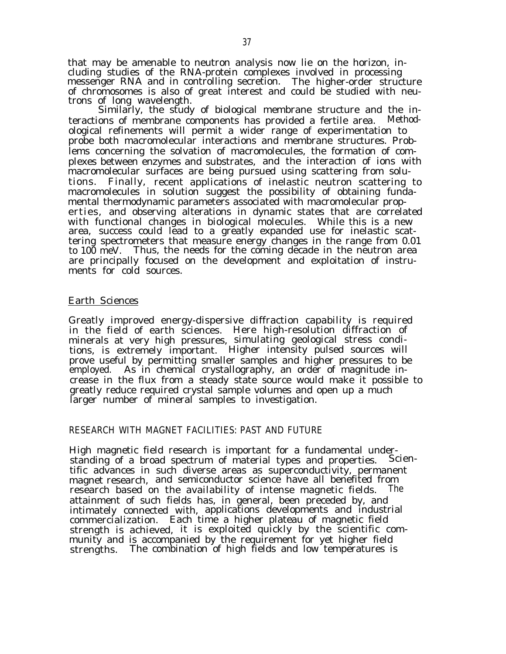that may be amenable to neutron analysis now lie on the horizon, including studies of the RNA-protein complexes involved in processing messenger RNA and in controlling secretion. The higher-order structure of chromosomes is also of great interest and could be studied with neutrons of long wavelength.

Similarly, the study of biological membrane structure and the interactions of membrane components has provided a fertile area. Methodological refinements will permit a wider range of experimentation to probe both macromolecular interactions and membrane structures. Problems concerning the solvation of macromolecules, the formation of complexes between enzymes and substrates, and the interaction of ions with macromolecular surfaces are being pursued using scattering from solutions. Finally, recent applications of inelastic neutron scattering to macromolecules in solution suggest the possibility of obtaining fundamental thermodynamic parameters associated with macromolecular properties, and observing alterations in dynamic states that are correlated with functional changes in biological molecules. While this is a new area, success could lead to a greatly expanded use for inelastic scattering spectrometers that measure energy changes in the range from 0.01 to 100 meV. Thus, the needs for the coming decade in the neutron area are principally focused on the development and exploitation of instruments for cold sources.

## Earth Sciences

Greatly improved energy-dispersive diffraction capability is required in the field of earth sciences. Here high-resolution diffraction of minerals at very high pressures, simulating geological stress conditions, is extremely important. Higher intensity pulsed sources will prove useful by permitting smaller samples and higher pressures to be employed. As in chemical crystallography, an order of magnitude increase in the flux from a steady state source would make it possible to greatly reduce required crystal sample volumes and open up a much larger number of mineral samples to investigation.

## RESEARCH WITH MAGNET FACILITIES: PAST AND FUTURE

High magnetic field research is important for a fundamental understanding of a broad spectrum of material types and properties. Scientific advances in such diverse areas as superconductivity, permanent magnet research, and semiconductor science have all benefited from research based on the availability of intense magnetic fields. The attainment of such fields has, in general, been preceded by, and intimately connected with, applications developments and industrial commercialization. Each time a higher plateau of magnetic field strength is achieved, it is exploited quickly by the scientific community and is accompanied by the requirement for yet higher field strengths. The combination of high fields and low temperatures is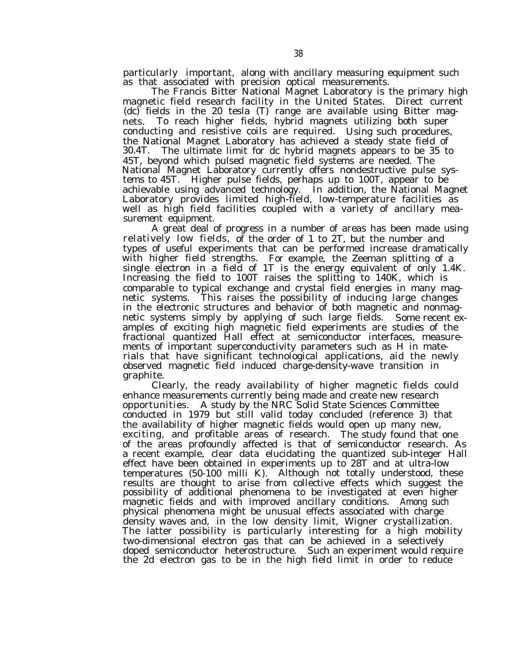particularly important, along with ancillary measuring equipment such as that associated with precision optical measurements.

The Francis Bitter National Magnet Laboratory is the primary high magnetic field research facility in the United States. Direct current (dc) fields in the 20 tesla (T) range are available using Bitter magnets. To reach higher fields, hybrid magnets utilizing both super conducting and resistive coils are required. Using such procedures, the National Magnet Laboratory has achieved a steady state field of 30.4T. The ultimate limit for dc hybrid magnets appears to be 35 to 45T, beyond which pulsed magnetic field systems are needed. The National Magnet Laboratory currently offers nondestructive pulse systems to 45T. Higher pulse fields, perhaps up to 100T, appear to be achievable using advanced technology. In addition, the National Magnet Laboratory provides limited high-field, low-temperature facilities as well as high field facilities coupled with a variety of ancillary measurement equipment.

A great deal of progress in a number of areas has been made using relatively low fields, of the order of 1 to 2T, but the number and types of useful experiments that can be performed increase dramatically with higher field strengths. For example, the Zeeman splitting of a single electron in a field of 1T is the energy equivalent of only 1.4K. Increasing the field to 100T raises the splitting to 140K, which is comparable to typical exchange and crystal field energies in many magnetic systems. This raises the possibility of inducing large changes in the electronic structures and behavior of both magnetic and nonmagnetic systems simply by applying of such large fields. Some recent examples of exciting high magnetic field experiments are studies of the fractional quantized Hall effect at semiconductor interfaces, measurements of important superconductivity parameters such as H in materials that have significant technological applications, aid the newly observed magnetic field induced charge-density-wave transition in graphite.

Clearly, the ready availability of higher magnetic fields could enhance measurements currently being made and create new research opportunities. A study by the NRC Solid State Sciences Committee conducted in 1979 but still valid today concluded (reference 3) that the availability of higher magnetic fields would open up many new, exciting, and profitable areas of research. The study found that one of the areas profoundly affected is that of semiconductor research. As a recent example, clear data elucidating the quantized sub-integer Hall effect have been obtained in experiments up to 28T and at ultra-low temperatures (50-100 milli K). Although not totally understood, these results are thought to arise from collective effects which suggest the possibility of additional phenomena to be investigated at even higher magnetic fields and with improved ancillary conditions. Among such physical phenomena might be unusual effects associated with charge density waves and, in the low density limit, Wigner crystallization. The latter possibility is particularly interesting for a high mobility two-dimensional electron gas that can be achieved in a selectively doped semiconductor heterostructure. Such an experiment would require the 2d electron gas to be in the high field limit in order to reduce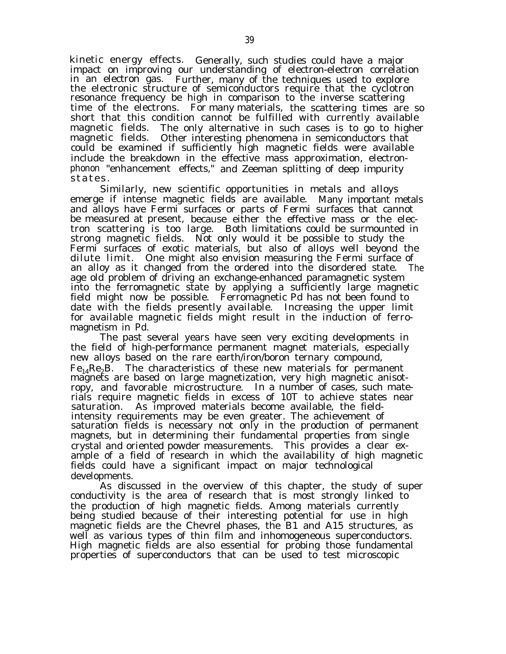kinetic energy effects. Generally, such studies could have a major impact on improving our understanding of electron-electron correlation in an electron gas. Further, many of the techniques used to explore the electronic structure of semiconductors require that the cyclotron resonance frequency be high in comparison to the inverse scattering time of the electrons. For many materials, the scattering times are so short that this condition cannot be fulfilled with currently available magnetic fields. The only alternative in such cases is to go to higher magnetic fields. Other interesting phenomena in semiconductors that could be examined if sufficiently high magnetic fields were available include the breakdown in the effective mass approximation, electronphonon "enhancement effects," and Zeeman splitting of deep impurity states.

Similarly, new scientific opportunities in metals and alloys emerge if intense magnetic fields are available. Many important metals and alloys have Fermi surfaces or parts of Fermi surfaces that cannot be measured at present, because either the effective mass or the electron scattering is too large. Both limitations could be surmounted in strong magnetic fields. Not only would it be possible to study the Fermi surfaces of exotic materials, but also of alloys well beyond the dilute limit. One might also envision measuring the Fermi surface of an alloy as it changed from the ordered into the disordered state. The age old problem of driving an exchange-enhanced paramagnetic system into the ferromagnetic state by applying a sufficiently large magnetic field might now be possible. Ferromagnetic Pd has not been found to date with the fields presently available. Increasing the upper limit for available magnetic fields might result in the induction of ferromagnetism in Pd.

The past several years have seen very exciting developments in the field of high-performance permanent magnet materials, especially new alloys based on the rare earth/iron/boron ternary compound,  $Fe<sub>14</sub>Re<sub>2</sub>B$ . The characteristics of these new materials for permanent magnets are based on large magnetization, very high magnetic anisotropy, and favorable microstructure. In a number of cases, such materials require magnetic fields in excess of 10T to achieve states near saturation. As improved materials become available, the fieldintensity requirements may be even greater. The achievement of saturation fields is necessary not only in the production of permanent magnets, but in determining their fundamental properties from single crystal and oriented powder measurements. This provides a clear example of a field of research in which the availability of high magnetic fields could have a significant impact on major technological developments.

As discussed in the overview of this chapter, the study of super conductivity is the area of research that is most strongly linked to the production of high magnetic fields. Among materials currently being studied because of their interesting potential for use in high magnetic fields are the Chevrel phases, the B1 and A15 structures, as well as various types of thin film and inhomogeneous superconductors. High magnetic fields are also essential for probing those fundamental properties of superconductors that can be used to test microscopic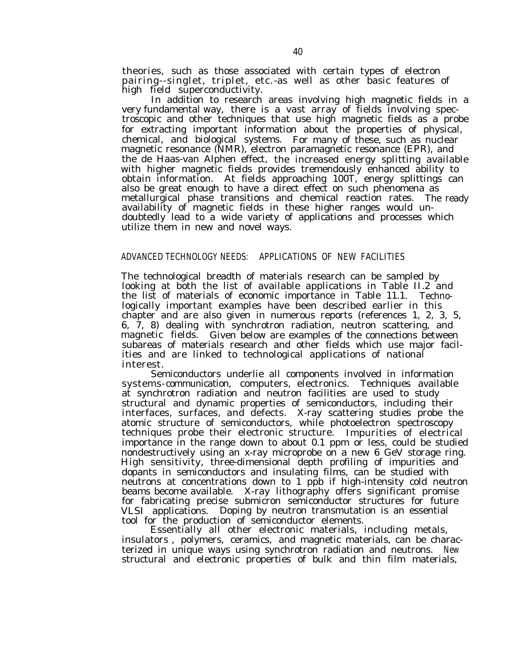theories, such as those associated with certain types of electron pairing--singlet, triplet, etc.-as well as other basic features of high field superconductivity.

In addition to research areas involving high magnetic fields in a very fundamental way, there is a vast array of fields involving spectroscopic and other techniques that use high magnetic fields as a probe for extracting important information about the properties of physical, chemical, and biological systems. For many of these, such as nuclear magnetic resonance (NMR), electron paramagnetic resonance (EPR), and the de Haas-van Alphen effect, the increased energy splitting available with higher magnetic fields provides tremendously enhanced ability to obtain information. At fields approaching 100T, energy splittings can also be great enough to have a direct effect on such phenomena as metallurgical phase transitions and chemical reaction rates. The ready availability of magnetic fields in these higher ranges would undoubtedly lead to a wide variety of applications and processes which utilize them in new and novel ways.

# ADVANCED TECHNOLOGY NEEDS: APPLICATIONS OF NEW FACILITIES

The technological breadth of materials research can be sampled by looking at both the list of available applications in Table II.2 and the list of materials of economic importance in Table 11.1. Technologically important examples have been described earlier in this chapter and are also given in numerous reports (references 1, 2, 3, 5, 6, 7, 8) dealing with synchrotron radiation, neutron scattering, and magnetic fields. Given below are examples of the connections between subareas of materials research and other fields which use major facilities and are linked to technological applications of national interest.

Semiconductors underlie all components involved in information systems-communication, computers, electronics. Techniques available at synchrotron radiation and neutron facilities are used to study structural and dynamic properties of semiconductors, including their interfaces, surfaces, and defects. X-ray scattering studies probe the atomic structure of semiconductors, while photoelectron spectroscopy techniques probe their electronic structure. Impurities of electrical importance in the range down to about 0.1 ppm or less, could be studied nondestructively using an x-ray microprobe on a new 6 GeV storage ring. High sensitivity, three-dimensional depth profiling of impurities and dopants in semiconductors and insulating films, can be studied with neutrons at concentrations down to 1 ppb if high-intensity cold neutron beams become available. X-ray lithography offers significant promise for fabricating precise submicron semiconductor structures for future VLSI applications. Doping by neutron transmutation is an essential tool for the production of semiconductor elements.

Essentially all other electronic materials, including metals, insulators , polymers, ceramics, and magnetic materials, can be characterized in unique ways using synchrotron radiation and neutrons. New structural and electronic properties of bulk and thin film materials,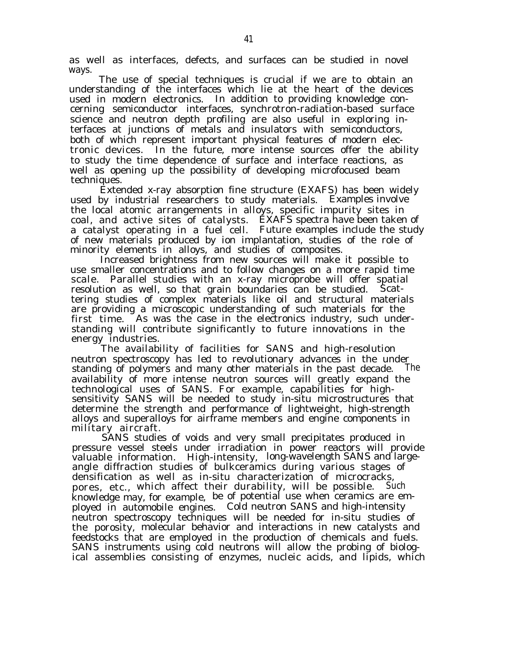as well as interfaces, defects, and surfaces can be studied in novel ways.

The use of special techniques is crucial if we are to obtain an understanding of the interfaces which lie at the heart of the devices used in modern electronics. In addition to providing knowledge concerning semiconductor interfaces, synchrotron-radiation-based surface science and neutron depth profiling are also useful in exploring interfaces at junctions of metals and insulators with semiconductors, both of which represent important physical features of modern electronic devices. In the future, more intense sources offer the ability to study the time dependence of surface and interface reactions, as well as opening up the possibility of developing microfocused beam techniques.

Extended x-ray absorption fine structure (EXAFS) has been widely used by industrial researchers to study materials. Examples involve the local atomic arrangements in alloys, specific impurity sites in coal, and active sites of catalysts. EXAFS spectra have been taken of a catalyst operating in a fuel cell. Future examples include the study of new materials produced by ion implantation, studies of the role of minority elements in alloys, and studies of composites.

Increased brightness from new sources will make it possible to use smaller concentrations and to follow changes on a more rapid time scale. Parallel studies with an x-ray microprobe will offer spatial resolution as well, so that grain boundaries can be studied. Scattering studies of complex materials like oil and structural materials are providing a microscopic understanding of such materials for the first time. As was the case in the electronics industry, such understanding will contribute significantly to future innovations in the energy industries.

The availability of facilities for SANS and high-resolution neutron spectroscopy has led to revolutionary advances in the under standing of polymers and many other materials in the past decade. The availability of more intense neutron sources will greatly expand the technological uses of SANS. For example, capabilities for highsensitivity SANS will be needed to study in-situ microstructures that determine the strength and performance of lightweight, high-strength alloys and superalloys for airframe members and engine components in military aircraft.

SANS studies of voids and very small precipitates produced in pressure vessel steels under irradiation in power reactors will provide valuable information. High-intensity, long-wavelength SANS and largeangle diffraction studies of bulkceramics during various stages of densification as well as in-situ characterization of microcracks, pores, etc., which affect their durability, will be possible. Such knowledge may, for example, be of potential use when ceramics are employed in automobile engines. Cold neutron SANS and high-intensity neutron spectroscopy techniques will be needed for in-situ studies of the porosity, molecular behavior and interactions in new catalysts and feedstocks that are employed in the production of chemicals and fuels. SANS instruments using cold neutrons will allow the probing of biological assemblies consisting of enzymes, nucleic acids, and lipids, which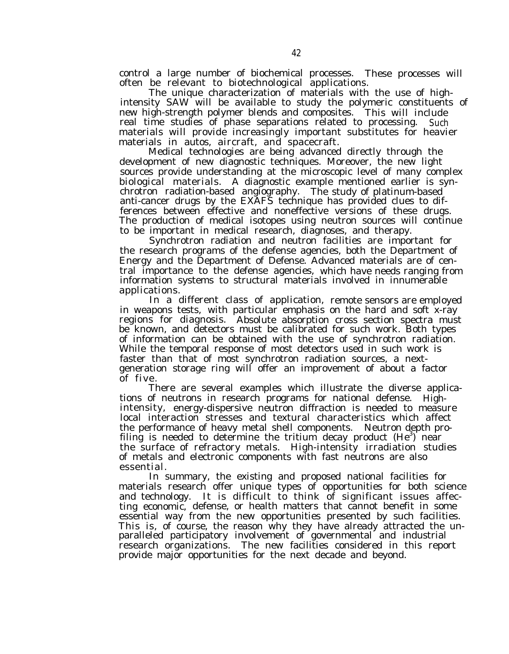control a large number of biochemical processes. These processes will often be relevant to biotechnological applications.

The unique characterization of materials with the use of highintensity SAW will be available to study the polymeric constituents of new high-strength polymer blends and composites. This will include real time studies of phase separations related to processing. Such materials will provide increasingly important substitutes for heavier materials in autos, aircraft, and spacecraft.

Medical technologies are being advanced directly through the development of new diagnostic techniques. Moreover, the new light sources provide understanding at the microscopic level of many complex biological materials. A diagnostic example mentioned earlier is synchrotron radiation-based angiography. The study of platinum-based anti-cancer drugs by the EXAFS technique has provided clues to differences between effective and noneffective versions of these drugs. The production of medical isotopes using neutron sources will continue to be important in medical research, diagnoses, and therapy.

Synchrotron radiation and neutron facilities are important for the research programs of the defense agencies, both the Department of Energy and the Department of Defense. Advanced materials are of central importance to the defense agencies, which have needs ranging from information systems to structural materials involved in innumerable applications.

In a different class of application, remote sensors are employed in weapons tests, with particular emphasis on the hard and soft x-ray regions for diagnosis. Absolute absorption cross section spectra must be known, and detectors must be calibrated for such work. Both types of information can be obtained with the use of synchrotron radiation. While the temporal response of most detectors used in such work is faster than that of most synchrotron radiation sources, a nextgeneration storage ring will offer an improvement of about a factor of five.

There are several examples which illustrate the diverse applications of neutrons in research programs for national defense. Highintensity, energy-dispersive neutron diffraction is needed to measure local interaction stresses and textural characteristics which affect the performance of heavy metal shell components. Neutron depth profiling is needed to determine the tritium decay product  $(He<sup>3</sup>)$  near the surface of refractory metals. High-intensity irradiation studies of metals and electronic components with fast neutrons are also essential.

In summary, the existing and proposed national facilities for materials research offer unique types of opportunities for both science and technology. It is difficult to think of significant issues affecting economic, defense, or health matters that cannot benefit in some essential way from the new opportunities presented by such facilities. This is, of course, the reason why they have already attracted the unparalleled participatory involvement of governmental and industrial research organizations. The new facilities considered in this report provide major opportunities for the next decade and beyond.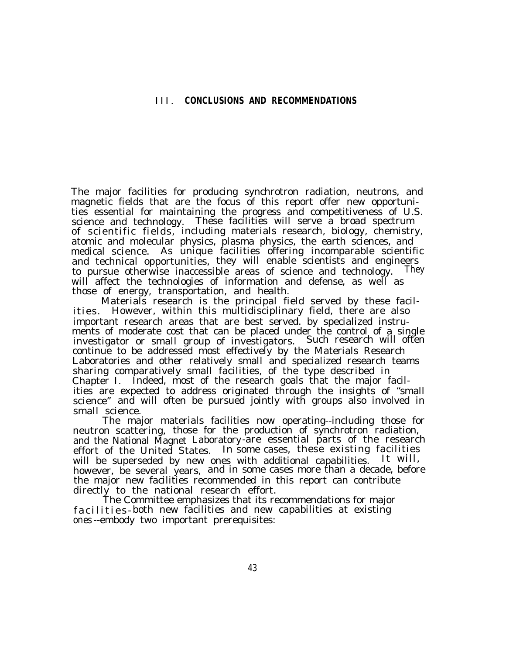The major facilities for producing synchrotron radiation, neutrons, and magnetic fields that are the focus of this report offer new opportunities essential for maintaining the progress and competitiveness of U.S. science and technology. These facilities will serve a broad spectrum of scientific fields, including materials research, biology, chemistry, atomic and molecular physics, plasma physics, the earth sciences, and medical science. As unique facilities offering incomparable scientific and technical opportunities, they will enable scientists and engineers to pursue otherwise inaccessible areas of science and technology. They will affect the technologies of information and defense, as well as those of energy, transportation, and health.

Materials research is the principal field served by these facilities. However, within this multidisciplinary field, there are also important research areas that are best served. by specialized instruments of moderate cost that can be placed under the control of a single investigator or small group of investigators. Such research will often continue to be addressed most effectively by the Materials Research Laboratories and other relatively small and specialized research teams sharing comparatively small facilities, of the type described in Chapter I. Indeed, most of the research goals that the major facilities are expected to address originated through the insights of "small science" and will often be pursued jointly with groups also involved in small science.

The major materials facilities now operating--including those for neutron scattering, those for the production of synchrotron radiation, and the National Magnet Laboratory-are essential parts of the research effort of the United States. In some cases, these existing facilities will be superseded by new ones with additional capabilities. It will, however, be several years, and in some cases more than a decade, before the major new facilities recommended in this report can contribute directly to the national research effort.

The Committee emphasizes that its recommendations for major facilities- both new facilities and new capabilities at existing ones --embody two important prerequisites: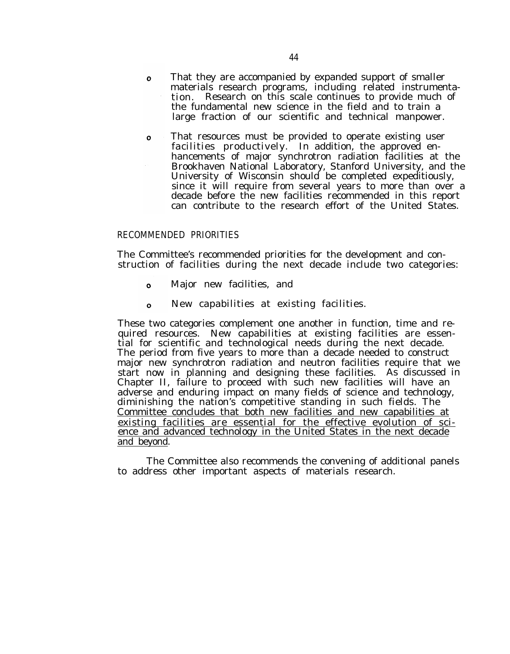- That they are accompanied by expanded support of smaller  $\mathbf{o}$ materials research programs, including related instrumentation. Research on this scale continues to provide much of the fundamental new science in the field and to train a large fraction of our scientific and technical manpower.
- That resources must be provided to operate existing user  $\bullet$ facilities productively. In addition, the approved enhancements of major synchrotron radiation facilities at the Brookhaven National Laboratory, Stanford University, and the University of Wisconsin should be completed expeditiously, since it will require from several years to more than over a decade before the new facilities recommended in this report can contribute to the research effort of the United States.

#### RECOMMENDED PRIORITIES

The Committee's recommended priorities for the development and construction of facilities during the next decade include two categories:

- Major new facilities, and  $\bullet$
- New capabilities at existing facilities.  $\mathbf{o}$

These two categories complement one another in function, time and required resources. New capabilities at existing facilities are essential for scientific and technological needs during the next decade. The period from five years to more than a decade needed to construct major new synchrotron radiation and neutron facilities require that we start now in planning and designing these facilities. As discussed in Chapter II, failure to proceed with such new facilities will have an adverse and enduring impact on many fields of science and technology, diminishing the nation's competitive standing in such fields. The Committee concludes that both new facilities and new capabilities at existing facilities are essential for the effective evolution of science and advanced technology in the United States in the next decade and beyond.

The Committee also recommends the convening of additional panels to address other important aspects of materials research.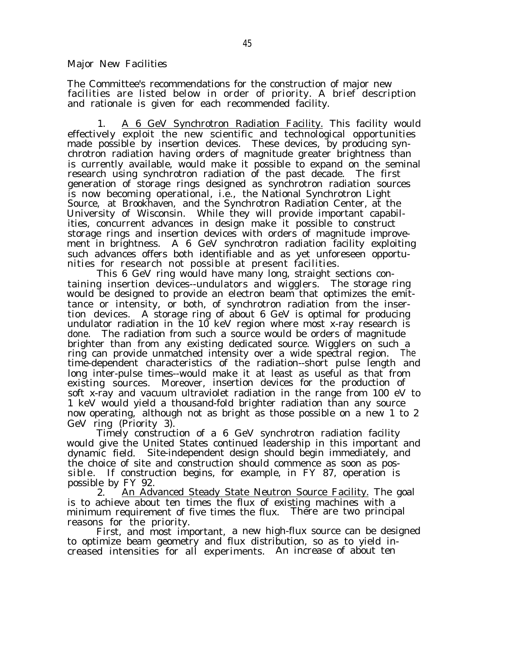Major New Facilities

The Committee's recommendations for the construction of major new facilities are listed below in order of priority. A brief description and rationale is given for each recommended facility.

1. A 6 GeV Synchrotron Radiation Facility. This facility would effectively exploit the new scientific and technological opportunities made possible by insertion devices. These devices, by producing synchrotron radiation having orders of magnitude greater brightness than is currently available, would make it possible to expand on the seminal research using synchrotron radiation of the past decade. The first generation of storage rings designed as synchrotron radiation sources is now becoming operational, i.e., the National Synchrotron Light Source, at Brookhaven, and the Synchrotron Radiation Center, at the University of Wisconsin. While they will provide important capabilities, concurrent advances in design make it possible to construct storage rings and insertion devices with orders of magnitude improvement in brightness. A 6 GeV synchrotron radiation facility exploiting such advances offers both identifiable and as yet unforeseen opportunities for research not possible at present facilities.

This 6 GeV ring would have many long, straight sections containing insertion devices--undulators and wigglers. The storage ring would be designed to provide an electron beam that optimizes the emittance or intensity, or both, of synchrotron radiation from the insertion devices. A storage ring of about 6 GeV is optimal for producing undulator radiation in the 10 keV region where most x-ray research is done. The radiation from such a source would be orders of magnitude brighter than from any existing dedicated source. Wigglers on such a ring can provide unmatched intensity over a wide spectral region. The time-dependent characteristics of the radiation--short pulse length and long inter-pulse times--would make it at least as useful as that from existing sources. Moreover, insertion devices for the production of soft x-ray and vacuum ultraviolet radiation in the range from 100 eV to 1 keV would yield a thousand-fold brighter radiation than any source now operating, although not as bright as those possible on a new 1 to 2 GeV ring (Priority 3).

Timely construction of a 6 GeV synchrotron radiation facility would give the United States continued leadership in this important and dynamic field. Site-independent design should begin immediately, and the choice of site and construction should commence as soon as possible. If construction begins, for example, in FY 87, operation is possible by FY 92.

2. An Advanced Steady State Neutron Source Facility. The goal is to achieve about ten times the flux of existing machines with a minimum requirement of five times the flux. There are two principal reasons for the priority.

First, and most important, a new high-flux source can be designed to optimize beam geometry and flux distribution, so as to yield increased intensities for all experiments. An increase of about ten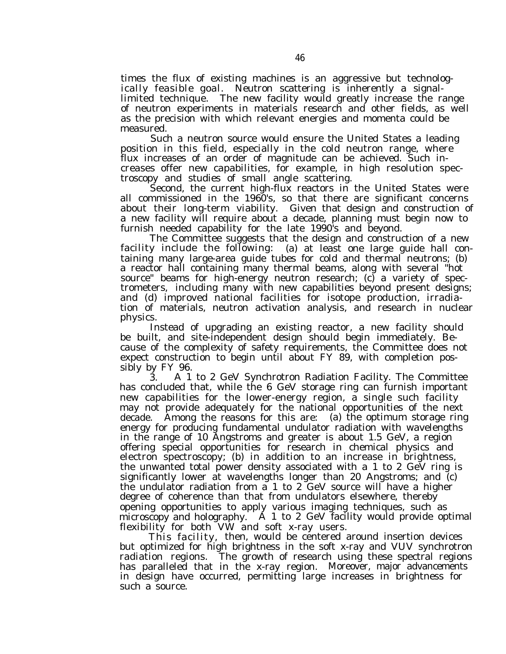times the flux of existing machines is an aggressive but technologically feasible goal. Neutron scattering is inherently a signallimited technique. The new facility would greatly increase the range of neutron experiments in materials research and other fields, as well as the precision with which relevant energies and momenta could be measured.

Such a neutron source would ensure the United States a leading position in this field, especially in the cold neutron range, where flux increases of an order of magnitude can be achieved. Such increases offer new capabilities, for example, in high resolution spectroscopy and studies of small angle scattering.

Second, the current high-flux reactors in the United States were all commissioned in the 1960's, so that there are significant concerns about their long-term viability. Given that design and construction of a new facility will require about a decade, planning must begin now to furnish needed capability for the late 1990's and beyond.

The Committee suggests that the design and construction of a new facility include the following: (a) at least one large guide hall containing many large-area guide tubes for cold and thermal neutrons; (b) a reactor hall containing many thermal beams, along with several "hot source" beams for high-energy neutron research;  $(c)$  a variety of spectrometers, including many with new capabilities beyond present designs; and (d) improved national facilities for isotope production, irradiation of materials, neutron activation analysis, and research in nuclear physics.

Instead of upgrading an existing reactor, a new facility should be built, and site-independent design should begin immediately. Because of the complexity of safety requirements, the Committee does not expect construction to begin until about FY 89, with completion possibly by FY 96.

3. A 1 to 2 GeV Synchrotron Radiation Facility. The Committee has concluded that, while the 6 GeV storage ring can furnish important new capabilities for the lower-energy region, a single such facility may not provide adequately for the national opportunities of the next decade. Among the reasons for this are: (a) the optimum storage ring energy for producing fundamental undulator radiation with wavelengths in the range of 10 Angstroms and greater is about 1.5 GeV, a region offering special opportunities for research in chemical physics and electron spectroscopy; (b) in addition to an increase in brightness, the unwanted total power density associated with a 1 to 2 GeV ring is significantly lower at wavelengths longer than 20 Angstroms; and (c) the undulator radiation from a 1 to 2 GeV source will have a higher degree of coherence than that from undulators elsewhere, thereby opening opportunities to apply various imaging techniques, such as microscopy and holography.  $\overline{A}$  1 to 2 GeV facility would provide optimal flexibility for both VW and soft x-ray users.

This facility, then, would be centered around insertion devices but optimized for high brightness in the soft x-ray and VUV synchrotron radiation regions. The growth of research using these spectral regions has paralleled that in the x-ray region. Moreover, major advancements in design have occurred, permitting large increases in brightness for such a source.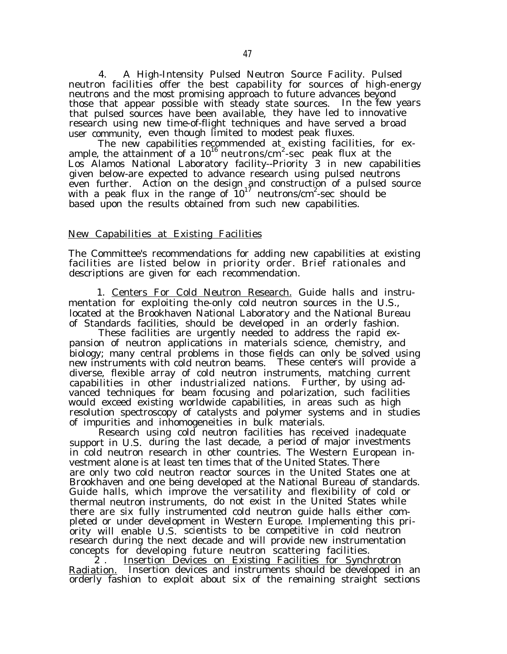4. A High-Intensity Pulsed Neutron Source Facility. Pulsed neutron facilities offer the best capability for sources of high-energy neutrons and the most promising approach to future advances beyond those that appear possible with steady state sources. In the few years that pulsed sources have been available, they have led to innovative research using new time-of-flight techniques and have served a broad user community, even though limited to modest peak fluxes.

The new capabilities recommended at existing facilities, for example, the attainment of a  $10^{16}$  neutrons/cm<sup>2</sup>-sec peak flux at the Los Alamos National Laboratory facility--Priority 3 in new capabilities given below-are expected to advance research using pulsed neutrons even further. Action on the design and construction of a pulsed source with a peak flux in the range of  $10^{17}$  neutrons/cm<sup>2</sup>-sec should be based upon the results obtained from such new capabilities.

# New Capabilities at Existing Facilities

The Committee's recommendations for adding new capabilities at existing facilities are listed below in priority order. Brief rationales and descriptions are given for each recommendation.

1. Centers For Cold Neutron Research. Guide halls and instrumentation for exploiting the-only cold neutron sources in the U.S., located at the Brookhaven National Laboratory and the National Bureau of Standards facilities, should be developed in an orderly fashion.

These facilities are urgently needed to address the rapid expansion of neutron applications in materials science, chemistry, and biology; many central problems in those fields can only be solved using new instruments with cold neutron beams. These centers will provide a diverse, flexible array of cold neutron instruments, matching current capabilities in other industrialized nations. Further, by using advanced techniques for beam focusing and polarization, such facilities would exceed existing worldwide capabilities, in areas such as high resolution spectroscopy of catalysts and polymer systems and in studies of impurities and inhomogeneities in bulk materials.

Research using cold neutron facilities has received inadequate support in U.S. during the last decade, a period of major investments in cold neutron research in other countries. The Western European investment alone is at least ten times that of the United States. There are only two cold neutron reactor sources in the United States one at Brookhaven and one being developed at the National Bureau of standards. Guide halls, which improve the versatility and flexibility of cold or thermal neutron instruments, do not exist in the United States while there are six fully instrumented cold neutron guide halls either completed or under development in Western Europe. Implementing this priority will enable U.S. scientists to be competitive in cold neutron research during the next decade and will provide new instrumentation concepts for developing future neutron scattering facilities.

2. Insertion Devices on Existing Facilities for Synchrotron Radiation. Insertion devices and instruments should be developed in an orderly fashion to exploit about six of the remaining straight sections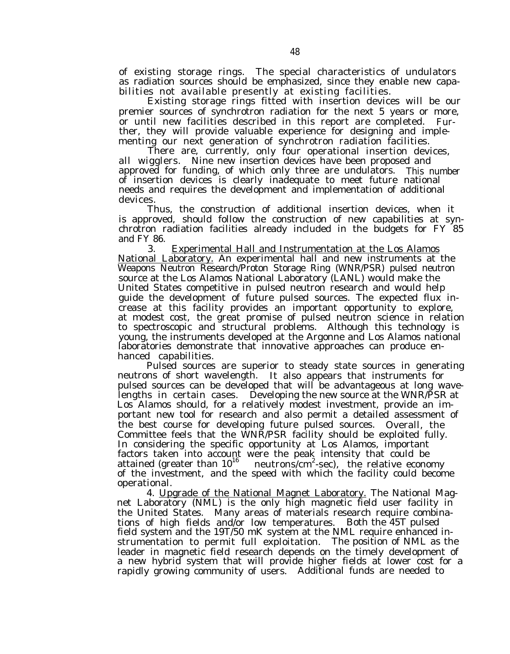of existing storage rings. The special characteristics of undulators as radiation sources should be emphasized, since they enable new capabilities not available presently at existing facilities.

Existing storage rings fitted with insertion devices will be our premier sources of synchrotron radiation for the next 5 years or more, or until new facilities described in this report are completed. Further, they will provide valuable experience for designing and implementing our next generation of synchrotron radiation facilities.

There are, currently, only four operational insertion devices, all wigglers. Nine new insertion devices have been proposed and approved for funding, of which only three are undulators. This number of insertion devices is clearly inadequate to meet future national needs and requires the development and implementation of additional devices.

Thus, the construction of additional insertion devices, when it is approved, should follow the construction of new capabilities at synchrotron radiation facilities already included in the budgets for FY 85 and FY 86.

3. Experimental Hall and Instrumentation at the Los Alamos National Laboratory. An experimental hall and new instruments at the Weapons Neutron Research/Proton Storage Ring (WNR/PSR) pulsed neutron source at the Los Alamos National Laboratory (LANL) would make the United States competitive in pulsed neutron research and would help guide the development of future pulsed sources. The expected flux increase at this facility provides an important opportunity to explore, at modest cost, the great promise of pulsed neutron science in relation to spectroscopic and structural problems. Although this technology is young, the instruments developed at the Argonne and Los Alamos national laboratories demonstrate that innovative approaches can produce enhanced capabilities.

Pulsed sources are superior to steady state sources in generating neutrons of short wavelength. It also appears that instruments for pulsed sources can be developed that will be advantageous at long wavelengths in certain cases. Developing the new source at the WNR/PSR at Los Alamos should, for a relatively modest investment, provide an important new tool for research and also permit a detailed assessment of the best course for developing future pulsed sources. Overall, the Committee feels that the WNR/PSR facility should be exploited fully. In considering the specific opportunity at Los Alamos, important factors taken into account were the peak intensity that could be attained (greater than  $10^{16}$ ) neutrons/ $\text{cm}^2$ -sec), the relative economy of the investment, and the speed with which the facility could become operational.

4. Upgrade of the National Magnet Laboratory. The National Magnet Laboratory (NML) is the only high magnetic field user facility in the United States. Many areas of materials research require combinations of high fields and/or low temperatures. Both the 45T pulsed field system and the 19T/50 mK system at the NML require enhanced instrumentation to permit full exploitation. The position of NML as the leader in magnetic field research depends on the timely development of a new hybrid system that will provide higher fields at lower cost for a rapidly growing community of users. Additional funds are needed to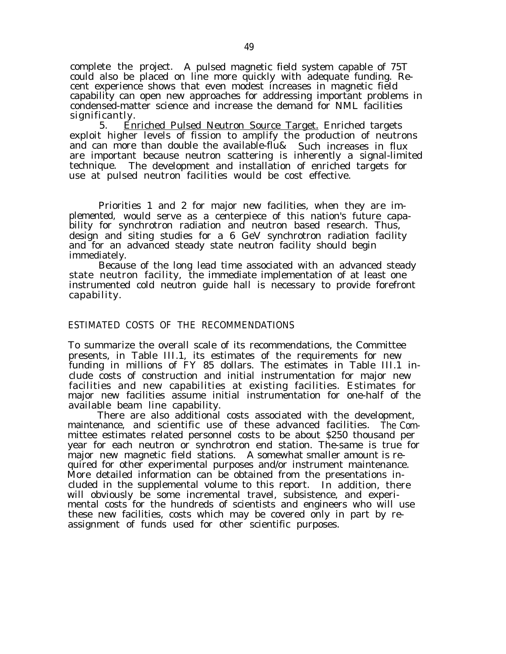complete the project. A pulsed magnetic field system capable of 75T could also be placed on line more quickly with adequate funding. Recent experience shows that even modest increases in magnetic field capability can open new approaches for addressing important problems in condensed-matter science and increase the demand for NML facilities significantly.

5. Enriched Pulsed Neutron Source Target. Enriched targets exploit higher levels of fission to amplify the production of neutrons and can more than double the available-flu& Such increases in flux are important because neutron scattering is inherently a signal-limited technique. The development and installation of enriched targets for use at pulsed neutron facilities would be cost effective.

Priorities 1 and 2 for major new facilities, when they are implemented, would serve as a centerpiece of this nation's future capability for synchrotron radiation and neutron based research. Thus, design and siting studies for a 6 GeV synchrotron radiation facility and for an advanced steady state neutron facility should begin immediately.

Because of the long lead time associated with an advanced steady state neutron facility, the immediate implementation of at least one instrumented cold neutron guide hall is necessary to provide forefront capability.

#### ESTIMATED COSTS OF THE RECOMMENDATIONS

To summarize the overall scale of its recommendations, the Committee presents, in Table III.1, its estimates of the requirements for new funding in millions of FY 85 dollars. The estimates in Table III.1 include costs of construction and initial instrumentation for major new facilities and new capabilities at existing facilities. Estimates for major new facilities assume initial instrumentation for one-half of the available beam line capability.

There are also additional costs associated with the development, maintenance, and scientific use of these advanced facilities. The Committee estimates related personnel costs to be about \$250 thousand per year for each neutron or synchrotron end station. The-same is true for major new magnetic field stations. A somewhat smaller amount is required for other experimental purposes and/or instrument maintenance. More detailed information can be obtained from the presentations included in the supplemental volume to this report. In addition, there will obviously be some incremental travel, subsistence, and experimental costs for the hundreds of scientists and engineers who will use these new facilities, costs which may be covered only in part by reassignment of funds used for other scientific purposes.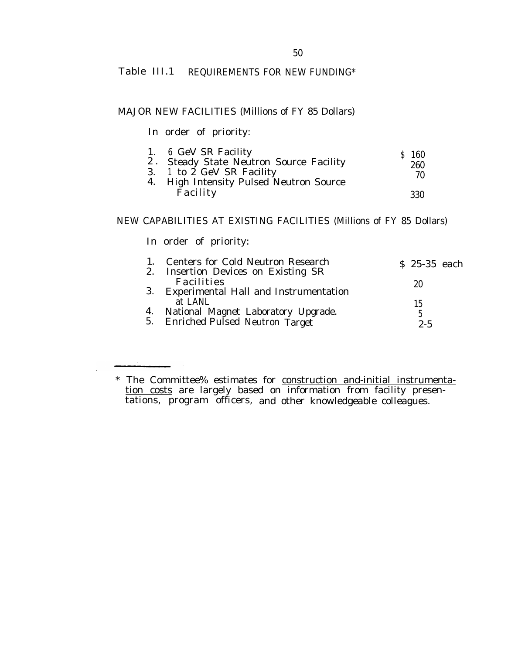# Table III.1 REQUIREMENTS FOR NEW FUNDING\*

# MAJOR NEW FACILITIES (Millions of FY 85 Dollars)

In order of priority:

| 1. 6 GeV SR Facility                    | S 160 |
|-----------------------------------------|-------|
| 2. Steady State Neutron Source Facility | 260   |
| 3. 1 to 2 GeV SR Facility               | 70    |
| 4. High Intensity Pulsed Neutron Source |       |
| Facility                                | 330   |

# NEW CAPABILITIES AT EXISTING FACILITIES (Millions of FY 85 Dollars)

In order of priority:

| 20      |               |
|---------|---------------|
|         |               |
| 15      |               |
| 5       |               |
| $2 - 5$ |               |
|         | \$ 25-35 each |

<sup>\*</sup> The Committee% estimates for construction and-initial instrumentation costs are largely based on information from facility presentations, program officers, and other knowledgeable colleagues.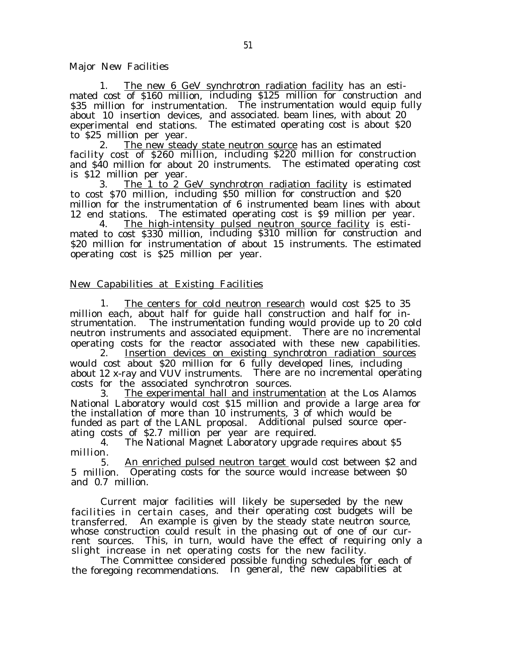Major New Facilities

1. The new 6 GeV synchrotron radiation facility has an estimated cost of \$160 million, including \$125 million for construction and \$35 million for instrumentation. The instrumentation would equip fully about 10 insertion devices, and associated. beam lines, with about 20 experimental end stations. The estimated operating cost is about \$20 to \$25 million per year.

2. The new steady state neutron source has an estimated facility cost of \$260 million, including \$220 million for construction and \$40 million for about 20 instruments. The estimated operating cost is \$12 million per year.

3. The 1 to 2 GeV synchrotron radiation facility is estimated to cost \$70 million, including \$50 million for construction and \$20 million for the instrumentation of 6 instrumented beam lines with about 12 end stations. The estimated operating cost is \$9 million per year.

4. The high-intensity pulsed neutron source facility is estimated to cost \$330 million, including \$310 million for construction and \$20 million for instrumentation of about 15 instruments. The estimated operating cost is \$25 million per year.

# New Capabilities at Existing Facilities

1. The centers for cold neutron research would cost \$25 to 35 million each, about half for guide hall construction and half for instrumentation. The instrumentation funding would provide up to 20 co The instrumentation funding would provide up to 20 cold neutron instruments and associated equipment. There are no incremental operating costs for the reactor associated with these new capabilities.

2. Insertion devices on existing synchrotron radiation sources would cost about \$20 million for 6 fully developed lines, including about 12 x-ray and VUV instruments. There are no incremental operating costs for the associated synchrotron sources.

3. The experimental hall and instrumentation at the Los Alamos National Laboratory would cost \$15 million and provide a large area for the installation of more than 10 instruments, 3 of which would be funded as part of the LANL proposal. Additional pulsed source operating costs of \$2.7 million per year are required.

4. The National Magnet Laboratory upgrade requires about \$5 million.

5. An enriched pulsed neutron target would cost between \$2 and 5 million. Operating costs for the source would increase between \$0 and 0.7 million.

Current major facilities will likely be superseded by the new facilities in certain cases, and their operating cost budgets will be transferred. An example is given by the steady state neutron source, whose construction could result in the phasing out of one of our current sources. This, in turn, would have the effect of requiring only a slight increase in net operating costs for the new facility.

The Committee considered possible funding schedules for each of the foregoing recommendations. In general, the new capabilities at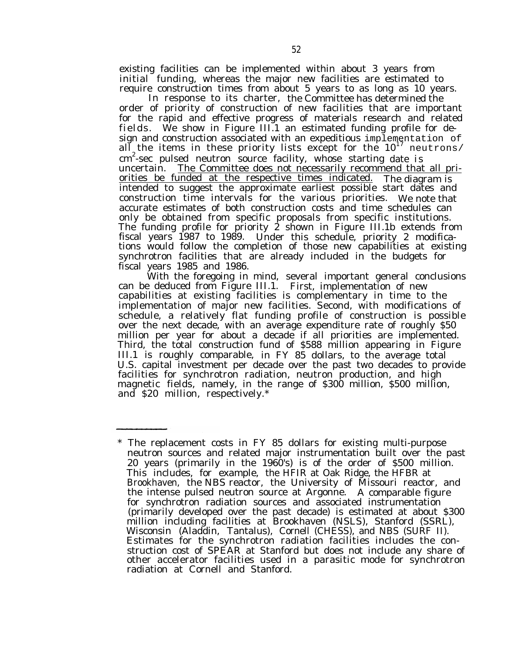existing facilities can be implemented within about 3 years from initial funding, whereas the major new facilities are estimated to require construction times from about 5 years to as long as 10 years.

In response to its charter, the Committee has determined the order of priority of construction of new facilities that are important for the rapid and effective progress of materials research and related fields. We show in Figure III.1 an estimated funding profile for design and construction associated with an expeditious implementation of all the items in these priority lists except for the  $10^{17}$  neutrons/ cm<sup>2</sup>-sec pulsed neutron source facility, whose starting date is uncertain. The Committee does not necessarily recommend that all priorities be funded at the respective times indicated. The diagram is intended to suggest the approximate earliest possible start dates and construction time intervals for the various priorities. We note that accurate estimates of both construction costs and time schedules can only be obtained from specific proposals from specific institutions. The funding profile for priority 2 shown in Figure III.1b extends from fiscal years 1987 to 1989. Under this schedule, priority 2 modifications would follow the completion of those new capabilities at existing synchrotron facilities that are already included in the budgets for fiscal years 1985 and 1986.

With the foregoing in mind, several important general conclusions can be deduced from Figure III.1. First, implementation of new capabilities at existing facilities is complementary in time to the implementation of major new facilities. Second, with modifications of schedule, a relatively flat funding profile of construction is possible over the next decade, with an average expenditure rate of roughly \$50 million per year for about a decade if all priorities are implemented. Third, the total construction fund of \$588 million appearing in Figure III.1 is roughly comparable, in FY 85 dollars, to the average total U.S. capital investment per decade over the past two decades to provide facilities for synchrotron radiation, neutron production, and high magnetic fields, namely, in the range of \$300 million, \$500 million, and \$20 million, respectively.\*

<sup>\*</sup> The replacement costs in FY 85 dollars for existing multi-purpose neutron sources and related major instrumentation built over the past 20 years (primarily in the 1960's) is of the order of \$500 million. This includes, for example, the HFIR at Oak Ridge, the HFBR at Brookhaven, the NBS reactor, the University of Missouri reactor, and the intense pulsed neutron source at Argonne. A comparable figure for synchrotron radiation sources and associated instrumentation (primarily developed over the past decade) is estimated at about \$300 million including facilities at Brookhaven (NSLS), Stanford (SSRL), Wisconsin (Aladdin, Tantalus), Cornell (CHESS), and NBS (SURF II). Estimates for the synchrotron radiation facilities includes the construction cost of SPEAR at Stanford but does not include any share of other accelerator facilities used in a parasitic mode for synchrotron radiation at Cornell and Stanford.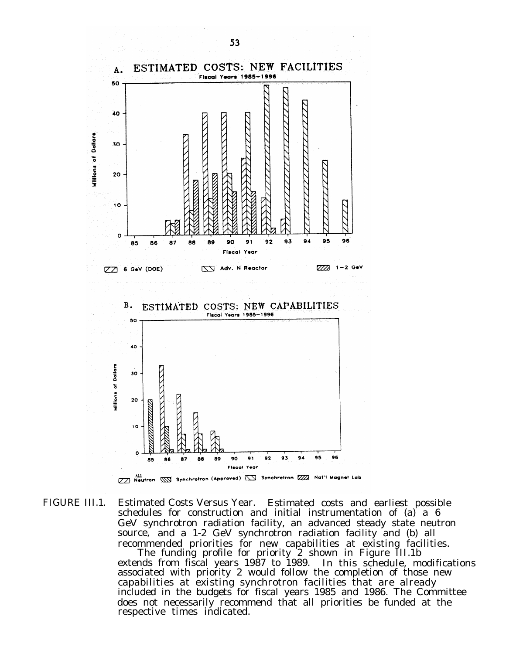

FIGURE III.1. Estimated Costs Versus Year. Estimated costs and earliest possible schedules for construction and initial instrumentation of (a) a 6 GeV synchrotron radiation facility, an advanced steady state neutron source, and a 1-2 GeV synchrotron radiation facility and (b) all recommended priorities for new capabilities at existing facilities.

The funding profile for priority 2 shown in Figure III.1b extends from fiscal years 1987 to 1989. In this schedule, modifications associated with priority 2 would follow the completion of those new capabilities at existing synchrotron facilities that are already included in the budgets for fiscal years 1985 and 1986. The Committee does not necessarily recommend that all priorities be funded at the respective times indicated.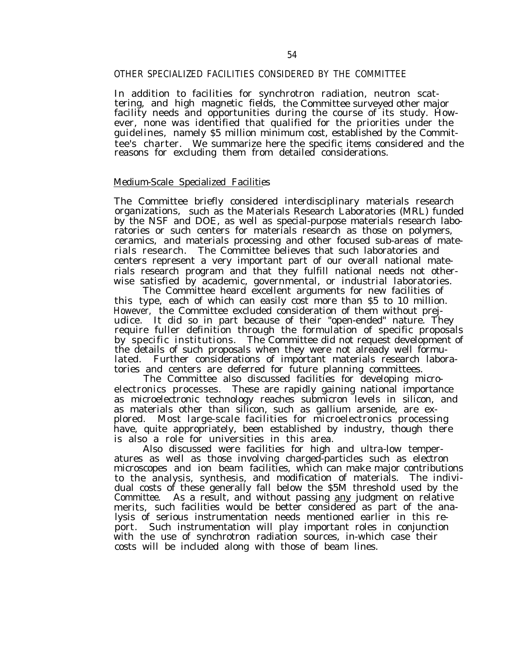# OTHER SPECIALIZED FACILITIES CONSIDERED BY THE COMMITTEE

In addition to facilities for synchrotron radiation, neutron scattering, and high magnetic fields, the Committee surveyed other major facility needs and opportunities during the course of its study. However, none was identified that qualified for the priorities under the guidelines, namely \$5 million minimum cost, established by the Committee's charter. We summarize here the specific items considered and the reasons for excluding them from detailed considerations.

# Medium-Scale Specialized Facilities

The Committee briefly considered interdisciplinary materials research organizations, such as the Materials Research Laboratories (MRL) funded by the NSF and DOE, as well as special-purpose materials research laboratories or such centers for materials research as those on polymers, ceramics, and materials processing and other focused sub-areas of materials research. The Committee believes that such laboratories and centers represent a very important part of our overall national materials research program and that they fulfill national needs not otherwise satisfied by academic, governmental, or industrial laboratories.

The Committee heard excellent arguments for new facilities of this type, each of which can easily cost more than \$5 to 10 million. However, the Committee excluded consideration of them without prejudice. It did so in part because of their "open-ended" nature. They require fuller definition through the formulation of specific proposals by specific institutions. The Committee did not request development of the details of such proposals when they were not already well formulated. Further considerations of important materials research laboratories and centers are deferred for future planning committees.

The Committee also discussed facilities for developing microelectronics processes. These are rapidly gaining national importance as microelectronic technology reaches submicron levels in silicon, and as materials other than silicon, such as gallium arsenide, are explored. Most large-scale facilities for microelectronics processing have, quite appropriately, been established by industry, though there is also a role for universities in this area.

Also discussed were facilities for high and ultra-low temperatures as well as those involving charged-particles such as electron microscopes and ion beam facilities, which can make major contributions to the analysis, synthesis, and modification of materials. The individual costs of these generally fall below the \$5M threshold used by the Committee. As a result, and without passing any judgment on relative merits, such facilities would be better considered as part of the analysis of serious instrumentation needs mentioned earlier in this report. Such instrumentation will play important roles in conjunction with the use of synchrotron radiation sources, in-which case their costs will be included along with those of beam lines.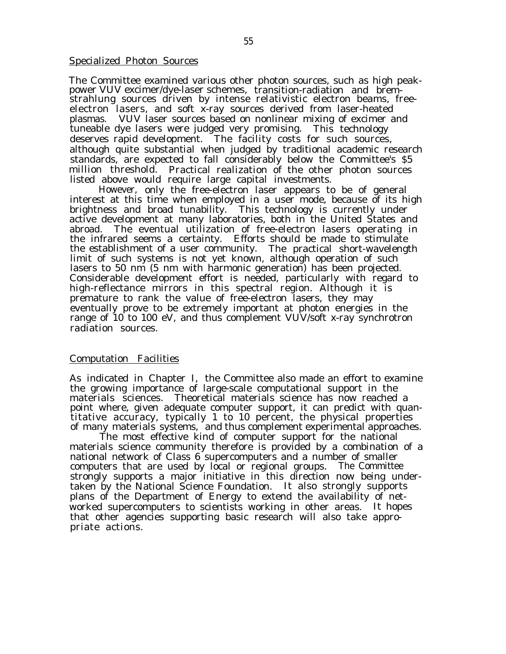## Specialized Photon Sources

The Committee examined various other photon sources, such as high peakpower VUV excimer/dye-laser schemes, transition-radiation and bremstrahlung sources driven by intense relativistic electron beams, freeelectron lasers, and soft x-ray sources derived from laser-heated plasmas. VUV laser sources based on nonlinear mixing of excimer and tuneable dye lasers were judged very promising. This technology deserves rapid development. The facility costs for such sources, although quite substantial when judged by traditional academic research standards, are expected to fall considerably below the Committee's \$5 million threshold. Practical realization of the other photon sources listed above would require large capital investments.

However, only the free-electron laser appears to be of general interest at this time when employed in a user mode, because of its high brightness and broad tunability. This technology is currently under active development at many laboratories, both in the United States and abroad. The eventual utilization of free-electron lasers operating in the infrared seems a certainty. Efforts should be made to stimulate the establishment of a user community. The practical short-wavelength limit of such systems is not yet known, although operation of such lasers to 50 nm (5 nm with harmonic generation) has been projected. Considerable development effort is needed, particularly with regard to high-reflectance mirrors in this spectral region. Although it is premature to rank the value of free-electron lasers, they may eventually prove to be extremely important at photon energies in the range of  $10$  to  $100$  eV, and thus complement VUV/soft x-ray synchrotron radiation sources.

## Computation Facilities

As indicated in Chapter I, the Committee also made an effort to examine the growing importance of large-scale computational support in the materials sciences. Theoretical materials science has now reached a point where, given adequate computer support, it can predict with quantitative accuracy, typically 1 to 10 percent, the physical properties of many materials systems, and thus complement experimental approaches.

The most effective kind of computer support for the national materials science community therefore is provided by a combination of a national network of Class 6 supercomputers and a number of smaller computers that are used by local or regional groups. The Committee strongly supports a major initiative in this direction now being undertaken by the National Science Foundation. It also strongly supports plans of the Department of Energy to extend the availability of networked supercomputers to scientists working in other areas. It hopes that other agencies supporting basic research will also take appropriate actions.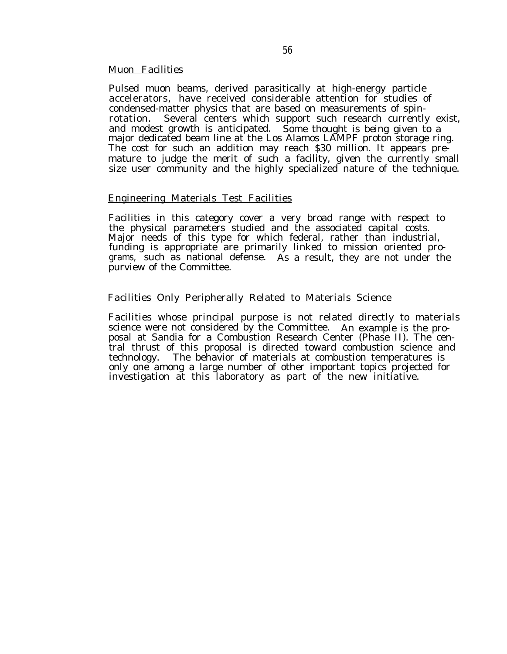## Muon Facilities

Pulsed muon beams, derived parasitically at high-energy particle accelerators, have received considerable attention for studies of condensed-matter physics that are based on measurements of spinrotation. Several centers which support such research currently exist, and modest growth is anticipated. Some thought is being given to a major dedicated beam line at the Los Alamos LAMPF proton storage ring. The cost for such an addition may reach \$30 million. It appears premature to judge the merit of such a facility, given the currently small size user community and the highly specialized nature of the technique.

## Engineering Materials Test Facilities

Facilities in this category cover a very broad range with respect to the physical parameters studied and the associated capital costs. Major needs of this type for which federal, rather than industrial, funding is appropriate are primarily linked to mission oriented programs, such as national defense. As a result, they are not under the purview of the Committee.

# Facilities Only Peripherally Related to Materials Science

Facilities whose principal purpose is not related directly to materials science were not considered by the Committee. An example is the proposal at Sandia for a Combustion Research Center (Phase II). The central thrust of this proposal is directed toward combustion science and technology. The behavior of materials at combustion temperatures is only one among a large number of other important topics projected for investigation at this laboratory as part of the new initiative.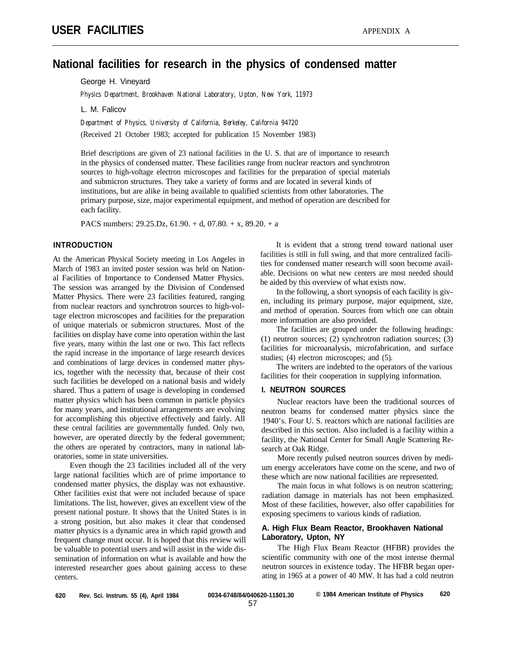# **National facilities for research in the physics of condensed matter**

George H. Vineyard

*Physics Department, Brookhaven National Laboratory, Upton, New York, 11973*

L. M. Falicov

*Department of Physics, University of California, Berkeley, California 94720*

(Received 21 October 1983; accepted for publication 15 November 1983)

Brief descriptions are given of 23 national facilities in the U. S. that are of importance to research in the physics of condensed matter. These facilities range from nuclear reactors and synchrotron sources to high-voltage electron microscopes and facilities for the preparation of special materials and submicron structures. They take a variety of forms and are located in several kinds of institutions, but are alike in being available to qualified scientists from other laboratories. The primary purpose, size, major experimental equipment, and method of operation are described for each facility.

PACS numbers: 29.25.Dz, 61.90. + d, 07.80. + x, 89.20. + a

#### **INTRODUCTION**

At the American Physical Society meeting in Los Angeles in March of 1983 an invited poster session was held on National Facilities of Importance to Condensed Matter Physics. The session was arranged by the Division of Condensed Matter Physics. There were 23 facilities featured, ranging from nuclear reactors and synchrotron sources to high-voltage electron microscopes and facilities for the preparation of unique materials or submicron structures. Most of the facilities on display have come into operation within the last five years, many within the last one or two. This fact reflects the rapid increase in the importance of large research devices and combinations of large devices in condensed matter physics, together with the necessity that, because of their cost such facilities be developed on a national basis and widely shared. Thus a pattern of usage is developing in condensed matter physics which has been common in particle physics for many years, and institutional arrangements are evolving for accomplishing this objective effectively and fairly. All these central facilities are governmentally funded. Only two, however, are operated directly by the federal government; the others are operated by contractors, many in national laboratories, some in state universities.

Even though the 23 facilities included all of the very large national facilities which are of prime importance to condensed matter physics, the display was not exhaustive. Other facilities exist that were not included because of space limitations. The list, however, gives an excellent view of the present national posture. It shows that the United States is in a strong position, but also makes it clear that condensed matter physics is a dynamic area in which rapid growth and frequent change must occur. It is hoped that this review will be valuable to potential users and will assist in the wide dissemination of information on what is available and how the interested researcher goes about gaining access to these centers.

It is evident that a strong trend toward national user facilities is still in full swing, and that more centralized facilities for condensed matter research will soon become available. Decisions on what new centers are most needed should be aided by this overview of what exists now.

In the following, a short synopsis of each facility is given, including its primary purpose, major equipment, size, and method of operation. Sources from which one can obtain more information are also provided.

The facilities are grouped under the following headings: (1) neutron sources; (2) synchrotron radiation sources; (3) facilities for microanalysis, microfabrication, and surface studies; (4) electron microscopes; and (5).

The writers are indebted to the operators of the various facilities for their cooperation in supplying information.

#### **I. NEUTRON SOURCES**

Nuclear reactors have been the traditional sources of neutron beams for condensed matter physics since the 1940's. Four U. S. reactors which are national facilities are described in this section. Also included is a facility within a facility, the National Center for Small Angle Scattering Research at Oak Ridge.

More recently pulsed neutron sources driven by medium energy accelerators have come on the scene, and two of these which are now national facilities are represented.

The main focus in what follows is on neutron scattering; radiation damage in materials has not been emphasized. Most of these facilities, however, also offer capabilities for exposing specimens to various kinds of radiation.

#### **A. High Flux Beam Reactor, Brookhaven National Laboratory, Upton, NY**

The High Flux Beam Reactor (HFBR) provides the scientific community with one of the most intense thermal neutron sources in existence today. The HFBR began operating in 1965 at a power of 40 MW. It has had a cold neutron

**620 Rev. Sci. Instrum. 55 (4), April 1984 0034-6748/84/040620-11\$01.30**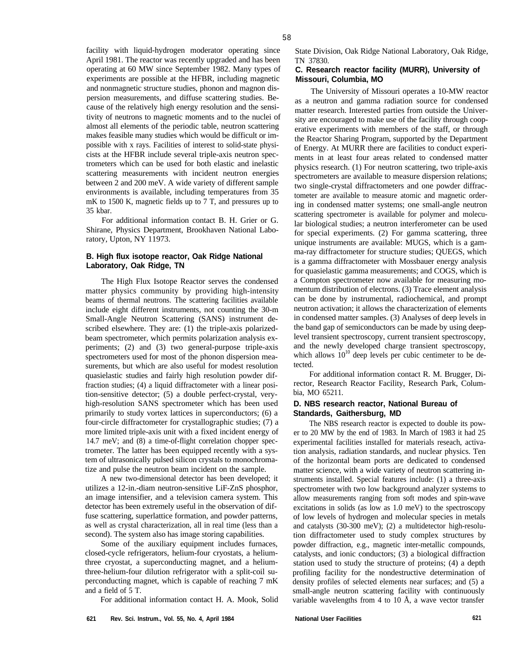facility with liquid-hydrogen moderator operating since April 1981. The reactor was recently upgraded and has been operating at 60 MW since September 1982. Many types of experiments are possible at the HFBR, including magnetic and nonmagnetic structure studies, phonon and magnon dispersion measurements, and diffuse scattering studies. Because of the relatively high energy resolution and the sensitivity of neutrons to magnetic moments and to the nuclei of almost all elements of the periodic table, neutron scattering makes feasible many studies which would be difficult or impossible with x rays. Facilities of interest to solid-state physicists at the HFBR include several triple-axis neutron spectrometers which can be used for both elastic and inelastic scattering measurements with incident neutron energies between 2 and 200 meV. A wide variety of different sample environments is available, including temperatures from 35 mK to 1500 K, magnetic fields up to 7 T, and pressures up to 35 kbar.

For additional information contact B. H. Grier or G. Shirane, Physics Department, Brookhaven National Laboratory, Upton, NY 11973.

#### **B. High flux isotope reactor, Oak Ridge National Laboratory, Oak Ridge, TN**

The High Flux Isotope Reactor serves the condensed matter physics community by providing high-intensity beams of thermal neutrons. The scattering facilities available include eight different instruments, not counting the 30-m Small-Angle Neutron Scattering (SANS) instrument described elsewhere. They are: (1) the triple-axis polarizedbeam spectrometer, which permits polarization analysis experiments; (2) and (3) two general-purpose triple-axis spectrometers used for most of the phonon dispersion measurements, but which are also useful for modest resolution quasielastic studies and fairly high resolution powder diffraction studies; (4) a liquid diffractometer with a linear position-sensitive detector; (5) a double perfect-crystal, veryhigh-resolution SANS spectrometer which has been used primarily to study vortex lattices in superconductors; (6) a four-circle diffractometer for crystallographic studies; (7) a more limited triple-axis unit with a fixed incident energy of 14.7 meV; and (8) a time-of-flight correlation chopper spectrometer. The latter has been equipped recently with a system of ultrasonically pulsed silicon crystals to monochromatize and pulse the neutron beam incident on the sample.

A new two-dimensional detector has been developed; it utilizes a 12-in.-diam neutron-sensitive LiF-ZnS phosphor, an image intensifier, and a television camera system. This detector has been extremely useful in the observation of diffuse scattering, superlattice formation, and powder patterns, as well as crystal characterization, all in real time (less than a second). The system also has image storing capabilities.

Some of the auxiliary equipment includes furnaces, closed-cycle refrigerators, helium-four cryostats, a heliumthree cryostat, a superconducting magnet, and a heliumthree-helium-four dilution refrigerator with a split-coil superconducting magnet, which is capable of reaching 7 mK and a field of 5 T.

For additional information contact H. A. Mook, Solid

State Division, Oak Ridge National Laboratory, Oak Ridge, TN 37830.

#### **C. Research reactor facility (MURR), University of Missouri, Columbia, MO**

The University of Missouri operates a 10-MW reactor as a neutron and gamma radiation source for condensed matter research. Interested parties from outside the University are encouraged to make use of the facility through cooperative experiments with members of the staff, or through the Reactor Sharing Program, supported by the Department of Energy. At MURR there are facilities to conduct experiments in at least four areas related to condensed matter physics research. (1) For neutron scattering, two triple-axis spectrometers are available to measure dispersion relations; two single-crystal diffractometers and one powder diffractometer are available to measure atomic and magnetic ordering in condensed matter systems; one small-angle neutron scattering spectrometer is available for polymer and molecular biological studies; a neutron interferometer can be used for special experiments. (2) For gamma scattering, three unique instruments are available: MUGS, which is a gamma-ray diffractometer for structure studies; QUEGS, which is a gamma diffractometer with Mossbauer energy analysis for quasielastic gamma measurements; and COGS, which is a Compton spectrometer now available for measuring momentum distribution of electrons. (3) Trace element analysis can be done by instrumental, radiochemical, and prompt neutron activation; it allows the characterization of elements in condensed matter samples. (3) Analyses of deep levels in the band gap of semiconductors can be made by using deeplevel transient spectroscopy, current transient spectroscopy, and the newly developed charge transient spectroscopy, which allows  $10^{10}$  deep levels per cubic centimeter to be detected.

For additional information contact R. M. Brugger, Director, Research Reactor Facility, Research Park, Columbia, MO 65211.

#### **D. NBS research reactor, National Bureau of Standards, Gaithersburg, MD**

The NBS research reactor is expected to double its power to 20 MW by the end of 1983. In March of 1983 it had 25 experimental facilities installed for materials reseach, activation analysis, radiation standards, and nuclear physics. Ten of the horizontal beam ports are dedicated to condensed matter science, with a wide variety of neutron scattering instruments installed. Special features include: (1) a three-axis spectrometer with two low background analyzer systems to allow measurements ranging from soft modes and spin-wave excitations in solids (as low as 1.0 meV) to the spectroscopy of low levels of hydrogen and molecular species in metals and catalysts (30-300 meV); (2) a multidetector high-resolution diffractometer used to study complex structures by powder diffraction, e.g., magnetic inter-metallic compounds, catalysts, and ionic conductors; (3) a biological diffraction station used to study the structure of proteins; (4) a depth profiling facility for the nondestructive determination of density profiles of selected elements near surfaces; and (5) a small-angle neutron scattering facility with continuously variable wavelengths from 4 to 10  $\AA$ , a wave vector transfer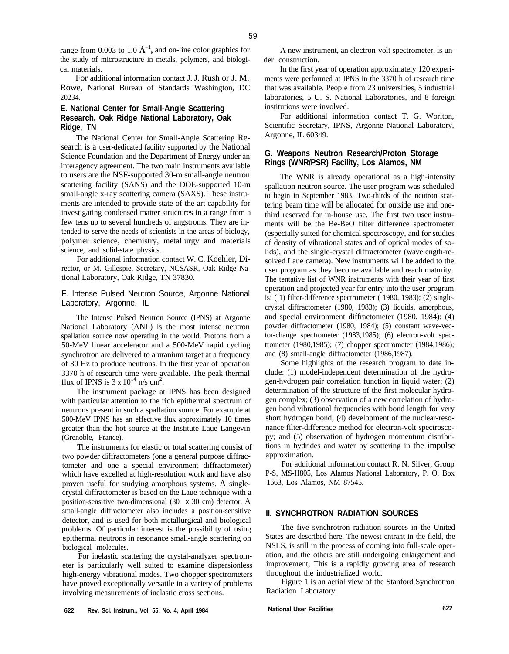range from 0.003 to 1.0  $\mathbf{\AA}^{-1}$ , and on-line color graphics for the study of microstructure in metals, polymers, and biological materials.

For additional information contact J. J. Rush or J. M. Rowe, National Bureau of Standards Washington, DC 20234.

#### **E. National Center for Small-Angle Scattering Research, Oak Ridge National Laboratory, Oak Ridge, TN**

The National Center for Small-Angle Scattering Research is a user-dedicated facility supported by the National Science Foundation and the Department of Energy under an interagency agreement. The two main instruments available to users are the NSF-supported 30-m small-angle neutron scattering facility (SANS) and the DOE-supported 10-m small-angle x-ray scattering camera (SAXS). These instruments are intended to provide state-of-the-art capability for investigating condensed matter structures in a range from a few tens up to several hundreds of angstroms. They are intended to serve the needs of scientists in the areas of biology, polymer science, chemistry, metallurgy and materials science, and solid-state physics.

For additional information contact W. C. Koehler, Director, or M. Gillespie, Secretary, NCSASR, Oak Ridge National Laboratory, Oak Ridge, TN 37830.

F. Intense Pulsed Neutron Source, Argonne National Laboratory, Argonne, IL

The Intense Pulsed Neutron Source (IPNS) at Argonne National Laboratory (ANL) is the most intense neutron spallation source now operating in the world. Protons from a 50-MeV linear accelerator and a 500-MeV rapid cycling synchrotron are delivered to a uranium target at a frequency of 30 Hz to produce neutrons. In the first year of operation 3370 h of research time were available. The peak thermal flux of IPNS is  $3 \times 10^{14}$  n/s cm<sup>2</sup>.

The instrument package at IPNS has been designed with particular attention to the rich epithermal spectrum of neutrons present in such a spallation source. For example at 500-MeV IPNS has an effective flux approximately 10 times greater than the hot source at the Institute Laue Langevin (Grenoble, France).

The instruments for elastic or total scattering consist of two powder diffractometers (one a general purpose diffractometer and one a special environment diffractometer) which have excelled at high-resolution work and have also proven useful for studying amorphous systems. A singlecrystal diffractometer is based on the Laue technique with a position-sensitive two-dimensional (30 x 30 cm) detector. A small-angle diffractometer also includes a position-sensitive detector, and is used for both metallurgical and biological problems. Of particular interest is the possibility of using epithermal neutrons in resonance small-angle scattering on biological molecules.

For inelastic scattering the crystal-analyzer spectrometer is particularly well suited to examine dispersionless high-energy vibrational modes. Two chopper spectrometers have proved exceptionally versatile in a variety of problems involving measurements of inelastic cross sections.

A new instrument, an electron-volt spectrometer, is under construction.

In the first year of operation approximately 120 experiments were performed at IPNS in the 3370 h of research time that was available. People from 23 universities, 5 industrial laboratories, 5 U. S. National Laboratories, and 8 foreign institutions were involved.

For additional information contact T. G. Worlton, Scientific Secretary, IPNS, Argonne National Laboratory, Argonne, IL 60349.

## **G. Weapons Neutron Research/Proton Storage Rings (WNR/PSR) Facility, Los Alamos, NM**

The WNR is already operational as a high-intensity spallation neutron source. The user program was scheduled to begin in September 1983. Two-thirds of the neutron scattering beam time will be allocated for outside use and onethird reserved for in-house use. The first two user instruments will be the Be-BeO filter difference spectrometer (especially suited for chemical spectroscopy, and for studies of density of vibrational states and of optical modes of solids), and the single-crystal diffractometer (wavelength-resolved Laue camera). New instruments will be added to the user program as they become available and reach maturity. The tentative list of WNR instruments with their year of first operation and projected year for entry into the user program is: ( 1) filter-difference spectrometer ( 1980, 1983); (2) singlecrystal diffractometer (1980, 1983); (3) liquids, amorphous, and special environment diffractometer (1980, 1984); (4) powder diffractometer (1980, 1984); (5) constant wave-vector-change spectrometer (1983,1985); (6) electron-volt spectrometer (1980,1985); (7) chopper spectrometer (1984,1986); and (8) small-angle diffractometer (1986,1987).

Some highlights of the research program to date include: (1) model-independent determination of the hydrogen-hydrogen pair correlation function in liquid water; (2) determination of the structure of the first molecular hydrogen complex; (3) observation of a new correlation of hydrogen bond vibrational frequencies with bond length for very short hydrogen bond; (4) development of the nuclear-resonance filter-difference method for electron-volt spectroscopy; and (5) observation of hydrogen momentum distributions in hydrides and water by scattering in the impulse approximation.

For additional information contact R. N. Silver, Group P-S, MS-H805, Los Alamos National Laboratory, P. O. Box 1663, Los Alamos, NM 87545.

#### **II. SYNCHROTRON RADIATION SOURCES**

The five synchrotron radiation sources in the United States are described here. The newest entrant in the field, the NSLS, is still in the process of coming into full-scale operation, and the others are still undergoing enlargement and improvement, This is a rapidly growing area of research throughout the industrialized world.

Figure 1 is an aerial view of the Stanford Synchrotron Radiation Laboratory.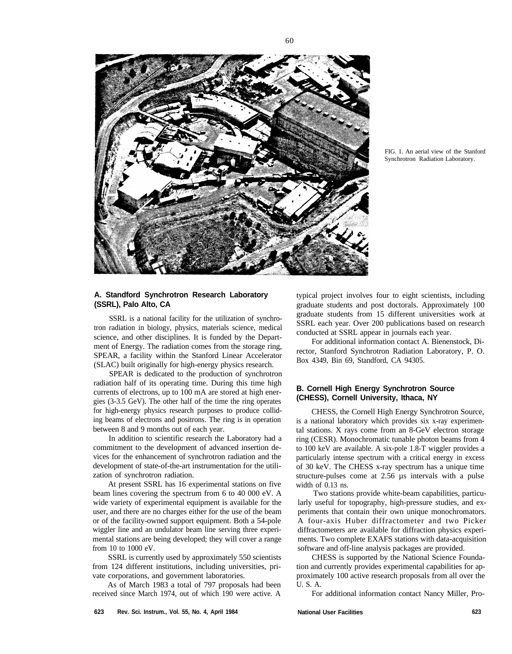

FIG. 1. An aerial view of the Stanford Synchrotron Radiation Laboratory.

#### **A. Standford Synchrotron Research Laboratory (SSRL), Palo Alto, CA**

SSRL is a national facility for the utilization of synchrotron radiation in biology, physics, materials science, medical science, and other disciplines. It is funded by the Department of Energy. The radiation comes from the storage ring, SPEAR, a facility within the Stanford Linear Accelerator (SLAC) built originally for high-energy physics research.

SPEAR is dedicated to the production of synchrotron radiation half of its operating time. During this time high currents of electrons, up to 100 mA are stored at high energies (3-3.5 GeV). The other half of the time the ring operates for high-energy physics research purposes to produce colliding beams of electrons and positrons. The ring is in operation between 8 and 9 months out of each year.

In addition to scientific research the Laboratory had a commitment to the development of advanced insertion devices for the enhancement of synchrotron radiation and the development of state-of-the-art instrumentation for the utilization of synchrotron radiation.

At present SSRL has 16 experimental stations on five beam lines covering the spectrum from 6 to 40 000 eV. A wide variety of experimental equipment is available for the user, and there are no charges either for the use of the beam or of the facility-owned support equipment. Both a 54-pole wiggler line and an undulator beam line serving three experimental stations are being developed; they will cover a range from 10 to 1000 eV.

SSRL is currently used by approximately 550 scientists from 124 different institutions, including universities, private corporations, and government laboratories.

As of March 1983 a total of 797 proposals had been received since March 1974, out of which 190 were active. A

typical project involves four to eight scientists, including graduate students and post doctorals. Approximately 100 graduate students from 15 different universities work at SSRL each year. Over 200 publications based on research conducted at SSRL appear in journals each year.

For additional information contact A. Bienenstock, Director, Stanford Synchrotron Radiation Laboratory, P. O. Box 4349, Bin 69, Standford, CA 94305.

#### **B. Cornell High Energy Synchrotron Source (CHESS), Cornell University, Ithaca, NY**

CHESS, the Cornell High Energy Synchrotron Source, is a national laboratory which provides six x-ray experimental stations. X rays come from an 8-GeV electron storage ring (CESR). Monochromatic tunable photon beams from 4 to 100 keV are available. A six-pole 1.8-T wiggler provides a particularly intense spectrum with a critical energy in excess of 30 keV. The CHESS x-ray spectrum has a unique time structure-pulses come at 2.56 µs intervals with a pulse width of  $0.13$  ns.

Two stations provide white-beam capabilities, particularly useful for topography, high-pressure studies, and experiments that contain their own unique monochromators. A four-axis Huber diffractometer and two Picker diffractometers are available for diffraction physics experiments. Two complete EXAFS stations with data-acquisition software and off-line analysis packages are provided.

CHESS is supported by the National Science Foundation and currently provides experimental capabilities for approximately 100 active research proposals from all over the U. S. A.

For additional information contact Nancy Miller, Pro-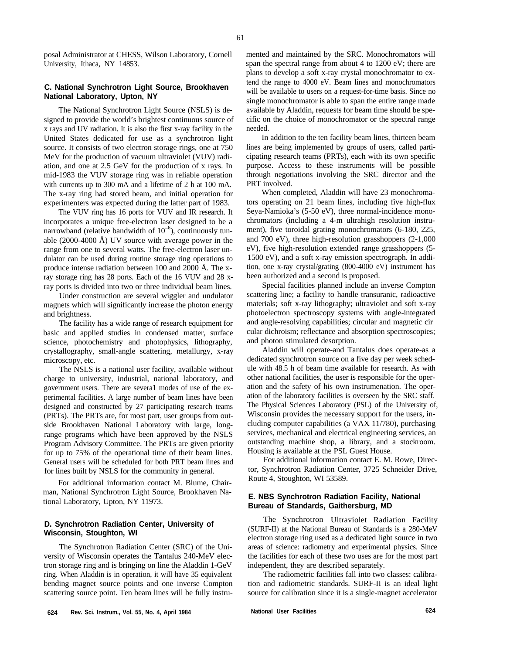posal Administrator at CHESS, Wilson Laboratory, Cornell University, Ithaca, NY 14853.

#### **C. National Synchrotron Light Source, Brookhaven National Laboratory, Upton, NY**

The National Synchrotron Light Source (NSLS) is designed to provide the world's brightest continuous source of x rays and UV radiation. It is also the first x-ray facility in the United States dedicated for use as a synchrotron light source. It consists of two electron storage rings, one at 750 MeV for the production of vacuum ultraviolet (VUV) radiation, and one at 2.5 GeV for the production of x rays. In mid-1983 the VUV storage ring was in reliable operation with currents up to 300 mA and a lifetime of 2 h at 100 mA. The x-ray ring had stored beam, and initial operation for experimenters was expected during the latter part of 1983.

The VUV ring has 16 ports for VUV and IR research. It incorporates a unique free-electron laser designed to be a narrowband (relative bandwidth of  $10^{-6}$ ), continuously tunable (2000-4000 Å) UV source with average power in the range from one to several watts. The free-electron laser undulator can be used during routine storage ring operations to produce intense radiation between 100 and 2000 Å. The xray storage ring has 28 ports. Each of the 16 VUV and 28 xray ports is divided into two or three individual beam lines.

Under construction are several wiggler and undulator magnets which will significantly increase the photon energy and brightness.

The facility has a wide range of research equipment for basic and applied studies in condensed matter, surface science, photochemistry and photophysics, lithography, crystallography, small-angle scattering, metallurgy, x-ray microscopy, etc.

The NSLS is a national user facility, available without charge to university, industrial, national laboratory, and government users. There are severa1 modes of use of the experimental facilities. A large number of beam lines have been designed and constructed by 27 participating research teams (PRTs). The PRTs are, for most part, user groups from outside Brookhaven National Laboratory with large, longrange programs which have been approved by the NSLS Program Advisory Committee. The PRTs are given priority for up to 75% of the operational time of their beam lines. General users will be scheduled for both PRT beam lines and for lines built by NSLS for the community in general.

For additional information contact M. Blume, Chairman, National Synchrotron Light Source, Brookhaven National Laboratory, Upton, NY 11973.

#### **D. Synchrotron Radiation Center, University of Wisconsin, Stoughton, WI**

The Synchrotron Radiation Center (SRC) of the University of Wisconsin operates the Tantalus 240-MeV electron storage ring and is bringing on line the Aladdin 1-GeV ring. When Aladdin is in operation, it will have 35 equivalent bending magnet source points and one inverse Compton scattering source point. Ten beam lines will be fully instrumented and maintained by the SRC. Monochromators will span the spectral range from about 4 to 1200 eV; there are plans to develop a soft x-ray crystal monochromator to extend the range to 4000 eV. Beam lines and monochromators will be available to users on a request-for-time basis. Since no single monochromator is able to span the entire range made available by Aladdin, requests for beam time should be specific on the choice of monochromator or the spectral range needed.

In addition to the ten facility beam lines, thirteen beam lines are being implemented by groups of users, called participating research teams (PRTs), each with its own specific purpose. Access to these instruments will be possible through negotiations involving the SRC director and the PRT involved.

When completed, Aladdin will have 23 monochromators operating on 21 beam lines, including five high-flux Seya-Namioka's (5-50 eV), three normal-incidence monochromators (including a 4-m ultrahigh resolution instrument), five toroidal grating monochromators (6-180, 225, and 700 eV), three high-resolution grasshoppers (2-1,000 eV), five high-resolution extended range grasshoppers (5- 1500 eV), and a soft x-ray emission spectrograph. In addition, one x-ray crystal/grating (800-4000 eV) instrument has been authorized and a second is proposed.

Special facilities planned include an inverse Compton scattering line; a facility to handle transuranic, radioactive materials; soft x-ray lithography; ultraviolet and soft x-ray photoelectron spectroscopy systems with angle-integrated and angle-resolving capabilities; circular and magnetic cir cular dichroism; reflectance and absorption spectroscopies; and photon stimulated desorption.

Aladdin will operate-and Tantalus does operate-as a dedicated synchrotron source on a five day per week schedule with 48.5 h of beam time available for research. As with other national facilities, the user is responsible for the operation and the safety of his own instrumenation. The operation of the laboratory facilities is overseen by the SRC staff. The Physical Sciences Laboratory (PSL) of the University of, Wisconsin provides the necessary support for the users, including computer capabilities (a VAX 11/780), purchasing services, mechanical and electrical engineering services, an outstanding machine shop, a library, and a stockroom. Housing is available at the PSL Guest House.

For additional information contact E. M. Rowe, Director, Synchrotron Radiation Center, 3725 Schneider Drive, Route 4, Stoughton, WI 53589.

#### **E. NBS Synchrotron Radiation Facility, National Bureau of Standards, Gaithersburg, MD**

The Synchrotron Ultraviolet Radiation Facility (SURF-II) at the National Bureau of Standards is a 280-MeV electron storage ring used as a dedicated light source in two areas of science: radiometry and experimental physics. Since the facilities for each of these two uses are for the most part independent, they are described separately.

The radiometric facilities fall into two classes: calibration and radiometric standards. SURF-II is an ideal light source for calibration since it is a single-magnet accelerator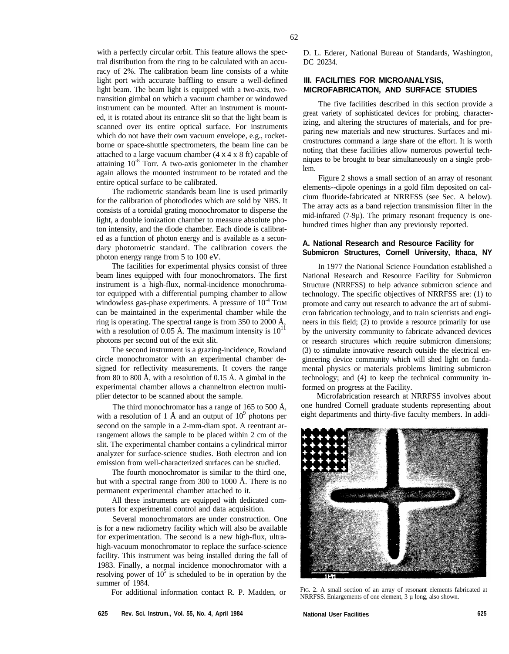with a perfectly circular orbit. This feature allows the spectral distribution from the ring to be calculated with an accuracy of 2%. The calibration beam line consists of a white light port with accurate baffling to ensure a well-defined light beam. The beam light is equipped with a two-axis, twotransition gimbal on which a vacuum chamber or windowed instrument can be mounted. After an instrument is mounted, it is rotated about its entrance slit so that the light beam is scanned over its entire optical surface. For instruments which do not have their own vacuum envelope, e.g., rocketborne or space-shuttle spectrometers, the beam line can be attached to a large vacuum chamber (4 x 4 x 8 ft) capable of attaining  $10^{-8}$  Torr. A two-axis goniometer in the chamber again allows the mounted instrument to be rotated and the entire optical surface to be calibrated.

The radiometric standards beam line is used primarily for the calibration of photodiodes which are sold by NBS. It consists of a toroidal grating monochromator to disperse the light, a double ionization chamber to measure absolute photon intensity, and the diode chamber. Each diode is calibrated as a function of photon energy and is available as a secondary photometric standard. The calibration covers the photon energy range from 5 to 100 eV.

The facilities for experimental physics consist of three beam lines equipped with four monochromators. The first instrument is a high-flux, normal-incidence monochromator equipped with a differential pumping chamber to allow windowless gas-phase experiments. A pressure of  $10^{-4}$  TOM can be maintained in the experimental chamber while the ring is operating. The spectral range is from 350 to 2000 Å, with a resolution of 0.05 Å. The maximum intensity is  $10^{11}$ photons per second out of the exit slit.

The second instrument is a grazing-incidence, Rowland circle monochromator with an experimental chamber designed for reflectivity measurements. It covers the range from 80 to 800 Å, with a resolution of 0.15 Å. A gimbal in the experimental chamber allows a channeltron electron multiplier detector to be scanned about the sample.

The third monochromator has a range of 165 to 500 Å, with a resolution of 1 Å and an output of  $10^9$  photons per second on the sample in a 2-mm-diam spot. A reentrant arrangement allows the sample to be placed within 2 cm of the slit. The experimental chamber contains a cylindrical mirror analyzer for surface-science studies. Both electron and ion emission from well-characterized surfaces can be studied.

The fourth monochromator is similar to the third one, but with a spectral range from 300 to 1000 Å. There is no permanent experimental chamber attached to it.

All these instruments are equipped with dedicated computers for experimental control and data acquisition.

Several monochromators are under construction. One is for a new radiometry facility which will also be available for experimentation. The second is a new high-flux, ultrahigh-vacuum monochromator to replace the surface-science facility. This instrument was being installed during the fall of 1983. Finally, a normal incidence monochromator with a resolving power of  $10^5$  is scheduled to be in operation by the summer of 1984.

For additional information contact R. P. Madden, or

D. L. Ederer, National Bureau of Standards, Washington, DC 20234.

62

#### **III. FACILITIES FOR MICROANALYSIS, MICROFABRICATION, AND SURFACE STUDIES**

The five facilities described in this section provide a great variety of sophisticated devices for probing, characterizing, and altering the structures of materials, and for preparing new materials and new structures. Surfaces and microstructures command a large share of the effort. It is worth noting that these facilities allow numerous powerful techniques to be brought to bear simultaneously on a single problem.

Figure 2 shows a small section of an array of resonant elements--dipole openings in a gold film deposited on calcium fluoride-fabricated at NRRFSS (see Sec. A below). The array acts as a band rejection transmission filter in the mid-infrared (7-9µ). The primary resonant frequency is onehundred times higher than any previously reported.

#### **A. National Research and Resource Facility for Submicron Structures, Cornell University, Ithaca, NY**

In 1977 the National Science Foundation established a National Research and Resource Facility for Submicron Structure (NRRFSS) to help advance submicron science and technology. The specific objectives of NRRFSS are: (1) to promote and carry out research to advance the art of submicron fabrication technology, and to train scientists and engineers in this field; (2) to provide a resource primarily for use by the university community to fabricate advanced devices or research structures which require submicron dimensions; (3) to stimulate innovative research outside the electrical engineering device community which will shed light on fundamental physics or materials problems limiting submicron technology; and (4) to keep the technical community informed on progress at the Facility.

Microfabrication research at NRRFSS involves about one hundred Cornell graduate students representing about eight departments and thirty-five faculty members. In addi-



FIG. 2. A small section of an array of resonant elements fabricated at NRRFSS. Enlargements of one element, 3 µ long, also shown.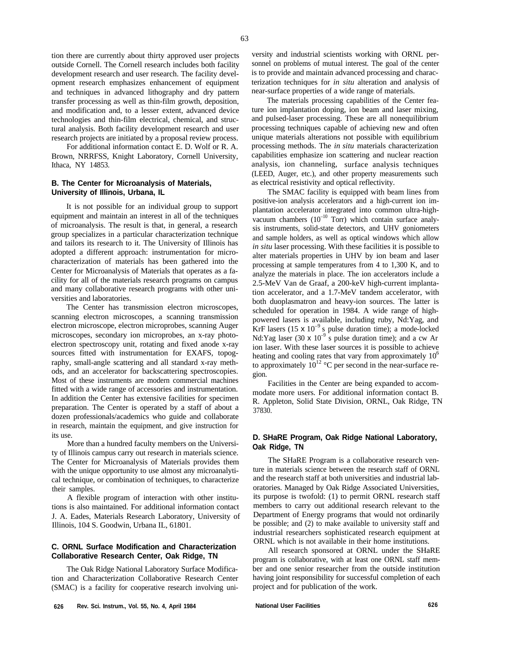tion there are currently about thirty approved user projects outside Cornell. The Cornell research includes both facility development research and user research. The facility development research emphasizes enhancement of equipment and techniques in advanced lithography and dry pattern transfer processing as well as thin-film growth, deposition, and modification and, to a lesser extent, advanced device technologies and thin-film electrical, chemical, and structural analysis. Both facility development research and user research projects are initiated by a proposal review process.

For additional information contact E. D. Wolf or R. A. Brown, NRRFSS, Knight Laboratory, Cornell University, Ithaca, NY 14853.

#### **B. The Center for Microanalysis of Materials, University of Illinois, Urbana, IL**

It is not possible for an individual group to support equipment and maintain an interest in all of the techniques of microanalysis. The result is that, in general, a research group specializes in a particular characterization technique and tailors its research to it. The University of Illinois has adopted a different approach: instrumentation for microcharacterization of materials has been gathered into the Center for Microanalysis of Materials that operates as a facility for all of the materials research programs on campus and many collaborative research programs with other universities and laboratories.

The Center has transmission electron microscopes, scanning electron microscopes, a scanning transmission electron microscope, electron microprobes, scanning Auger microscopes, secondary ion microprobes, an x-ray photoelectron spectroscopy unit, rotating and fixed anode x-ray sources fitted with instrumentation for EXAFS, topography, small-angle scattering and all standard x-ray methods, and an accelerator for backscattering spectroscopies. Most of these instruments are modern commercial machines fitted with a wide range of accessories and instrumentation. In addition the Center has extensive facilities for specimen preparation. The Center is operated by a staff of about a dozen professionals/academics who guide and collaborate in research, maintain the equipment, and give instruction for its use.

More than a hundred faculty members on the University of Illinois campus carry out research in materials science. The Center for Microanalysis of Materials provides them with the unique opportunity to use almost any microanalytical technique, or combination of techniques, to characterize their samples.

A flexible program of interaction with other institutions is also maintained. For additional information contact J. A. Eades, Materials Research Laboratory, University of Illinois, 104 S. Goodwin, Urbana IL, 61801.

#### **C. ORNL Surface Modification and Characterization Collaborative Research Center, Oak Ridge, TN**

The Oak Ridge National Laboratory Surface Modification and Characterization Collaborative Research Center (SMAC) is a facility for cooperative research involving uni-

versity and industrial scientists working with ORNL personnel on problems of mutual interest. The goal of the center is to provide and maintain advanced processing and characterization techniques for *in situ* alteration and analysis of near-surface properties of a wide range of materials.

The materials processing capabilities of the Center feature ion implantation doping, ion beam and laser mixing, and pulsed-laser processing. These are all nonequilibrium processing techniques capable of achieving new and often unique materials alterations not possible with equilibrium processing methods. The *in situ* materials characterization capabilities emphasize ion scattering and nuclear reaction analysis, ion channeling, surface analysis techniques (LEED, Auger, etc.), and other property measurements such as electrical resistivity and optical reflectivity.

The SMAC facility is equipped with beam lines from positive-ion analysis accelerators and a high-current ion implantation accelerator integrated into common ultra-highvacuum chambers  $(10^{-10}$  Torr) which contain surface analysis instruments, solid-state detectors, and UHV goniometers and sample holders, as well as optical windows which allow *in situ* laser processing. With these facilities it is possible to alter materials properties in UHV by ion beam and laser processing at sample temperatures from 4 to 1,300 K, and to analyze the materials in place. The ion accelerators include a 2.5-MeV Van de Graaf, a 200-keV high-current implantation accelerator, and a 1.7-MeV tandem accelerator, with both duoplasmatron and heavy-ion sources. The latter is scheduled for operation in 1984. A wide range of highpowered lasers is available, including ruby, Nd:Yag, and KrF lasers (15  $\times$  10<sup>-9</sup> s pulse duration time); a mode-locked Nd: Yag laser (30 x  $10^{-9}$  s pulse duration time); and a cw Ar ion laser. With these laser sources it is possible to achieve heating and cooling rates that vary from approximately  $10<sup>6</sup>$ to approximately  $10^{12}$  °C per second in the near-surface region.

Facilities in the Center are being expanded to accommodate more users. For additional information contact B. R. Appleton, Solid State Division, ORNL, Oak Ridge, TN 37830.

#### **D. SHaRE Program, Oak Ridge National Laboratory, Oak Ridge, TN**

The SHaRE Program is a collaborative research venture in materials science between the research staff of ORNL and the research staff at both universities and industrial laboratories. Managed by Oak Ridge Associated Universities, its purpose is twofold: (1) to permit ORNL research staff members to carry out additional research relevant to the Department of Energy programs that would not ordinarily be possible; and (2) to make available to university staff and industrial researchers sophisticated research equipment at ORNL which is not available in their home institutions.

All research sponsored at ORNL under the SHaRE program is collaborative, with at least one ORNL staff member and one senior researcher from the outside institution having joint responsibility for successful completion of each project and for publication of the work.

63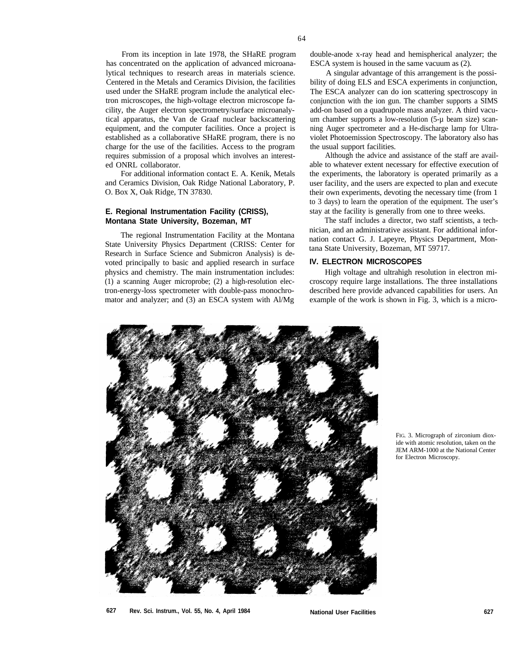From its inception in late 1978, the SHaRE program double-anode x-ray head and hemispherical analyzer; the has concentrated on the application of advanced microana-<br>ESCA system is housed in the same vacuum as (2). lytical techniques to research areas in materials science. Centered in the Metals and Ceramics Division, the facilities used under the SHaRE program include the analytical electron microscopes, the high-voltage electron microscope facility, the Auger electron spectrometry/surface microanalytical apparatus, the Van de Graaf nuclear backscattering equipment, and the computer facilities. Once a project is established as a collaborative SHaRE program, there is no charge for the use of the facilities. Access to the program requires submission of a proposal which involves an interested ONRL collaborator.

For additional information contact E. A. Kenik, Metals and Ceramics Division, Oak Ridge National Laboratory, P. O. Box X, Oak Ridge, TN 37830.

#### **E. Regional Instrumentation Facility (CRISS), Montana State University, Bozeman, MT**

State University Physics Department (CRISS: Center for nation contact G. J. Lapeyre, Physics Dep Research in Surface Science and Submicron Analysis) is de-<br>voted principally to basic and applied research in surface. **IV. ELECTRON MICROSCOPES** voted principally to basic and applied research in surface physics and chemistry. The main instrumentation includes: (1) a scanning Auger microprobe; (2) a high-resolution electron-energy-loss spectrometer with double-pass monochromator and analyzer; and (3) an ESCA system with Al/Mg

A singular advantage of this arrangement is the possibility of doing ELS and ESCA experiments in conjunction, The ESCA analyzer can do ion scattering spectroscopy in conjunction with the ion gun. The chamber supports a SIMS add-on based on a quadrupole mass analyzer. A third vacuum chamber supports a low-resolution (5-µ beam size) scanning Auger spectrometer and a He-discharge lamp for Ultraviolet Photoemission Spectroscopy. The laboratory also has the usual support facilities.

Although the advice and assistance of the staff are available to whatever extent necessary for effective execution of the experiments, the laboratory is operated primarily as a user facility, and the users are expected to plan and execute their own experiments, devoting the necessary time (from 1 to 3 days) to learn the operation of the equipment. The user's stay at the facility is generally from one to three weeks.

The staff includes a director, two staff scientists, a tech-The regional Instrumentation Facility at the Montana nician, and an administrative assistant. For additional infor-<br>In the mation contact G. J. Lapeyre, Physics Department, Mon-

High voltage and ultrahigh resolution in electron microscopy require large installations. The three installations described here provide advanced capabilities for users. An example of the work is shown in Fig. 3, which is a micro-



**627 Rev. Sci. Instrum., Vol. 55, No. 4, April 1984 National User Facilities**

FIG. 3. Micrograph of zirconium dioxide with atomic resolution, taken on the JEM ARM-1000 at the National Center for Electron Microscopy.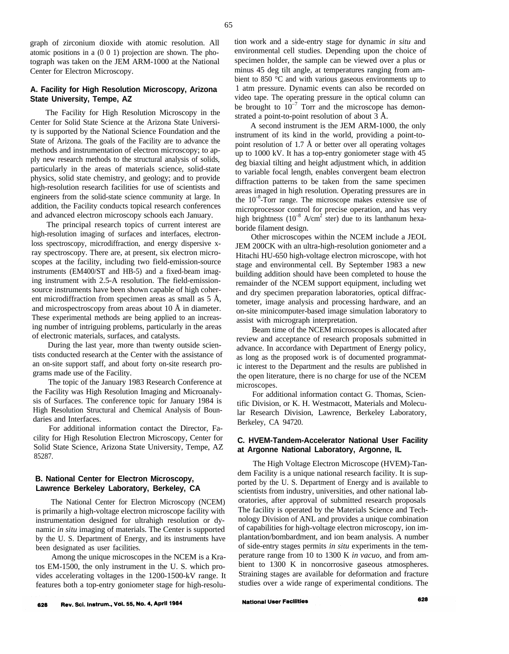## **A. Facility for High Resolution Microscopy, Arizona State University, Tempe, AZ**

The Facility for High Resolution Microscopy in the Center for Solid State Science at the Arizona State University is supported by the National Science Foundation and the State of Arizona. The goals of the Facility are to advance the methods and instrumentation of electron microscopy; to apply new research methods to the structural analysis of solids, particularly in the areas of materials science, solid-state physics, solid state chemistry, and geology; and to provide high-resolution research facilities for use of scientists and engineers from the solid-state science community at large. In addition, the Facility conducts topical research conferences and advanced electron microscopy schools each January.

The principal research topics of current interest are high-resolution imaging of surfaces and interfaces, electronloss spectroscopy, microdiffraction, and energy dispersive xray spectroscopy. There are, at present, six electron microscopes at the facility, including two field-emission-source instruments (EM400/ST and HB-5) and a fixed-beam imaging instrument with 2.5-A resolution. The field-emissionsource instruments have been shown capable of high coherent microdiffraction from specimen areas as small as 5 Å, and microspectroscopy from areas about 10 Å in diameter. These experimental methods are being applied to an increasing number of intriguing problems, particularly in the areas of electronic materials, surfaces, and catalysts.

During the last year, more than twenty outside scientists conducted research at the Center with the assistance of an on-site support staff, and about forty on-site research programs made use of the Facility.

The topic of the January 1983 Research Conference at the Facility was High Resolution Imaging and Microanalysis of Surfaces. The conference topic for January 1984 is High Resolution Structural and Chemical Analysis of Boundaries and Interfaces.

For additional information contact the Director, Facility for High Resolution Electron Microscopy, Center for Solid State Science, Arizona State University, Tempe, AZ 85287.

## **B. National Center for Electron Microscopy, Lawrence Berkeley Laboratory, Berkeley, CA**

The National Center for Electron Microscopy (NCEM) is primarily a high-voltage electron microscope facility with instrumentation designed for ultrahigh resolution or dynamic *in situ* imaging of materials. The Center is supported by the U. S. Department of Energy, and its instruments have been designated as user facilities.

Among the unique microscopes in the NCEM is a Kratos EM-1500, the only instrument in the U. S. which provides accelerating voltages in the 1200-1500-kV range. It features both a top-entry goniometer stage for high-resolution work and a side-entry stage for dynamic *in situ* and environmental cell studies. Depending upon the choice of specimen holder, the sample can be viewed over a plus or minus 45 deg tilt angle, at temperatures ranging from ambient to 850 °C and with various gaseous environments up to 1 atm pressure. Dynamic events can also be recorded on video tape. The operating pressure in the optical column can be brought to  $10^{-7}$  Torr and the microscope has demonstrated a point-to-point resolution of about 3 Å.

A second instrument is the JEM ARM-1000, the only instrument of its kind in the world, providing a point-topoint resolution of 1.7 Å or better over all operating voltages up to 1000 kV. It has a top-entry goniometer stage with 45 deg biaxial tilting and height adjustment which, in addition to variable focal length, enables convergent beam electron diffraction patterns to be taken from the same specimen areas imaged in high resolution. Operating pressures are in the  $10^{-8}$ -Torr range. The microscope makes extensive use of microprocessor control for precise operation, and has very high brightness ( $10^{-8}$  A/cm<sup>2</sup> ster) due to its lanthanum hexaboride filament design.

Other microscopes within the NCEM include a JEOL JEM 200CK with an ultra-high-resolution goniometer and a Hitachi HU-650 high-voltage electron microscope, with hot stage and environmental cell. By September 1983 a new building addition should have been completed to house the remainder of the NCEM support equipment, including wet and dry specimen preparation laboratories, optical diffractometer, image analysis and processing hardware, and an on-site minicomputer-based image simulation laboratory to assist with micrograph interpretation.

Beam time of the NCEM microscopes is allocated after review and acceptance of research proposals submitted in advance. In accordance with Department of Energy policy, as long as the proposed work is of documented programmatic interest to the Department and the results are published in the open literature, there is no charge for use of the NCEM microscopes.

For additional information contact G. Thomas, Scientific Division, or K. H. Westmacott, Materials and Molecular Research Division, Lawrence, Berkeley Laboratory, Berkeley, CA 94720.

## **C. HVEM-Tandem-Accelerator National User Facility at Argonne National Laboratory, Argonne, IL**

The High Voltage Electron Microscope (HVEM)-Tandem Facility is a unique national research facility. It is supported by the U. S. Department of Energy and is available to scientists from industry, universities, and other national laboratories, after approval of submitted research proposals The facility is operated by the Materials Science and Technology Division of ANL and provides a unique combination of capabilities for high-voltage electron microscopy, ion implantation/bombardment, and ion beam analysis. A number of side-entry stages permits *in situ* experiments in the temperature range from 10 to 1300 K *in vacuo,* and from ambient to 1300 K in noncorrosive gaseous atmospheres. Straining stages are available for deformation and fracture studies over a wide range of experimental conditions. The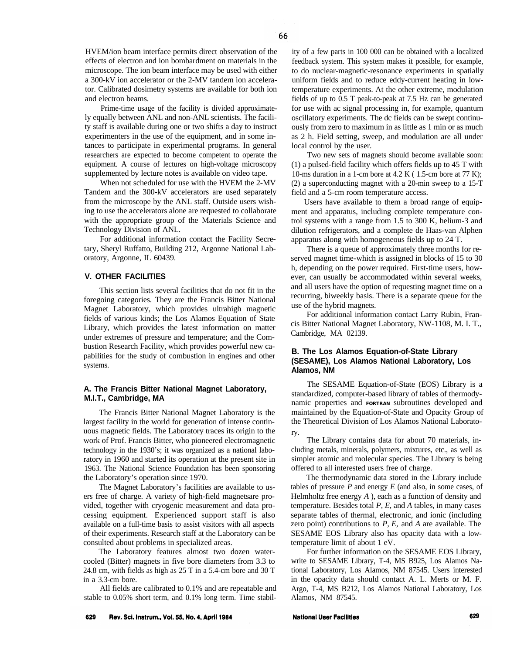HVEM/ion beam interface permits direct observation of the effects of electron and ion bombardment on materials in the microscope. The ion beam interface may be used with either a 300-kV ion accelerator or the 2-MV tandem ion accelerator. Calibrated dosimetry systems are available for both ion and electron beams.

Prime-time usage of the facility is divided approximately equally between ANL and non-ANL scientists. The facility staff is available during one or two shifts a day to instruct experimenters in the use of the equipment, and in some intances to participate in experimental programs. In general researchers are expected to become competent to operate the equipment. A course of lectures on high-voltage microscopy supplemented by lecture notes is available on video tape.

When not scheduled for use with the HVEM the 2-MV Tandem and the 300-kV accelerators are used separately from the microscope by the ANL staff. Outside users wishing to use the accelerators alone are requested to collaborate with the appropriate group of the Materials Science and Technology Division of ANL.

For additional information contact the Facility Secretary, Sheryl Ruffatto, Building 212, Argonne National Laboratory, Argonne, IL 60439.

#### **V. OTHER FACILITIES**

This section lists several facilities that do not fit in the foregoing categories. They are the Francis Bitter National Magnet Laboratory, which provides ultrahigh magnetic fields of various kinds; the Los Alamos Equation of State Library, which provides the latest information on matter under extremes of pressure and temperature; and the Combustion Research Facility, which provides powerful new capabilities for the study of combustion in engines and other systems.

## **A. The Francis Bitter National Magnet Laboratory, M.I.T., Cambridge, MA**

The Francis Bitter National Magnet Laboratory is the largest facility in the world for generation of intense continuous magnetic fields. The Laboratory traces its origin to the work of Prof. Francis Bitter, who pioneered electromagnetic technology in the 1930's; it was organized as a national laboratory in 1960 and started its operation at the present site in 1963. The National Science Foundation has been sponsoring the Laboratory's operation since 1970.

The Magnet Laboratory's facilities are available to users free of charge. A variety of high-field magnetsare provided, together with cryogenic measurement and data processing equipment. Experienced support staff is also available on a full-time basis to assist visitors with all aspects of their experiments. Research staff at the Laboratory can be consulted about problems in specialized areas.

The Laboratory features almost two dozen watercooled (Bitter) magnets in five bore diameters from 3.3 to 24.8 cm, with fields as high as 25 T in a 5.4-cm bore and 30 T in a 3.3-cm bore.

All fields are calibrated to 0.1% and are repeatable and stable to 0.05% short term, and 0.1% long term. Time stability of a few parts in 100 000 can be obtained with a localized feedback system. This system makes it possible, for example, to do nuclear-magnetic-resonance experiments in spatially uniform fields and to reduce eddy-current heating in lowtemperature experiments. At the other extreme, modulation fields of up to 0.5 T peak-to-peak at 7.5 Hz can be generated for use with ac signal processing in, for example, quantum oscillatory experiments. The dc fields can be swept continuously from zero to maximum in as little as 1 min or as much as 2 h. Field setting, sweep, and modulation are all under local control by the user.

Two new sets of magnets should become available soon: (1) a pulsed-field facility which offers fields up to 45 T with 10-ms duration in a 1-cm bore at 4.2 K ( 1.5-cm bore at 77 K); (2) a superconducting magnet with a 20-min sweep to a 15-T field and a 5-cm room temperature access.

 Users have available to them a broad range of equipment and apparatus, including complete temperature control systems with a range from 1.5 to 300 K, helium-3 and dilution refrigerators, and a complete de Haas-van Alphen apparatus along with homogeneous fields up to 24 T.

There is a queue of approximately three months for reserved magnet time-which is assigned in blocks of 15 to 30 h, depending on the power required. First-time users, however, can usually be accommodated within several weeks, and all users have the option of requesting magnet time on a recurring, biweekly basis. There is a separate queue for the use of the hybrid magnets.

For additional information contact Larry Rubin, Francis Bitter National Magnet Laboratory, NW-1108, M. I. T., Cambridge, MA 02139.

## **B. The Los Alamos Equation-of-State Library (SESAME), Los Alamos National Laboratory, Los Alamos, NM**

The SESAME Equation-of-State (EOS) Library is a standardized, computer-based library of tables of thermodynamic properties and **FORTRAN** subroutines developed and maintained by the Equation-of-State and Opacity Group of the Theoretical Division of Los Alamos National Laboratory.

The Library contains data for about 70 materials, including metals, minerals, polymers, mixtures, etc., as well as simpler atomic and molecular species. The Library is being offered to all interested users free of charge.

The thermodynamic data stored in the Library include tables of pressure *P* and energy *E* (and also, in some cases, of Helmholtz free energy *A* ), each as a function of density and temperature. Besides total *P, E,* and *A* tables, in many cases separate tables of thermal, electronic, and ionic (including zero point) contributions to *P, E,* and *A* are available. The SESAME EOS Library also has opacity data with a lowtemperature limit of about 1 eV.

For further information on the SESAME EOS Library, write to SESAME Library, T-4, MS B925, Los Alamos National Laboratory, Los Alamos, NM 87545. Users interested in the opacity data should contact A. L. Merts or M. F. Argo, T-4, MS B212, Los Alamos National Laboratory, Los Alamos, NM 87545.

**National User Facilities**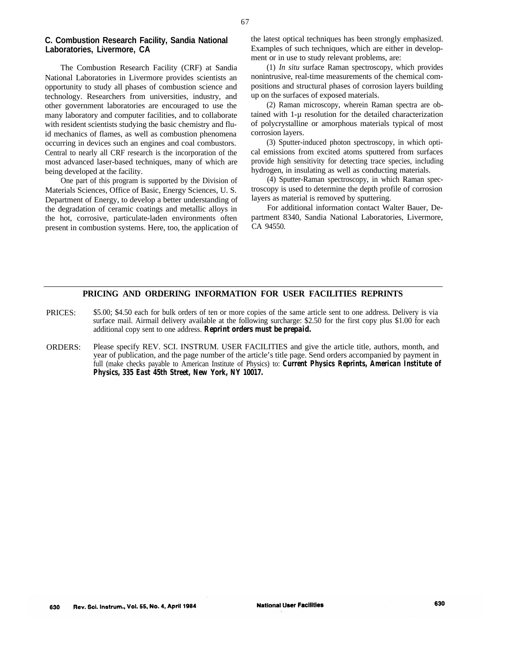## **C. Combustion Research Facility, Sandia National Laboratories, Livermore, CA**

The Combustion Research Facility (CRF) at Sandia National Laboratories in Livermore provides scientists an opportunity to study all phases of combustion science and technology. Researchers from universities, industry, and other government laboratories are encouraged to use the many laboratory and computer facilities, and to collaborate with resident scientists studying the basic chemistry and fluid mechanics of flames, as well as combustion phenomena occurring in devices such an engines and coal combustors. Central to nearly all CRF research is the incorporation of the most advanced laser-based techniques, many of which are being developed at the facility.

One part of this program is supported by the Division of Materials Sciences, Office of Basic, Energy Sciences, U. S. Department of Energy, to develop a better understanding of the degradation of ceramic coatings and metallic alloys in the hot, corrosive, particulate-laden environments often present in combustion systems. Here, too, the application of the latest optical techniques has been strongly emphasized. Examples of such techniques, which are either in development or in use to study relevant problems, are:

(1) *In situ* surface Raman spectroscopy, which provides nonintrusive, real-time measurements of the chemical compositions and structural phases of corrosion layers building up on the surfaces of exposed materials.

(2) Raman microscopy, wherein Raman spectra are obtained with 1-µ resolution for the detailed characterization of polycrystalline or amorphous materials typical of most corrosion layers.

(3) Sputter-induced photon spectroscopy, in which optical emissions from excited atoms sputtered from surfaces provide high sensitivity for detecting trace species, including hydrogen, in insulating as well as conducting materials.

(4) Sputter-Raman spectroscopy, in which Raman spectroscopy is used to determine the depth profile of corrosion layers as material is removed by sputtering.

For additional information contact Walter Bauer, Department 8340, Sandia National Laboratories, Livermore, CA 94550.

#### **PRICING AND ORDERING INFORMATION FOR USER FACILITIES REPRINTS**

- PRICES: \$5.00; \$4.50 each for bulk orders of ten or more copies of the same article sent to one address. Delivery is via surface mail. Airmail delivery available at the following surcharge: \$2.50 for the first copy plus \$1.00 for each additional copy sent to one address. *Reprint orders must be prepaid.*
- ORDERS: Please specify REV. SCI. INSTRUM. USER FACILITIES and give the article title, authors, month, and year of publication, and the page number of the article's title page. Send orders accompanied by payment in full (make checks payable to American Institute of Physics) to: *Current Physics Reprints, American Institute of Physics, 335 East 45th Street, New York, NY 10017.*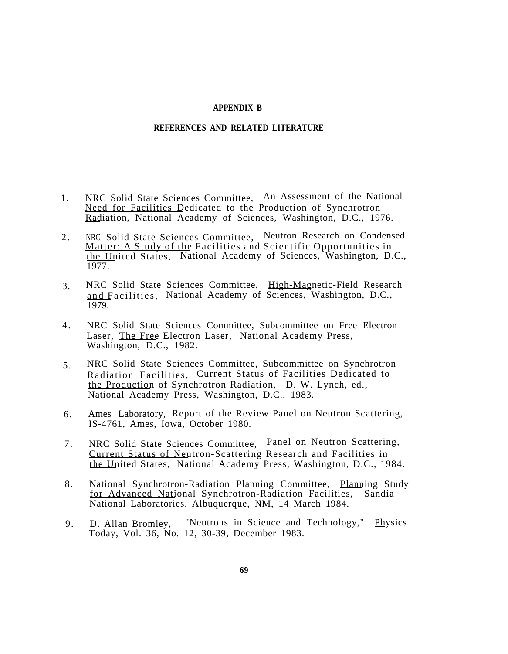## **APPENDIX B**

## **REFERENCES AND RELATED LITERATURE**

- 1. NRC Solid State Sciences Committee, An Assessment of the National Need for Facilities Dedicated to the Production of Synchrotron Radiation, National Academy of Sciences, Washington, D.C., 1976.
- 2. NRC Solid State Sciences Committee, Neutron Research on Condensed Matter: A Study of the Facilities and Scientific Opportunities in the United States, National Academy of Sciences, Washington, D.C., 1977.
- 3. NRC Solid State Sciences Committee, High-Magnetic-Field Research and Facilities, National Academy of Sciences, Washington, D.C., 1979.
- 4. NRC Solid State Sciences Committee, Subcommittee on Free Electron Laser, The Free Electron Laser, National Academy Press, Washington, D.C., 1982.
- 5. NRC Solid State Sciences Committee, Subcommittee on Synchrotron Radiation Facilities, Current Status of Facilities Dedicated to the Production of Synchrotron Radiation, D. W. Lynch, ed., National Academy Press, Washington, D.C., 1983.
- 6. Ames Laboratory, Report of the Review Panel on Neutron Scattering, IS-4761, Ames, Iowa, October 1980.
- 7. NRC Solid State Sciences Committee, Panel on Neutron Scattering, Current Status of Neutron-Scattering Research and Facilities in the United States, National Academy Press, Washington, D.C., 1984.
- 8. National Synchrotron-Radiation Planning Committee, Planning Study for Advanced National Synchrotron-Radiation Facilities, Sandia National Laboratories, Albuquerque, NM, 14 March 1984.
- 9. D. Allan Bromley, "Neutrons in Science and Technology," Physics Today, Vol. 36, No. 12, 30-39, December 1983.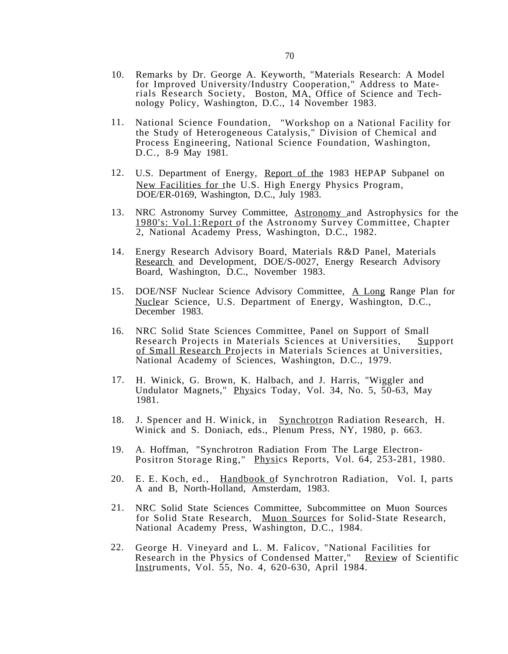- Remarks by Dr. George A. Keyworth, "Materials Research: A Model for Improved University/Industry Cooperation," Address to Materials Research Society, Boston, MA, Office of Science and Technology Policy, Washington, D.C., 14 November 1983. 10.
- 11. National Science Foundation, "Workshop on a National Facility for the Study of Heterogeneous Catalysis," Division of Chemical and Process Engineering, National Science Foundation, Washington, D.C., 8-9 May 1981.
- 12. U.S. Department of Energy, Report of the 1983 HEPAP Subpanel on New Facilities for the U.S. High Energy Physics Program, DOE/ER-0169, Washington, D.C., July 1983.
- 13. NRC Astronomy Survey Committee, Astronomy and Astrophysics for the 1980's: Vol.1:Report of the Astronomy Survey Committee, Chapter 2, National Academy Press, Washington, D.C., 1982.
- 14. Energy Research Advisory Board, Materials R&D Panel, Materials Research and Development, DOE/S-0027, Energy Research Advisory Board, Washington, D.C., November 1983.
- 15. DOE/NSF Nuclear Science Advisory Committee, A Long Range Plan for Nuclear Science, U.S. Department of Energy, Washington, D.C., December 1983.
- 16. NRC Solid State Sciences Committee, Panel on Support of Small Research Projects in Materials Sciences at Universities, Support of Small Research Projects in Materials Sciences at Universities, National Academy of Sciences, Washington, D.C., 1979.
- 17. H. Winick, G. Brown, K. Halbach, and J. Harris, "Wiggler and Undulator Magnets," Physics Today, Vol. 34, No. 5, 50-63, May 1981.
- 18. J. Spencer and H. Winick, in Synchrotron Radiation Research, H. Winick and S. Doniach, eds., Plenum Press, NY, 1980, p. 663.
- 19. A. Hoffman, "Synchrotron Radiation From The Large Electron-Positron Storage Ring," Physics Reports, Vol. 64, 253-281, 1980.
- 20. E. E. Koch, ed., Handbook of Synchrotron Radiation, Vol. I, parts A and B, North-Holland, Amsterdam, 1983.
- 21. NRC Solid State Sciences Committee, Subcommittee on Muon Sources for Solid State Research, Muon Sources for Solid-State Research, National Academy Press, Washington, D.C., 1984.
- 22. George H. Vineyard and L. M. Falicov, "National Facilities for Research in the Physics of Condensed Matter," Review of Scientific Instruments, Vol. 55, No. 4, 620-630, April 1984.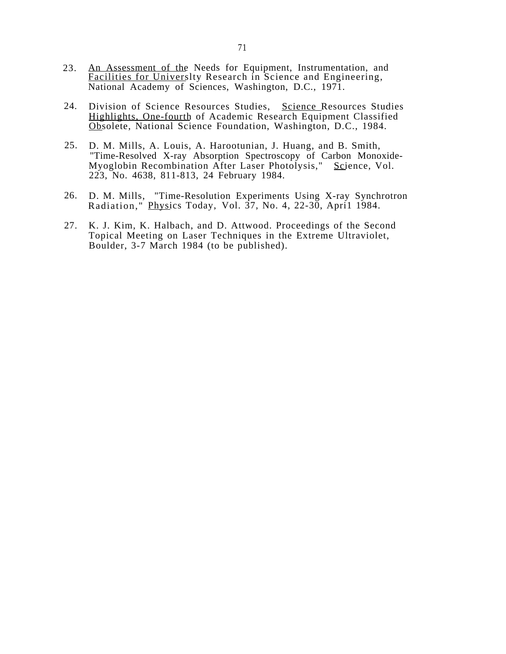- 23. An Assessment of the Needs for Equipment, Instrumentation, and Facilities for Universlty Research in Science and Engineering, National Academy of Sciences, Washington, D.C., 1971.
- 24. Division of Science Resources Studies, Science Resources Studies Highlights, One-fourth of Academic Research Equipment Classified Obsolete, National Science Foundation, Washington, D.C., 1984.
- 25. D. M. Mills, A. Louis, A. Harootunian, J. Huang, and B. Smith, "Time-Resolved X-ray Absorption Spectroscopy of Carbon Monoxide-Myoglobin Recombination After Laser Photolysis," Science, Vol. 223, No. 4638, 811-813, 24 February 1984.
- 26. D. M. Mills, "Time-Resolution Experiments Using X-ray Synchrotron Radiation," Physics Today, Vol. 37, No. 4, 22-30, Apri1 1984.
- 27. K. J. Kim, K. Halbach, and D. Attwood. Proceedings of the Second Topical Meeting on Laser Techniques in the Extreme Ultraviolet, Boulder, 3-7 March 1984 (to be published).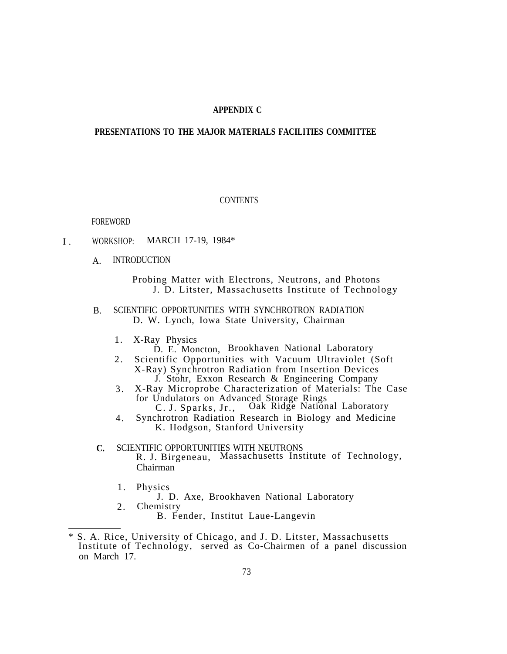# **APPENDIX C**

## **PRESENTATIONS TO THE MAJOR MATERIALS FACILITIES COMMITTEE**

## **CONTENTS**

FOREWORD

I . WORKSHOP: MARCH 17-19, 1984\*

A. INTRODUCTION

Probing Matter with Electrons, Neutrons, and Photons J. D. Litster, Massachusetts Institute of Technology

- B. SCIENTIFIC OPPORTUNITIES WITH SYNCHROTRON RADIATION D. W. Lynch, Iowa State University, Chairman
	- 1. X-Ray Physics
		- D. E. Moncton, Brookhaven National Laboratory
	- 2. Scientific Opportunities with Vacuum Ultraviolet (Soft X-Ray) Synchrotron Radiation from Insertion Devices J. Stohr, Exxon Research & Engineering Company
	- 3. X-Ray Microprobe Characterization of Materials: The Case for Undulators on Advanced Storage Rings C. J. Sparks, Jr., Oak Ridge National Laboratory
	- 4. Synchrotron Radiation Research in Biology and Medicine K. Hodgson, Stanford University
- **C.** SCIENTIFIC OPPORTUNITIES WITH NEUTRONS R. J. Birgeneau, Massachusetts Institute of Technology, Chairman
	- 1. Physics
		- J. D. Axe, Brookhaven National Laboratory
	- 2. Chemistry
		- B. Fender, Institut Laue-Langevin

<sup>\*</sup> S. A. Rice, University of Chicago, and J. D. Litster, Massachusetts Institute of Technology, served as Co-Chairmen of a panel discussion on March 17.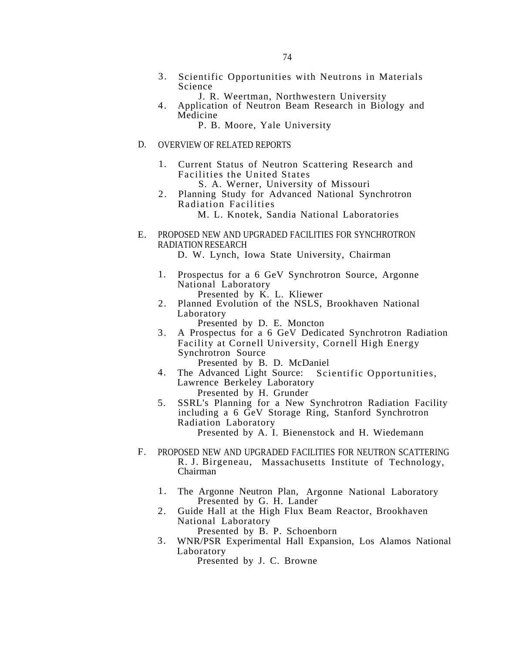- 3. Scientific Opportunities with Neutrons in Materials Science
	- J. R. Weertman, Northwestern University
- 4. Application of Neutron Beam Research in Biology and Medicine
	- P. B. Moore, Yale University
- D. OVERVIEW OF RELATED REPORTS
	- 1. Current Status of Neutron Scattering Research and Facilities the United States
	- S. A. Werner, University of Missouri 2. Planning Study for Advanced National Synchrotron Radiation Facilities

M. L. Knotek, Sandia National Laboratories

E. PROPOSED NEW AND UPGRADED FACILITIES FOR SYNCHROTRON RADIATION RESEARCH

D. W. Lynch, Iowa State University, Chairman

- 1. Prospectus for a 6 GeV Synchrotron Source, Argonne National Laboratory
	- Presented by K. L. Kliewer
- 2. Planned Evolution of the NSLS, Brookhaven National Laboratory
	- Presented by D. E. Moncton
- 3. A Prospectus for a 6 GeV Dedicated Synchrotron Radiation Facility at Cornell University, Cornell High Energy Synchrotron Source
	- Presented by B. D. McDaniel
- 4. The Advanced Light Source: Scientific Opportunities, Lawrence Berkeley Laboratory Presented by H. Grunder
- 5. SSRL's Planning for a New Synchrotron Radiation Facility including a 6 GeV Storage Ring, Stanford Synchrotron Radiation Laboratory
	- Presented by A. I. Bienenstock and H. Wiedemann
- F. PROPOSED NEW AND UPGRADED FACILITIES FOR NEUTRON SCATTERING R. J. Birgeneau, Massachusetts Institute of Technology, Chairman
	- 1. The Argonne Neutron Plan, Argonne National Laboratory Presented by G. H. Lander
	- 2. Guide Hall at the High Flux Beam Reactor, Brookhaven National Laboratory

Presented by B. P. Schoenborn

3. WNR/PSR Experimental Hall Expansion, Los Alamos National Laboratory

Presented by J. C. Browne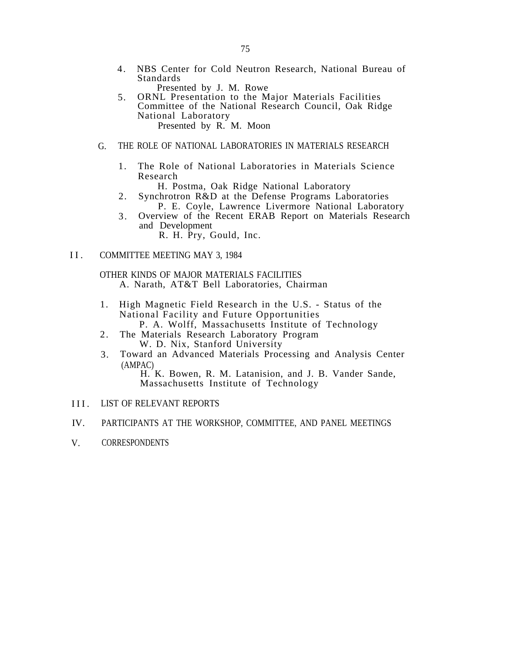- 4. NBS Center for Cold Neutron Research, National Bureau of Standards
	- Presented by J. M. Rowe
- 5. ORNL Presentation to the Major Materials Facilities Committee of the National Research Council, Oak Ridge National Laboratory Presented by R. M. Moon
- G. THE ROLE OF NATIONAL LABORATORIES IN MATERIALS RESEARCH
	- 1. The Role of National Laboratories in Materials Science Research

H. Postma, Oak Ridge National Laboratory

- 2. Synchrotron R&D at the Defense Programs Laboratories P. E. Coyle, Lawrence Livermore National Laboratory
- 3. Overview of the Recent ERAB Report on Materials Research and Development R. H. Pry, Gould, Inc.

# II. COMMITTEE MEETING MAY 3, 1984

OTHER KINDS OF MAJOR MATERIALS FACILITIES A. Narath, AT&T Bell Laboratories, Chairman

1. High Magnetic Field Research in the U.S. - Status of the National Facility and Future Opportunities

P. A. Wolff, Massachusetts Institute of Technology 2. The Materials Research Laboratory Program

- W. D. Nix, Stanford University
- 3. Toward an Advanced Materials Processing and Analysis Center (AMPAC) H. K. Bowen, R. M. Latanision, and J. B. Vander Sande, Massachusetts Institute of Technology
- III. LIST OF RELEVANT REPORTS
- IV. PARTICIPANTS AT THE WORKSHOP, COMMITTEE, AND PANEL MEETINGS
- V. CORRESPONDENTS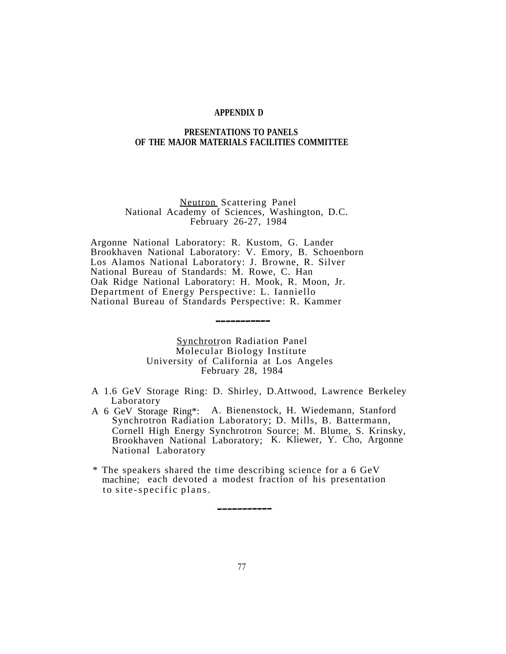## **APPENDIX D**

## **PRESENTATIONS TO PANELS OF THE MAJOR MATERIALS FACILITIES COMMITTEE**

## Neutron Scattering Panel National Academy of Sciences, Washington, D.C. February 26-27, 1984

Argonne National Laboratory: R. Kustom, G. Lander Brookhaven National Laboratory: V. Emory, B. Schoenborn Los Alamos National Laboratory: J. Browne, R. Silver National Bureau of Standards: M. Rowe, C. Han Oak Ridge National Laboratory: H. Mook, R. Moon, Jr. Department of Energy Perspective: L. Ianniello National Bureau of Standards Perspective: R. Kammer

> Synchrotron Radiation Panel Molecular Biology Institute University of California at Los Angeles February 28, 1984

- A 1.6 GeV Storage Ring: D. Shirley, D.Attwood, Lawrence Berkeley Laboratory
- A 6 GeV Storage Ring\*: A. Bienenstock, H. Wiedemann, Stanford Synchrotron Radiation Laboratory; D. Mills, B. Battermann, Cornell High Energy Synchrotron Source; M. Blume, S. Krinsky, Brookhaven National Laboratory; K. Kliewer, Y. Cho, Argonne National Laboratory
- \* The speakers shared the time describing science for a 6 GeV machine; each devoted a modest fraction of his presentation to site-specific plans.